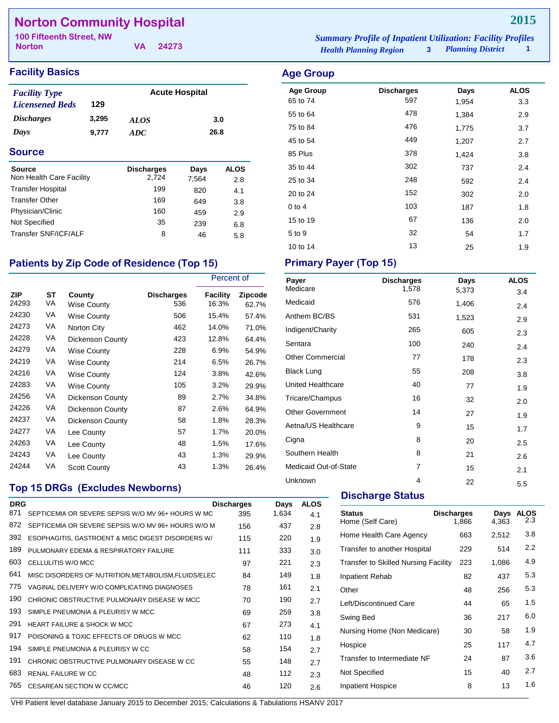## **Norton Community Hospital**

**Norton**

**VA 24273**

## **Facility Basics Age Group**

| <b>Facility Type</b>   |       | <b>Acute Hospital</b> |      |
|------------------------|-------|-----------------------|------|
| <b>Licensened Beds</b> | 129   |                       |      |
| <b>Discharges</b>      | 3,295 | <b>ALOS</b>           | 3.0  |
| Days                   | 9.777 | ADC.                  | 26.8 |

#### **Source**

| <b>Source</b><br>Non Health Care Facility | <b>Discharges</b><br>2.724 | Days         | <b>ALOS</b> |
|-------------------------------------------|----------------------------|--------------|-------------|
| <b>Transfer Hospital</b>                  | 199                        | 7.564<br>820 | 2.8         |
| <b>Transfer Other</b>                     | 169                        | 649          | 4.1         |
| Physician/Clinic                          | 160                        | 459          | 3.8<br>2.9  |
| Not Specified                             | 35                         | 239          | 6.8         |
| Transfer SNF/ICF/ALF                      | 8                          | 46           |             |
|                                           |                            |              | 5.8         |

## Patients by Zip Code of Residence (Top 15) Primary Payer (Top 15)

|              |          |                              |                          | Percent of        |                         |
|--------------|----------|------------------------------|--------------------------|-------------------|-------------------------|
| ZIP<br>24293 | SТ<br>VA | County<br><b>Wise County</b> | <b>Discharges</b><br>536 | Facility<br>16.3% | <b>Zipcode</b><br>62.7% |
| 24230        | VA       | Wise County                  | 506                      | 15.4%             | 57.4%                   |
| 24273        | VA       | Norton City                  | 462                      | 14.0%             | 71.0%                   |
| 24228        | VA       | Dickenson County             | 423                      | 12.8%             | 64.4%                   |
| 24279        | VA       | <b>Wise County</b>           | 228                      | 6.9%              | 54.9%                   |
| 24219        | VA       | <b>Wise County</b>           | 214                      | 6.5%              | 26.7%                   |
| 24216        | VA       | Wise County                  | 124                      | 3.8%              | 42.6%                   |
| 24283        | VA       | <b>Wise County</b>           | 105                      | 3.2%              | 29.9%                   |
| 24256        | VA       | Dickenson County             | 89                       | 2.7%              | 34.8%                   |
| 24226        | VA       | <b>Dickenson County</b>      | 87                       | 2.6%              | 64.9%                   |
| 24237        | VA       | Dickenson County             | 58                       | 1.8%              | 28.3%                   |
| 24277        | VA       | Lee County                   | 57                       | 1.7%              | 20.0%                   |
| 24263        | VA       | Lee County                   | 48                       | 1.5%              | 17.6%                   |
| 24243        | VA       | Lee County                   | 43                       | 1.3%              | 29.9%                   |
| 24244        | VA       | <b>Scott County</b>          | 43                       | 1.3%              | 26.4%                   |

### **Top 15 DRGs (Excludes Newborns)**

|                                                    | <b>Discharges</b> |                                                                                                           |             |  |
|----------------------------------------------------|-------------------|-----------------------------------------------------------------------------------------------------------|-------------|--|
|                                                    |                   | Days                                                                                                      | <b>ALOS</b> |  |
| SEPTICEMIA OR SEVERE SEPSIS W/O MV 96+ HOURS W MC  | 395               | 1,634                                                                                                     | 4.1         |  |
| SEPTICEMIA OR SEVERE SEPSIS W/O MV 96+ HOURS W/O M | 156               | 437                                                                                                       | 2.8         |  |
|                                                    | 115               | 220                                                                                                       | 1.9         |  |
| PULMONARY EDEMA & RESPIRATORY FAILURE              | 111               | 333                                                                                                       | 3.0         |  |
| CELLULITIS W/O MCC                                 | 97                | 221                                                                                                       | 2.3         |  |
|                                                    | 84                | 149                                                                                                       | 1.8         |  |
| VAGINAL DELIVERY W/O COMPLICATING DIAGNOSES        | 78                | 161                                                                                                       | 2.1         |  |
| CHRONIC OBSTRUCTIVE PULMONARY DISEASE W MCC        | 70                | 190                                                                                                       | 2.7         |  |
| SIMPLE PNEUMONIA & PLEURISY W MCC                  | 69                | 259                                                                                                       | 3.8         |  |
| HEART FAILURE & SHOCK W MCC                        | 67                | 273                                                                                                       | 4.1         |  |
| POISONING & TOXIC EFFECTS OF DRUGS W MCC.          | 62                | 110                                                                                                       | 1.8         |  |
| SIMPLE PNEUMONIA & PLEURISY W CC                   | 58                | 154                                                                                                       | 2.7         |  |
| CHRONIC OBSTRUCTIVE PULMONARY DISEASE W CC         | 55                | 148                                                                                                       | 2.7         |  |
| <b>RENAL FAILURE W CC</b>                          | 48                | 112                                                                                                       | 2.3         |  |
| <b>CESAREAN SECTION W CC/MCC</b>                   | 46                | 120                                                                                                       | 2.6         |  |
|                                                    |                   | ESOPHAGITIS, GASTROENT & MISC DIGEST DISORDERS W/<br>MISC DISORDERS OF NUTRITION, METABOLISM, FLUIDS/ELEC |             |  |

*Health Planning Region* **3** *Planning District* **1 100 Fifteenth Street, NW** *Summary Profile of Inpatient Utilization: Facility Profiles*

| <b>Age Group</b><br>65 to 74 | <b>Discharges</b><br>597 | Days<br>1,954 | <b>ALOS</b><br>3.3 |
|------------------------------|--------------------------|---------------|--------------------|
| 55 to 64                     | 478                      | 1,384         | 2.9                |
| 75 to 84                     | 476                      | 1,775         | 3.7                |
| 45 to 54                     | 449                      | 1,207         | 2.7                |
| 85 Plus                      | 378                      | 1,424         | 3.8                |
| 35 to 44                     | 302                      | 737           | 2.4                |
| 25 to 34                     | 248                      | 592           | 2.4                |
| 20 to 24                     | 152                      | 302           | 2.0                |
| $0$ to 4                     | 103                      | 187           | 1.8                |
| 15 to 19                     | 67                       | 136           | 2.0                |
| 5 to 9                       | 32                       | 54            | 1.7                |
| 10 to 14                     | 13                       | 25            | 1.9                |

| <b>Discharges</b> | Days  | <b>ALOS</b> |
|-------------------|-------|-------------|
|                   |       | 3.4         |
| 576               | 1,406 | 2.4         |
| 531               | 1,523 | 2.9         |
| 265               | 605   | 2.3         |
| 100               | 240   | 2.4         |
| 77                | 178   | 2.3         |
| 55                | 208   | 3.8         |
| 40                | 77    | 1.9         |
| 16                | 32    | 2.0         |
| 14                | 27    | 1.9         |
| 9                 | 15    | 1.7         |
| 8                 | 20    | 2.5         |
| 8                 | 21    | 2.6         |
| 7                 | 15    | 2.1         |
| 4                 | 22    | 5.5         |
|                   | 1,578 | 5,373       |

## **Discharge Status**

| <b>Status</b><br>Home (Self Care)           | <b>Discharges</b><br>1,866 | Days<br>4,363 | <b>ALOS</b><br>2.3 |
|---------------------------------------------|----------------------------|---------------|--------------------|
| Home Health Care Agency                     | 663                        | 2,512         | 3.8                |
| Transfer to another Hospital                | 229                        | 514           | 2.2                |
| <b>Transfer to Skilled Nursing Facility</b> | 223                        | 1,086         | 4.9                |
| Inpatient Rehab                             | 82                         | 437           | 5.3                |
| Other                                       | 48                         | 256           | 5.3                |
| Left/Discontinued Care                      | 44                         | 65            | 1.5                |
| Swing Bed                                   | 36                         | 217           | 6.0                |
| Nursing Home (Non Medicare)                 | 30                         | 58            | 1.9                |
| Hospice                                     | 25                         | 117           | 4.7                |
| Transfer to Intermediate NF                 | 24                         | 87            | 3.6                |
| Not Specified                               | 15                         | 40            | 2.7                |
| <b>Inpatient Hospice</b>                    | 8                          | 13            | 1.6                |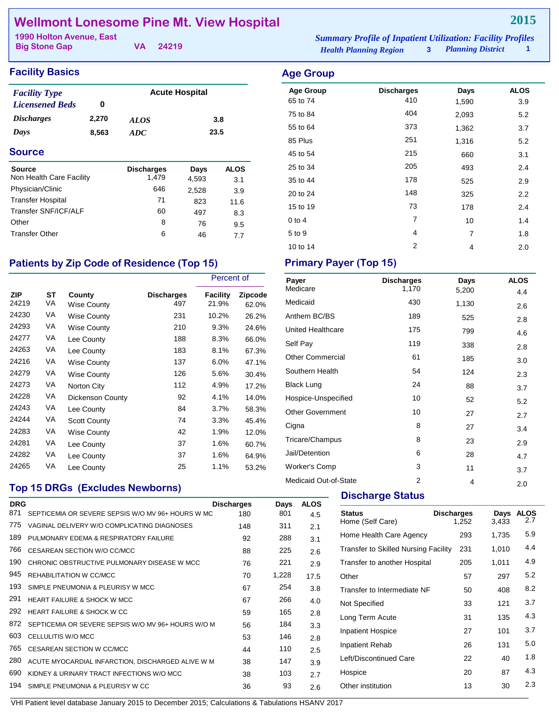## **Wellmont Lonesome Pine Mt. View Hospital**

| 1990 Holton Avenue, East |          | <b>Summary Profile of Inpatient Utilization: Facility Profiles</b> |                            |  |
|--------------------------|----------|--------------------------------------------------------------------|----------------------------|--|
| <b>Big Stone Gap</b>     | VA 24219 | <b>Health Planning Region</b>                                      | <b>3</b> Planning District |  |

Age Group **Discharges** Days ALOS 65 to 74 **410** 410 **1,590** 3.9 75 to 84 404 2,093 5.2

#### **Facility Basics Age Group Age Group**

| <b>Facility Type</b>   |       | <b>Acute Hospital</b> |      |
|------------------------|-------|-----------------------|------|
| <b>Licensened Beds</b> | o     |                       |      |
| <i>Discharges</i>      | 2,270 | <i>ALOS</i>           | 3.8  |
| Days                   | 8.563 | ADC                   | 23.5 |

#### **Source Discharges Days ALOS**<br>
Non Health Care Facility 1,479 4.593 3.1 Non Health Care Facility  $1,479$   $4,593$   $3.1$ Physician/Clinic 646 2,528 3.9 Transfer Hospital 11.6<br>
Transfer SNF/ICF/ALF 60 497 8.3 Transfer SNF/ICF/ALF 60 497 8.3<br>Other 8 76 9.5 Other 8 76 9.5 Transfer Other 6 46 7.7

### Patients by Zip Code of Residence (Top 15) Primary Payer (Top 15)

|              |          |                       |                          | Percent of               |                  |
|--------------|----------|-----------------------|--------------------------|--------------------------|------------------|
| ZIP<br>24219 | ST<br>VA | County<br>Wise County | <b>Discharges</b><br>497 | <b>Facility</b><br>21.9% | Zipcode<br>62.0% |
| 24230        | VA       | Wise County           | 231                      | 10.2%                    | 26.2%            |
| 24293        | VA       | <b>Wise County</b>    | 210                      | 9.3%                     | 24.6%            |
| 24277        | VA       | Lee County            | 188                      | 8.3%                     | 66.0%            |
| 24263        | VA       | Lee County            | 183                      | 8.1%                     | 67.3%            |
| 24216        | VA       | <b>Wise County</b>    | 137                      | 6.0%                     | 47.1%            |
| 24279        | VA       | <b>Wise County</b>    | 126                      | 5.6%                     | 30.4%            |
| 24273        | VA       | Norton City           | 112                      | 4.9%                     | 17.2%            |
| 24228        | VA       | Dickenson County      | 92                       | 4.1%                     | 14.0%            |
| 24243        | VA       | Lee County            | 84                       | 3.7%                     | 58.3%            |
| 24244        | VA       | <b>Scott County</b>   | 74                       | 3.3%                     | 45.4%            |
| 24283        | VA       | <b>Wise County</b>    | 42                       | 1.9%                     | 12.0%            |
| 24281        | VA       | Lee County            | 37                       | 1.6%                     | 60.7%            |
| 24282        | VA       | Lee County            | 37                       | 1.6%                     | 64.9%            |
| 24265        | VA       | Lee County            | 25                       | 1.1%                     | 53.2%            |

### **Top 15 DRGs (Excludes Newborns)**

| <b>ALOS</b><br>Days<br>801<br>4.5<br>311<br>2.1 |
|-------------------------------------------------|
|                                                 |
|                                                 |
|                                                 |
| 288<br>3.1                                      |
| 225<br>2.6                                      |
| 221<br>2.9                                      |
| 1,228<br>17.5                                   |
| 254<br>3.8                                      |
| 266<br>4.0                                      |
| 165<br>2.8                                      |
| 184<br>3.3                                      |
| 146<br>2.8                                      |
| 110<br>2.5                                      |
| 147<br>3.9                                      |
| 103<br>2.7                                      |
| 93<br>2.6                                       |
|                                                 |

| 55 to 64   | 373 | 1,362 | 3.7 |
|------------|-----|-------|-----|
| 85 Plus    | 251 | 1,316 | 5.2 |
| 45 to 54   | 215 | 660   | 3.1 |
| 25 to 34   | 205 | 493   | 2.4 |
| 35 to 44   | 178 | 525   | 2.9 |
| 20 to 24   | 148 | 325   | 2.2 |
| 15 to 19   | 73  | 178   | 2.4 |
| $0$ to $4$ | 7   | 10    | 1.4 |
| 5 to 9     | 4   | 7     | 1.8 |
|            |     |       |     |

10 to 14 2 2 4 2.0

| Payer<br>Medicare       | <b>Discharges</b><br>1,170 | Days  | <b>ALOS</b> |
|-------------------------|----------------------------|-------|-------------|
|                         |                            | 5,200 | 4.4         |
| Medicaid                | 430                        | 1,130 | 2.6         |
| Anthem BC/BS            | 189                        | 525   | 2.8         |
| United Healthcare       | 175                        | 799   | 4.6         |
| Self Pay                | 119                        | 338   | 2.8         |
| <b>Other Commercial</b> | 61                         | 185   | 3.0         |
| Southern Health         | 54                         | 124   | 2.3         |
| <b>Black Lung</b>       | 24                         | 88    | 3.7         |
| Hospice-Unspecified     | 10                         | 52    | 5.2         |
| <b>Other Government</b> | 10                         | 27    | 2.7         |
| Cigna                   | 8                          | 27    | 3.4         |
| Tricare/Champus         | 8                          | 23    | 2.9         |
| Jail/Detention          | 6                          | 28    | 4.7         |
| <b>Worker's Comp</b>    | 3                          | 11    | 3.7         |
| Medicaid Out-of-State   | $\overline{2}$             | 4     | 2.0         |

#### **Discharge Status**

| <b>Status</b><br>Home (Self Care)    | <b>Discharges</b><br>1,252 | Days<br>3,433 | <b>ALOS</b><br>2.7 |
|--------------------------------------|----------------------------|---------------|--------------------|
| Home Health Care Agency              | 293                        | 1,735         | 5.9                |
| Transfer to Skilled Nursing Facility | 231                        | 1,010         | 4.4                |
| Transfer to another Hospital         | 205                        | 1,011         | 4.9                |
| Other                                | 57                         | 297           | 5.2                |
| Transfer to Intermediate NF          | 50                         | 408           | 8.2                |
| Not Specified                        | 33                         | 121           | 3.7                |
| Long Term Acute                      | 31                         | 135           | 4.3                |
| <b>Inpatient Hospice</b>             | 27                         | 101           | 3.7                |
| Inpatient Rehab                      | 26                         | 131           | 5.0                |
| Left/Discontinued Care               | 22                         | 40            | 1.8                |
| Hospice                              | 20                         | 87            | 4.3                |
| Other institution                    | 13                         | 30            | 2.3                |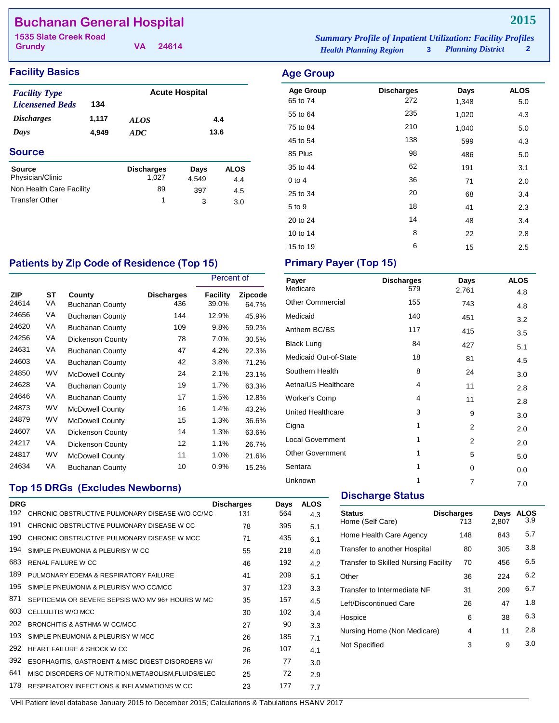## **Buchanan General Hospital**

**Grundy 1535 Slate Creek Road Summary Profile of Inpatient UK Summary Profile of Inpatient UK Summary Profilesi Profiles**<br>Profile of Inpatient UK Summary Profiles and Profiles of Inpatient Profiles and Profiles of Inpatient Pro

**VA 24614**

| <b>Iummary Profile of Inpatient Utilization: Facility Profiles</b> |                          |  |
|--------------------------------------------------------------------|--------------------------|--|
| <b>Health Planning Region</b>                                      | <b>Planning District</b> |  |

**2015**

## **Facility Basics Age Group**

| <b>Facility Type</b>   |       |                   | <b>Acute Hospital</b> |             |
|------------------------|-------|-------------------|-----------------------|-------------|
| <b>Licensened Beds</b> | 134   |                   |                       |             |
| <b>Discharges</b>      | 1,117 | ALOS              |                       | 4.4         |
| Days                   | 4,949 | ADC               | 13.6                  |             |
| <b>Source</b>          |       |                   |                       |             |
| <b>Source</b>          |       | <b>Discharges</b> | Days                  | <b>ALOS</b> |
| Physician/Clinic       |       | 1.027             | 4.549                 | 4.4         |
|                        |       |                   |                       |             |

Non Health Care Facility 89 397 4.5 Transfer Other 1 3 3.0

| <b>Age Group</b><br>65 to 74 | <b>Discharges</b><br>272 | Days<br>1,348 | <b>ALOS</b><br>5.0 |
|------------------------------|--------------------------|---------------|--------------------|
| 55 to 64                     | 235                      | 1,020         | 4.3                |
| 75 to 84                     | 210                      | 1,040         | 5.0                |
| 45 to 54                     | 138                      | 599           | 4.3                |
| 85 Plus                      | 98                       | 486           | 5.0                |
| 35 to 44                     | 62                       | 191           | 3.1                |
| $0$ to $4$                   | 36                       | 71            | 2.0                |
| 25 to 34                     | 20                       | 68            | 3.4                |
| 5 to 9                       | 18                       | 41            | 2.3                |
| 20 to 24                     | 14                       | 48            | 3.4                |
| 10 to 14                     | 8                        | 22            | 2.8                |
| 15 to 19                     | 6                        | 15            | 2.5                |

## Patients by Zip Code of Residence (Top 15) Primary Payer (Top 15)

|              |           |                                  |                          | Percent of               |                         |
|--------------|-----------|----------------------------------|--------------------------|--------------------------|-------------------------|
| ZIP<br>24614 | ST<br>VA  | County<br><b>Buchanan County</b> | <b>Discharges</b><br>436 | <b>Facility</b><br>39.0% | <b>Zipcode</b><br>64.7% |
| 24656        | VA        | <b>Buchanan County</b>           | 144                      | 12.9%                    | 45.9%                   |
| 24620        | VA        | <b>Buchanan County</b>           | 109                      | 9.8%                     | 59.2%                   |
| 24256        | VA        | Dickenson County                 | 78                       | 7.0%                     | 30.5%                   |
| 24631        | VA        | <b>Buchanan County</b>           | 47                       | 4.2%                     | 22.3%                   |
| 24603        | VA        | <b>Buchanan County</b>           | 42                       | 3.8%                     | 71.2%                   |
| 24850        | WV        | <b>McDowell County</b>           | 24                       | 2.1%                     | 23.1%                   |
| 24628        | VA        | <b>Buchanan County</b>           | 19                       | 1.7%                     | 63.3%                   |
| 24646        | VA        | <b>Buchanan County</b>           | 17                       | 1.5%                     | 12.8%                   |
| 24873        | <b>WV</b> | <b>McDowell County</b>           | 16                       | 1.4%                     | 43.2%                   |
| 24879        | WV        | <b>McDowell County</b>           | 15                       | 1.3%                     | 36.6%                   |
| 24607        | VA        | Dickenson County                 | 14                       | 1.3%                     | 63.6%                   |
| 24217        | VA        | Dickenson County                 | 12                       | 1.1%                     | 26.7%                   |
| 24817        | <b>WV</b> | <b>McDowell County</b>           | 11                       | 1.0%                     | 21.6%                   |
| 24634        | VA        | Buchanan County                  | 10                       | $0.9\%$                  | 15.2%                   |

### **Top 15 DRGs (Excludes Newborns)**

| <b>DRG</b> |                                                      | <b>Discharges</b> | Days | <b>ALOS</b> |
|------------|------------------------------------------------------|-------------------|------|-------------|
| 192        | CHRONIC OBSTRUCTIVE PULMONARY DISEASE W/O CC/MC      | 131               | 564  | 4.3         |
| 191        | CHRONIC OBSTRUCTIVE PULMONARY DISEASE W CC           | 78                | 395  | 5.1         |
| 190        | CHRONIC OBSTRUCTIVE PULMONARY DISEASE W MCC          | 71                | 435  | 6.1         |
| 194        | SIMPLE PNEUMONIA & PLEURISY W CC                     | 55                | 218  | 4.0         |
| 683        | <b>RENAL FAILURE W CC</b>                            | 46                | 192  | 4.2         |
| 189        | PULMONARY EDEMA & RESPIRATORY FAILURE                | 41                | 209  | 5.1         |
| 195        | SIMPLE PNEUMONIA & PLEURISY W/O CC/MCC               | 37                | 123  | 3.3         |
| 871        | SEPTICEMIA OR SEVERE SEPSIS W/O MV 96+ HOURS W MC    | 35                | 157  | 4.5         |
| 603        | CELLULITIS W/O MCC                                   | 30                | 102  | 3.4         |
| 202        | BRONCHITIS & ASTHMA W CC/MCC                         | 27                | 90   | 3.3         |
| 193        | SIMPLE PNEUMONIA & PLEURISY W MCC                    | 26                | 185  | 7.1         |
| 292        | <b>HEART FAILURE &amp; SHOCK W CC</b>                | 26                | 107  | 4.1         |
| 392        | ESOPHAGITIS, GASTROENT & MISC DIGEST DISORDERS W/    | 26                | 77   | 3.0         |
| 641        | MISC DISORDERS OF NUTRITION, METABOLISM, FLUIDS/ELEC | 25                | 72   | 2.9         |
| 178        | RESPIRATORY INFECTIONS & INFLAMMATIONS W CC          | 23                | 177  | 7.7         |

| Payer                   | <b>Discharges</b> | Days           | <b>ALOS</b> |
|-------------------------|-------------------|----------------|-------------|
| Medicare                | 579               | 2,761          | 4.8         |
| <b>Other Commercial</b> | 155               | 743            | 4.8         |
| Medicaid                | 140               | 451            | 3.2         |
| Anthem BC/BS            | 117               | 415            | 3.5         |
| <b>Black Lung</b>       | 84                | 427            | 5.1         |
| Medicaid Out-of-State   | 18                | 81             | 4.5         |
| Southern Health         | 8                 | 24             | 3.0         |
| Aetna/US Healthcare     | 4                 | 11             | 2.8         |
| Worker's Comp           | 4                 | 11             | 2.8         |
| United Healthcare       | 3                 | 9              | 3.0         |
| Cigna                   | 1                 | $\overline{2}$ | 2.0         |
| Local Government        | 1                 | 2              | 2.0         |
| <b>Other Government</b> | 1                 | 5              | 5.0         |
| Sentara                 | 1                 | 0              | 0.0         |
| Unknown                 | 1                 | 7              | 7.0         |
|                         |                   |                |             |

## **Discharge Status**

| <b>Status</b><br>Home (Self Care)           | <b>Discharges</b><br>713 | Days<br>2,807 | <b>ALOS</b><br>3.9 |
|---------------------------------------------|--------------------------|---------------|--------------------|
| Home Health Care Agency                     | 148                      | 843           | 5.7                |
| Transfer to another Hospital                | 80                       | 305           | 3.8                |
| <b>Transfer to Skilled Nursing Facility</b> | 70                       | 456           | 6.5                |
| Other                                       | 36                       | 224           | 6.2                |
| Transfer to Intermediate NF                 | 31                       | 209           | 6.7                |
| Left/Discontinued Care                      | 26                       | 47            | 1.8                |
| Hospice                                     | 6                        | 38            | 6.3                |
| Nursing Home (Non Medicare)                 | 4                        | 11            | 2.8                |
| Not Specified                               | 3                        | 9             | 3.0                |
|                                             |                          |               |                    |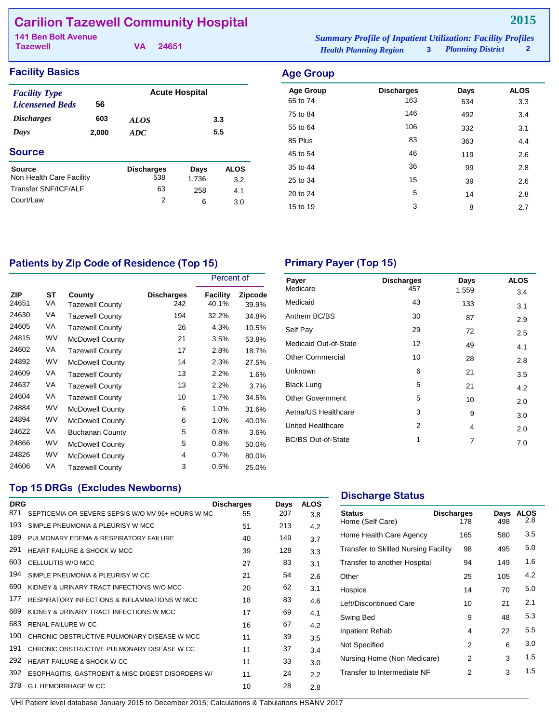## **Carilion Tazewell Community Hospital**

| <b>141 Ben Bolt Avenue</b> |  |          | <b>Summary Profile of Inpatient Utilization: Facility Profiles</b> |  |                            |              |
|----------------------------|--|----------|--------------------------------------------------------------------|--|----------------------------|--------------|
| <b>Tazewell</b>            |  | VA 24651 | <b>Health Planning Region</b>                                      |  | <b>3</b> Planning District | $\mathbf{2}$ |

| <b>Facility Basics</b>                                                                                 |       |                   |                       |             | <b>Age Group</b>             |                          |             |                    |
|--------------------------------------------------------------------------------------------------------|-------|-------------------|-----------------------|-------------|------------------------------|--------------------------|-------------|--------------------|
| <b>Facility Type</b><br>56<br><b>Licensened Beds</b><br><i><b>Discharges</b></i><br>603<br><b>ALOS</b> |       |                   | <b>Acute Hospital</b> |             | <b>Age Group</b><br>65 to 74 | <b>Discharges</b><br>163 | Days<br>534 | <b>ALOS</b><br>3.3 |
|                                                                                                        |       |                   | 3.3                   |             | 75 to 84                     | 146                      | 492         | 3.4                |
| Days                                                                                                   | 2,000 | ADC               | 5.5                   |             | 55 to 64<br>85 Plus          | 106<br>83                | 332<br>363  | 3.1<br>4.4         |
| <b>Source</b>                                                                                          |       |                   |                       |             | 45 to 54                     | 46                       | 119         | 2.6                |
| <b>Source</b>                                                                                          |       | <b>Discharges</b> | Days                  | <b>ALOS</b> | 35 to 44                     | 36                       | 99          | 2.8                |
| Non Health Care Facility                                                                               |       | 538               | 1,736                 | 3.2         | 25 to 34                     | 15                       | 39          | 2.6                |
| Transfer SNF/ICF/ALF                                                                                   |       | 63                | 258                   | 4.1         | 20 to 24                     | 5                        | 14          | 2.8                |
| Court/Law                                                                                              |       | 2                 | 6                     | 3.0         | 15 to 19                     | 3                        | 8           | 2.7                |

## Patients by Zip Code of Residence (Top 15) **Primary Payer (Top 15)**

|                     |           |                           |                          | Percent of               |                         |
|---------------------|-----------|---------------------------|--------------------------|--------------------------|-------------------------|
| <b>ZIP</b><br>24651 | SТ<br>VA  | County<br>Tazewell County | <b>Discharges</b><br>242 | <b>Facility</b><br>40.1% | <b>Zipcode</b><br>39.9% |
| 24630               | VA        | Tazewell County           | 194                      | 32.2%                    | 34.8%                   |
| 24605               | VA        | <b>Tazewell County</b>    | 26                       | 4.3%                     | 10.5%                   |
| 24815               | <b>WV</b> | <b>McDowell County</b>    | 21                       | 3.5%                     | 53.8%                   |
| 24602               | VA        | <b>Tazewell County</b>    | 17                       | 2.8%                     | 18.7%                   |
| 24892               | <b>WV</b> | <b>McDowell County</b>    | 14                       | 2.3%                     | 27.5%                   |
| 24609               | VA        | <b>Tazewell County</b>    | 13                       | 2.2%                     | 1.6%                    |
| 24637               | VA        | <b>Tazewell County</b>    | 13                       | 2.2%                     | 3.7%                    |
| 24604               | VA        | <b>Tazewell County</b>    | 10                       | 1.7%                     | 34.5%                   |
| 24884               | WV        | <b>McDowell County</b>    | 6                        | 1.0%                     | 31.6%                   |
| 24894               | <b>WV</b> | <b>McDowell County</b>    | 6                        | 1.0%                     | 40.0%                   |
| 24622               | VA        | <b>Buchanan County</b>    | 5                        | 0.8%                     | 3.6%                    |
| 24866               | WV        | <b>McDowell County</b>    | 5                        | 0.8%                     | 50.0%                   |
| 24826               | <b>WV</b> | <b>McDowell County</b>    | 4                        | 0.7%                     | 80.0%                   |
| 24606               | VA        | Tazewell County           | 3                        | 0.5%                     | 25.0%                   |

| Payer<br>Medicare         | <b>Discharges</b><br>457 | Days  | <b>ALOS</b> |
|---------------------------|--------------------------|-------|-------------|
|                           |                          | 1,559 | 3.4         |
| Medicaid                  | 43                       | 133   | 3.1         |
| Anthem BC/BS              | 30                       | 87    | 2.9         |
| Self Pay                  | 29                       | 72    | 2.5         |
| Medicaid Out-of-State     | 12                       | 49    | 4.1         |
| <b>Other Commercial</b>   | 10                       | 28    | 2.8         |
| Unknown                   | 6                        | 21    | 3.5         |
| <b>Black Lung</b>         | 5                        | 21    | 4.2         |
| <b>Other Government</b>   | 5                        | 10    | 2.0         |
| Aetna/US Healthcare       | 3                        | 9     | 3.0         |
| United Healthcare         | 2                        | 4     | 2.0         |
| <b>BC/BS Out-of-State</b> | 1                        | 7     | 7.0         |
|                           |                          |       |             |

#### **Top 15 DRGs (Excludes Newborns)**

| <b>DRG</b><br>871 | SEPTICEMIA OR SEVERE SEPSIS W/O MV 96+ HOURS W MC | <b>Discharges</b><br>55 | Days<br>207 | <b>ALOS</b> |
|-------------------|---------------------------------------------------|-------------------------|-------------|-------------|
|                   |                                                   |                         |             | 3.8         |
| 193               | SIMPLE PNEUMONIA & PLEURISY W MCC                 | 51                      | 213         | 4.2         |
| 189               | PULMONARY EDEMA & RESPIRATORY FAILURE             | 40                      | 149         | 3.7         |
| 291               | <b>HEART FAILURE &amp; SHOCK W MCC</b>            | 39                      | 128         | 3.3         |
| 603               | CELLULITIS W/O MCC                                | 27                      | 83          | 3.1         |
| 194               | SIMPLE PNEUMONIA & PLEURISY W CC                  | 21                      | 54          | 2.6         |
| 690               | KIDNEY & URINARY TRACT INFECTIONS W/O MCC         | 20                      | 62          | 3.1         |
| 177               | RESPIRATORY INFECTIONS & INFLAMMATIONS W MCC      | 18                      | 83          | 4.6         |
| 689               | KIDNEY & URINARY TRACT INFECTIONS W MCC           | 17                      | 69          | 4.1         |
| 683               | <b>RENAL FAILURE W CC</b>                         | 16                      | 67          | 4.2         |
| 190               | CHRONIC OBSTRUCTIVE PULMONARY DISEASE W MCC       | 11                      | 39          | 3.5         |
| 191               | CHRONIC OBSTRUCTIVE PULMONARY DISEASE W CC        | 11                      | 37          | 3.4         |
| 292               | HEART FAILURE & SHOCK W CC                        | 11                      | 33          | 3.0         |
| 392               | ESOPHAGITIS, GASTROENT & MISC DIGEST DISORDERS W/ | 11                      | 24          | 2.2         |
| 378               | G.I. HEMORRHAGE W CC                              | 10                      | 28          | 2.8         |

### **Discharge Status**

| <b>Status</b><br>Home (Self Care)    | <b>Discharges</b><br>178 | Days<br>498 | <b>ALOS</b><br>2.8 |
|--------------------------------------|--------------------------|-------------|--------------------|
| Home Health Care Agency              | 165                      | 580         | 3.5                |
| Transfer to Skilled Nursing Facility | 98                       | 495         | 5.0                |
| Transfer to another Hospital         | 94                       | 149         | 1.6                |
| Other                                | 25                       | 105         | 4.2                |
| Hospice                              | 14                       | 70          | 5.0                |
| Left/Discontinued Care               | 10                       | 21          | 2.1                |
| Swing Bed                            | 9                        | 48          | 5.3                |
| Inpatient Rehab                      | 4                        | 22          | 5.5                |
| Not Specified                        | 2                        | 6           | 3.0                |
| Nursing Home (Non Medicare)          | 2                        | 3           | 1.5                |
| Transfer to Intermediate NF          | 2                        | 3           | 1.5                |
|                                      |                          |             |                    |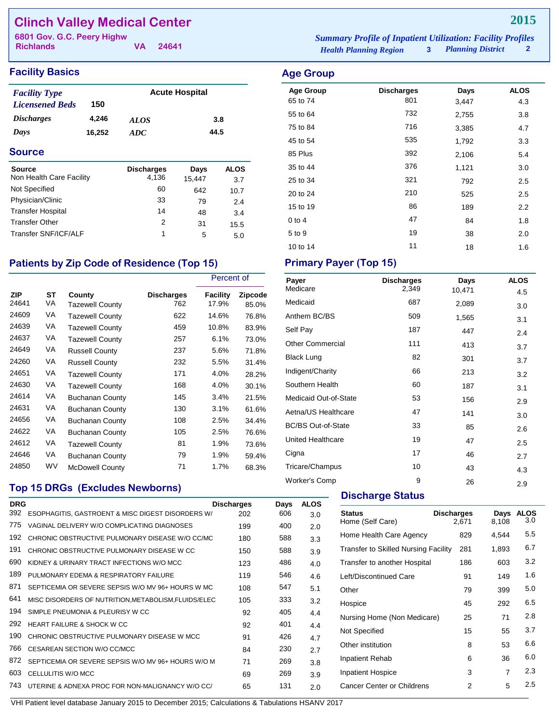## **Clinch Valley Medical Center** 6801 Gov. G.C. Peery Highw

**Richlands**

**VA 24641**

#### **Facility Basics Age Group**

| <b>Facility Type</b>     |        | <b>Acute Hospital</b> |      |  |  |
|--------------------------|--------|-----------------------|------|--|--|
| <b>Licensened Beds</b>   | 150    |                       |      |  |  |
| <i><b>Discharges</b></i> | 4.246  | <i>ALOS</i>           | 3.8  |  |  |
| Days                     | 16.252 | ADC.                  | 44.5 |  |  |

### **Source**

| <b>Source</b><br>Non Health Care Facility | <b>Discharges</b><br>4.136 | Days<br>15.447 | <b>ALOS</b><br>3.7 |
|-------------------------------------------|----------------------------|----------------|--------------------|
| Not Specified                             | 60                         | 642            | 10.7               |
| Physician/Clinic                          | 33                         | 79             | 2.4                |
| <b>Transfer Hospital</b>                  | 14                         | 48             | 3.4                |
| <b>Transfer Other</b>                     | 2                          | 31             | 15.5               |
| Transfer SNF/ICF/ALF                      | 1                          | 5              | 5.0                |

## Patients by Zip Code of Residence (Top 15) Primary Payer (Top 15)

|                     |                 |                                  |                          | Percent of        |                         |
|---------------------|-----------------|----------------------------------|--------------------------|-------------------|-------------------------|
| <b>ZIP</b><br>24641 | <b>ST</b><br>VA | County<br><b>Tazewell County</b> | <b>Discharges</b><br>762 | Facility<br>17.9% | <b>Zipcode</b><br>85.0% |
| 24609               | VA              | Tazewell County                  | 622                      | 14.6%             | 76.8%                   |
| 24639               | VA              | <b>Tazewell County</b>           | 459                      | 10.8%             | 83.9%                   |
| 24637               | VA              | Tazewell County                  | 257                      | 6.1%              | 73.0%                   |
| 24649               | VA              | <b>Russell County</b>            | 237                      | 5.6%              | 71.8%                   |
| 24260               | VA              | <b>Russell County</b>            | 232                      | 5.5%              | 31.4%                   |
| 24651               | VA              | <b>Tazewell County</b>           | 171                      | 4.0%              | 28.2%                   |
| 24630               | VA              | <b>Tazewell County</b>           | 168                      | 4.0%              | 30.1%                   |
| 24614               | VA              | <b>Buchanan County</b>           | 145                      | 3.4%              | 21.5%                   |
| 24631               | VA              | Buchanan County                  | 130                      | 3.1%              | 61.6%                   |
| 24656               | VA              | <b>Buchanan County</b>           | 108                      | 2.5%              | 34.4%                   |
| 24622               | VA              | <b>Buchanan County</b>           | 105                      | 2.5%              | 76.6%                   |
| 24612               | VA              | <b>Tazewell County</b>           | 81                       | 1.9%              | 73.6%                   |
| 24646               | VA              | <b>Buchanan County</b>           | 79                       | 1.9%              | 59.4%                   |
| 24850               | WV              | McDowell County                  | 71                       | 1.7%              | 68.3%                   |

## **Top 15 DRGs (Excludes Newborns)**

| <b>DRG</b> |                                                      | <b>Discharges</b> | Days | <b>ALOS</b> |
|------------|------------------------------------------------------|-------------------|------|-------------|
| 392        | ESOPHAGITIS, GASTROENT & MISC DIGEST DISORDERS W/    | 202               | 606  | 3.0         |
| 775        | VAGINAL DELIVERY W/O COMPLICATING DIAGNOSES          | 199               | 400  | 2.0         |
| 192        | CHRONIC OBSTRUCTIVE PULMONARY DISEASE W/O CC/MC      | 180               | 588  | 3.3         |
| 191        | CHRONIC OBSTRUCTIVE PULMONARY DISEASE W CC           | 150               | 588  | 3.9         |
| 690        | KIDNEY & URINARY TRACT INFECTIONS W/O MCC            | 123               | 486  | 4.0         |
| 189        | PULMONARY EDEMA & RESPIRATORY FAILURE                | 119               | 546  | 4.6         |
| 871        | SEPTICEMIA OR SEVERE SEPSIS W/O MV 96+ HOURS W MC    | 108               | 547  | 5.1         |
| 641        | MISC DISORDERS OF NUTRITION, METABOLISM, FLUIDS/ELEC | 105               | 333  | 3.2         |
| 194        | SIMPLE PNEUMONIA & PLEURISY W CC                     | 92                | 405  | 4.4         |
| 292        | HEART FAILURE & SHOCK W CC                           | 92                | 401  | 4.4         |
| 190        | CHRONIC OBSTRUCTIVE PULMONARY DISEASE W MCC          | 91                | 426  | 4.7         |
| 766        | CESAREAN SECTION W/O CC/MCC                          | 84                | 230  | 2.7         |
| 872        | SEPTICEMIA OR SEVERE SEPSIS W/O MV 96+ HOURS W/O M   | 71                | 269  | 3.8         |
| 603        | CELLULITIS W/O MCC                                   | 69                | 269  | 3.9         |
| 743        | UTERINE & ADNEXA PROC FOR NON-MALIGNANCY W/O CC/     | 65                | 131  | 2.0         |
|            |                                                      |                   |      |             |

*Health Planning Region* **3** *Planning District* **2 6801 Summary Profile of Inpatient Utilization: Facility Profiles**<br>**6801 Case of Banning Pacient Containers Profile**<br>**6801 Case of Containing Pacient Containers Profile** *2* 

| <b>Age Group</b> | <b>Discharges</b> | Days  | <b>ALOS</b> |
|------------------|-------------------|-------|-------------|
| 65 to 74         | 801               | 3,447 | 4.3         |
| 55 to 64         | 732               | 2,755 | 3.8         |
| 75 to 84         | 716               | 3,385 | 4.7         |
| 45 to 54         | 535               | 1,792 | 3.3         |
| 85 Plus          | 392               | 2,106 | 5.4         |
| 35 to 44         | 376               | 1,121 | 3.0         |
| 25 to 34         | 321               | 792   | 2.5         |
| 20 to 24         | 210               | 525   | 2.5         |
| 15 to 19         | 86                | 189   | 2.2         |
| $0$ to 4         | 47                | 84    | 1.8         |
| 5 to 9           | 19                | 38    | 2.0         |
| 10 to 14         | 11                | 18    | 1.6         |

| Payer<br>Medicare         | <b>Discharges</b><br>2,349 | Days   | <b>ALOS</b> |
|---------------------------|----------------------------|--------|-------------|
|                           |                            | 10,471 | 4.5         |
| Medicaid                  | 687                        | 2,089  | 3.0         |
| Anthem BC/BS              | 509                        | 1,565  | 3.1         |
| Self Pay                  | 187                        | 447    | 2.4         |
| <b>Other Commercial</b>   | 111                        | 413    | 3.7         |
| <b>Black Lung</b>         | 82                         | 301    | 3.7         |
| Indigent/Charity          | 66                         | 213    | 3.2         |
| Southern Health           | 60                         | 187    | 3.1         |
| Medicaid Out-of-State     | 53                         | 156    | 2.9         |
| Aetna/US Healthcare       | 47                         | 141    | 3.0         |
| <b>BC/BS Out-of-State</b> | 33                         | 85     | 2.6         |
| <b>United Healthcare</b>  | 19                         | 47     | 2.5         |
| Cigna                     | 17                         | 46     | 2.7         |
| Tricare/Champus           | 10                         | 43     | 4.3         |
| <b>Worker's Comp</b>      | 9                          | 26     | 2.9         |

#### **Discharge Status**

| <b>Status</b><br>Home (Self Care)           | <b>Discharges</b><br>2,671 | Days<br>8,108  | <b>ALOS</b><br>3.0 |
|---------------------------------------------|----------------------------|----------------|--------------------|
| Home Health Care Agency                     | 829                        | 4,544          | 5.5                |
| <b>Transfer to Skilled Nursing Facility</b> | 281                        | 1,893          | 6.7                |
| Transfer to another Hospital                | 186                        | 603            | 3.2                |
| Left/Discontinued Care                      | 91                         | 149            | 1.6                |
| Other                                       | 79                         | 399            | 5.0                |
| Hospice                                     | 45                         | 292            | 6.5                |
| Nursing Home (Non Medicare)                 | 25                         | 71             | 2.8                |
| Not Specified                               | 15                         | 55             | 3.7                |
| Other institution                           | 8                          | 53             | 6.6                |
| Inpatient Rehab                             | 6                          | 36             | 6.0                |
| Inpatient Hospice                           | 3                          | $\overline{7}$ | 2.3                |
| Cancer Center or Childrens                  | 2                          | 5              | $2.5\,$            |
|                                             |                            |                |                    |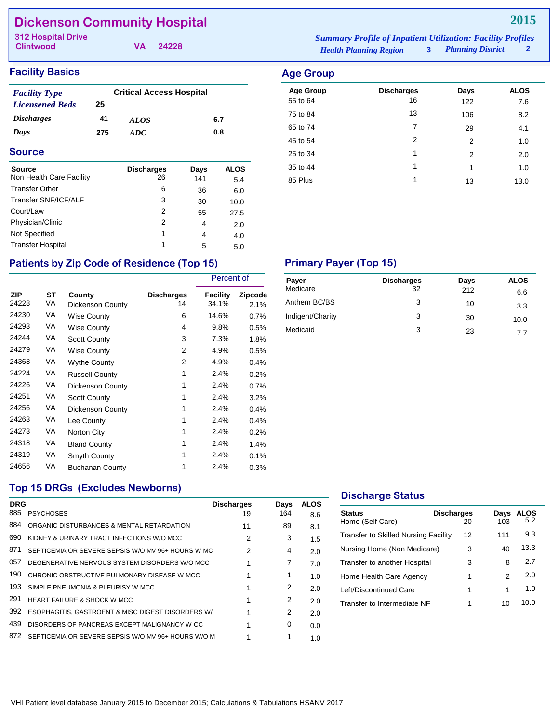## **Dickenson Community Hospital**

**Clintwood**

**VA 24228**

## **Facility Basics Age Group Age Group**

| <b>Facility Type</b>   | <b>Critical Access Hospital</b> |             |     |  |  |
|------------------------|---------------------------------|-------------|-----|--|--|
| <b>Licensened Beds</b> | 25                              |             |     |  |  |
| <i>Discharges</i>      | 41                              | <i>ALOS</i> | 6.7 |  |  |
| Days                   | 275                             | ADC.        | 0.8 |  |  |

#### **Source**

| <b>Source</b>            | <b>Discharges</b> | Days | <b>ALOS</b> |
|--------------------------|-------------------|------|-------------|
| Non Health Care Facility | 26                | 141  | 5.4         |
| <b>Transfer Other</b>    | 6                 | 36   | 6.0         |
| Transfer SNF/ICF/ALF     | 3                 | 30   | 10.0        |
| Court/Law                | 2                 | 55   | 27.5        |
| Physician/Clinic         | 2                 | 4    | 2.0         |
| Not Specified            | 1                 | 4    | 4.0         |
| <b>Transfer Hospital</b> | 1                 | 5    | 5.0         |

#### *Health Planning Region* **3** *Planning District* **2 312 Hospital Drive** *Summary Profile of Inpatient Utilization: Facility Profiles*

25 to 34 1 2 2.0  $35 \text{ to } 44$  1 1 1.0 85 Plus 1 1 13 13.0

## Patients by Zip Code of Residence (Top 15) Primary Payer (Top 15)

|                     |          |                            | Percent of              |                   |                        |
|---------------------|----------|----------------------------|-------------------------|-------------------|------------------------|
| <b>ZIP</b><br>24228 | ST<br>VA | County<br>Dickenson County | <b>Discharges</b><br>14 | Facility<br>34.1% | <b>Zipcode</b><br>2.1% |
| 24230               | VA       | Wise County                | 6                       | 14.6%             | 0.7%                   |
| 24293               | VA       | Wise County                | 4                       | 9.8%              | 0.5%                   |
| 24244               | VA       | <b>Scott County</b>        | 3                       | 7.3%              | 1.8%                   |
| 24279               | VA       | Wise County                | 2                       | 4.9%              | 0.5%                   |
| 24368               | VA       | <b>Wythe County</b>        | 2                       | 4.9%              | 0.4%                   |
| 24224               | VA       | <b>Russell County</b>      | 1                       | 2.4%              | 0.2%                   |
| 24226               | VA       | Dickenson County           | 1                       | 2.4%              | 0.7%                   |
| 24251               | VA       | <b>Scott County</b>        | 1                       | 2.4%              | 3.2%                   |
| 24256               | VA       | Dickenson County           | 1                       | 2.4%              | 0.4%                   |
| 24263               | VA       | Lee County                 | 1                       | 2.4%              | 0.4%                   |
| 24273               | VA       | Norton City                | 1                       | 2.4%              | 0.2%                   |
| 24318               | VA       | <b>Bland County</b>        | 1                       | 2.4%              | 1.4%                   |
| 24319               | VA       | Smyth County               | 1                       | 2.4%              | 0.1%                   |
| 24656               | VA       | <b>Buchanan County</b>     | 1                       | 2.4%              | 0.3%                   |

| Payer<br>Medicare | <b>Discharges</b><br>32 | Days<br>212 | <b>ALOS</b><br>6.6 |
|-------------------|-------------------------|-------------|--------------------|
| Anthem BC/BS      | 3                       | 10          | 3.3                |
| Indigent/Charity  | 3                       | 30          | 10.0               |
| Medicaid          | 3                       | 23          | 77                 |

### **Top 15 DRGs (Excludes Newborns)**

| <b>DRG</b><br>885 | <b>PSYCHOSES</b>                                   | <b>Discharges</b><br>19 | Days<br>164 | <b>ALOS</b><br>8.6 |
|-------------------|----------------------------------------------------|-------------------------|-------------|--------------------|
| 884               | ORGANIC DISTURBANCES & MENTAL RETARDATION          | 11                      | 89          | 8.1                |
| 690               | KIDNEY & URINARY TRACT INFECTIONS W/O MCC          | 2                       | 3           | 1.5                |
| 871               | SEPTICEMIA OR SEVERE SEPSIS W/O MV 96+ HOURS W MC  | 2                       | 4           | 2.0                |
| 057               | DEGENERATIVE NERVOUS SYSTEM DISORDERS W/O MCC      |                         | 7           | 7.0                |
| 190               | CHRONIC OBSTRUCTIVE PULMONARY DISEASE W MCC        |                         | 1           | 1.0                |
| 193               | SIMPLE PNEUMONIA & PLEURISY W MCC                  |                         | 2           | 2.0                |
| 291               | <b>HEART FAILURE &amp; SHOCK W MCC</b>             |                         | 2           | 2.0                |
| 392               | ESOPHAGITIS, GASTROENT & MISC DIGEST DISORDERS W/  |                         | 2           | 2.0                |
| 439               | DISORDERS OF PANCREAS EXCEPT MALIGNANCY W CC       |                         | 0           | 0.0                |
| 872               | SEPTICEMIA OR SEVERE SEPSIS W/O MV 96+ HOURS W/O M |                         |             | 1.0                |

#### **Discharge Status**

| <b>Status</b><br>Home (Self Care)           | <b>Discharges</b><br>20 | Days<br>103 | <b>ALOS</b><br>5.2 |
|---------------------------------------------|-------------------------|-------------|--------------------|
| <b>Transfer to Skilled Nursing Facility</b> | 12                      | 111         | 9.3                |
| Nursing Home (Non Medicare)                 | 3                       | 40          | 13.3               |
| Transfer to another Hospital                | 3                       | 8           | 2.7                |
| Home Health Care Agency                     | 1                       | 2           | 2.0                |
| Left/Discontinued Care                      | 1                       | 1           | 1.0                |
| Transfer to Intermediate NF                 | 1                       | 10          | 10.0               |
|                                             |                         |             |                    |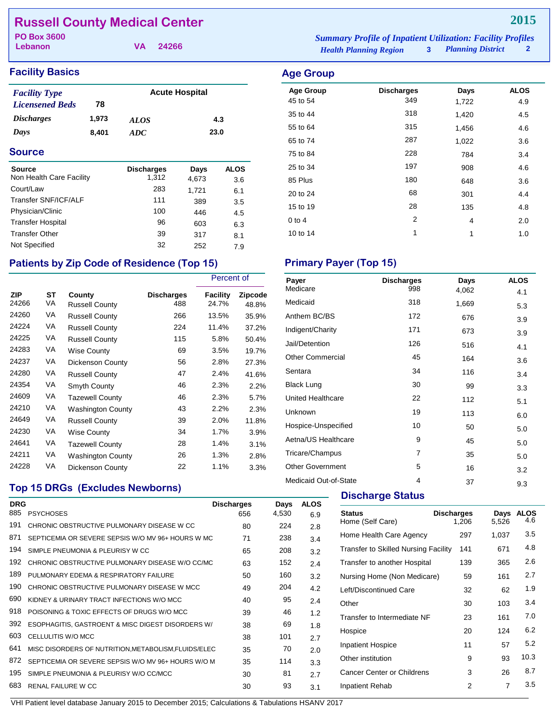## **Russell County Medical Center**

**Lebanon**

**VA 24266**

#### *Health Planning Region* **3** *Planning District* **2 PO Box 3600 3600 1988 1989 1989 1989 Summary Profile of Inpatient Utilization: Facility Profiles**<br> **Popular Contract Contract Contract Contract Contract Contract Contract Contract Contract Contract Contract Co**

## **Facility Basics Age Group**

| <b>Acute Hospital</b><br><b>Facility Type</b> |       |             |      |
|-----------------------------------------------|-------|-------------|------|
| <b>Licensened Beds</b>                        | 78    |             |      |
| <i><b>Discharges</b></i>                      | 1.973 | <i>ALOS</i> | 4.3  |
| Days                                          | 8.401 | ADC.        | 23.0 |

#### **Source**

| <b>Source</b><br>Non Health Care Facility | <b>Discharges</b><br>1.312 | Days<br>4,673 | <b>ALOS</b><br>3.6 |
|-------------------------------------------|----------------------------|---------------|--------------------|
| Court/Law                                 | 283                        | 1,721         | 6.1                |
| Transfer SNF/ICF/ALF                      | 111                        | 389           | 3.5                |
| Physician/Clinic                          | 100                        | 446           | 4.5                |
| <b>Transfer Hospital</b>                  | 96                         | 603           | 6.3                |
| <b>Transfer Other</b>                     | 39                         | 317           | 8.1                |
| Not Specified                             | 32                         | 252           | 7.9                |

## Patients by Zip Code of Residence (Top 15) Primary Payer (Top 15)

|                     |          |                                 |                          | Percent of        |                  |
|---------------------|----------|---------------------------------|--------------------------|-------------------|------------------|
| <b>ZIP</b><br>24266 | ST<br>VA | County<br><b>Russell County</b> | <b>Discharges</b><br>488 | Facility<br>24.7% | Zipcode<br>48.8% |
| 24260               | VA       | <b>Russell County</b>           | 266                      | 13.5%             | 35.9%            |
| 24224               | VA       | <b>Russell County</b>           | 224                      | 11.4%             | 37.2%            |
| 24225               | VA       | <b>Russell County</b>           | 115                      | 5.8%              | 50.4%            |
| 24283               | VA       | <b>Wise County</b>              | 69                       | 3.5%              | 19.7%            |
| 24237               | VA       | Dickenson County                | 56                       | 2.8%              | 27.3%            |
| 24280               | VA       | <b>Russell County</b>           | 47                       | 2.4%              | 41.6%            |
| 24354               | VA       | Smyth County                    | 46                       | 2.3%              | 2.2%             |
| 24609               | VA       | <b>Tazewell County</b>          | 46                       | 2.3%              | 5.7%             |
| 24210               | VA       | <b>Washington County</b>        | 43                       | 2.2%              | 2.3%             |
| 24649               | VA       | <b>Russell County</b>           | 39                       | 2.0%              | 11.8%            |
| 24230               | VA       | <b>Wise County</b>              | 34                       | 1.7%              | 3.9%             |
| 24641               | VA       | <b>Tazewell County</b>          | 28                       | 1.4%              | 3.1%             |
| 24211               | VA       | Washington County               | 26                       | 1.3%              | 2.8%             |
| 24228               | VA       | Dickenson County                | 22                       | 1.1%              | 3.3%             |

| ge Group.        |                   |       |             |
|------------------|-------------------|-------|-------------|
| <b>Age Group</b> | <b>Discharges</b> | Days  | <b>ALOS</b> |
| 45 to 54         | 349               | 1,722 | 4.9         |
| 35 to 44         | 318               | 1,420 | 4.5         |
| 55 to 64         | 315               | 1,456 | 4.6         |
|                  |                   |       |             |

| 65 to 74 | 287 | 1,022 | 3.6 |
|----------|-----|-------|-----|
| 75 to 84 | 228 | 784   | 3.4 |
| 25 to 34 | 197 | 908   | 4.6 |
| 85 Plus  | 180 | 648   | 3.6 |
| 20 to 24 | 68  | 301   | 4.4 |
| 15 to 19 | 28  | 135   | 4.8 |
| $0$ to 4 | 2   | 4     | 2.0 |
| 10 to 14 | 1   | 1     | 1.0 |

| Payer                    | <b>Discharges</b> | Days  | <b>ALOS</b> |
|--------------------------|-------------------|-------|-------------|
| Medicare                 | 998               | 4,062 | 4.1         |
| Medicaid                 | 318               | 1,669 | 5.3         |
| Anthem BC/BS             | 172               | 676   | 3.9         |
| Indigent/Charity         | 171               | 673   | 3.9         |
| Jail/Detention           | 126               | 516   | 4.1         |
| <b>Other Commercial</b>  | 45                | 164   | 3.6         |
| Sentara                  | 34                | 116   | 3.4         |
| <b>Black Lung</b>        | 30                | 99    | 3.3         |
| <b>United Healthcare</b> | 22                | 112   | 5.1         |
| Unknown                  | 19                | 113   | 6.0         |
| Hospice-Unspecified      | 10                | 50    | 5.0         |
| Aetna/US Healthcare      | 9                 | 45    | 5.0         |
| Tricare/Champus          | 7                 | 35    | 5.0         |
| <b>Other Government</b>  | 5                 | 16    | 3.2         |
| Medicaid Out-of-State    | 4                 | 37    | 9.3         |

## **Top 15 DRGs (Excludes Newborns)**

| <b>DRG</b> |                                                      | <b>Discharges</b> | Days  | <b>ALOS</b> |
|------------|------------------------------------------------------|-------------------|-------|-------------|
| 885        | <b>PSYCHOSES</b>                                     | 656               | 4,530 | 6.9         |
| 191        | CHRONIC OBSTRUCTIVE PULMONARY DISEASE W CC           | 80                | 224   | 2.8         |
| 871        | SEPTICEMIA OR SEVERE SEPSIS W/O MV 96+ HOURS W MC    | 71                | 238   | 3.4         |
| 194        | SIMPLE PNEUMONIA & PLEURISY W CC                     | 65                | 208   | 3.2         |
| 192        | CHRONIC OBSTRUCTIVE PULMONARY DISEASE W/O CC/MC      | 63                | 152   | 2.4         |
| 189        | PULMONARY EDEMA & RESPIRATORY FAILURE                | 50                | 160   | 3.2         |
| 190        | CHRONIC OBSTRUCTIVE PULMONARY DISEASE W MCC          | 49                | 204   | 4.2         |
| 690        | KIDNEY & URINARY TRACT INFECTIONS W/O MCC            | 40                | 95    | 2.4         |
| 918        | POISONING & TOXIC EFFECTS OF DRUGS W/O MCC.          | 39                | 46    | 1.2         |
| 392        | ESOPHAGITIS, GASTROENT & MISC DIGEST DISORDERS W/    | 38                | 69    | 1.8         |
| 603        | CELLULITIS W/O MCC                                   | 38                | 101   | 2.7         |
| 641        | MISC DISORDERS OF NUTRITION, METABOLISM, FLUIDS/ELEC | 35                | 70    | 2.0         |
| 872        | SEPTICEMIA OR SEVERE SEPSIS W/O MV 96+ HOURS W/O M   | 35                | 114   | 3.3         |
| 195        | SIMPLE PNEUMONIA & PLEURISY W/O CC/MCC               | 30                | 81    | 2.7         |
| 683        | <b>RENAL FAILURE W CC</b>                            | 30                | 93    | 3.1         |

### **Discharge Status**

| Status<br>Home (Self Care)           | <b>Discharges</b><br>1,206 | Days<br>5.526 | <b>ALOS</b><br>4.6 |
|--------------------------------------|----------------------------|---------------|--------------------|
| Home Health Care Agency              | 297                        | 1,037         | 3.5                |
| Transfer to Skilled Nursing Facility | 141                        | 671           | 4.8                |
| Transfer to another Hospital         | 139                        | 365           | 2.6                |
| Nursing Home (Non Medicare)          | 59                         | 161           | 2.7                |
| Left/Discontinued Care               | 32                         | 62            | 1.9                |
| Other                                | 30                         | 103           | 3.4                |
| Transfer to Intermediate NF          | 23                         | 161           | 7.0                |
| Hospice                              | 20                         | 124           | 6.2                |
| <b>Inpatient Hospice</b>             | 11                         | 57            | 5.2                |
| Other institution                    | 9                          | 93            | 10.3               |
| <b>Cancer Center or Childrens</b>    | 3                          | 26            | 8.7                |
| Inpatient Rehab                      | 2                          | 7             | 3.5                |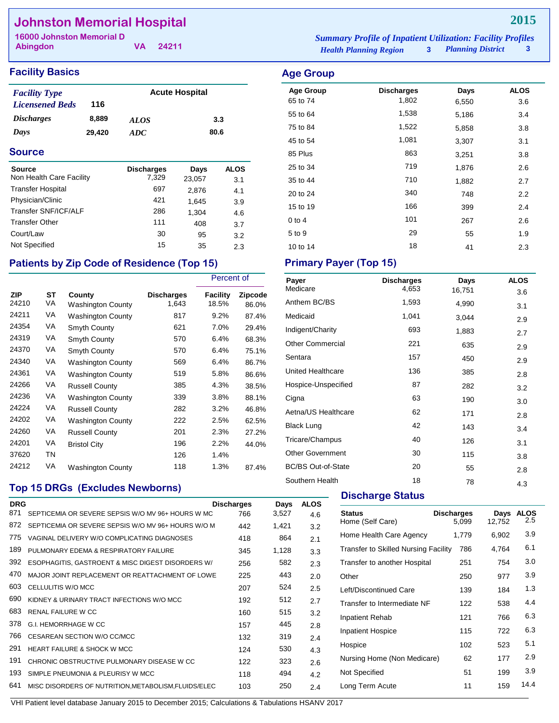## **Johnston Memorial Hospital**

**Abingdon**

**VA 24211**

#### **Facility Basics Age Group Age Group**

| <b>Facility Type</b>     |        | <b>Acute Hospital</b> |      |
|--------------------------|--------|-----------------------|------|
| <b>Licensened Beds</b>   | 116    |                       |      |
| <i><b>Discharges</b></i> | 8,889  | <b>ALOS</b>           | 3.3  |
| Days                     | 29,420 | ADC.                  | 80.6 |

#### **Source**

| <b>Source</b><br>Non Health Care Facility | <b>Discharges</b><br>7,329 | Days<br>23,057 | ALOS |
|-------------------------------------------|----------------------------|----------------|------|
| <b>Transfer Hospital</b>                  | 697                        |                | 3.1  |
|                                           | 421                        | 2,876          | 4.1  |
| Physician/Clinic                          |                            | 1,645          | 3.9  |
| Transfer SNF/ICF/ALF                      | 286                        | 1,304          | 4.6  |
| <b>Transfer Other</b>                     | 111                        | 408            | 3.7  |
| Court/Law                                 | 30                         | 95             | 3.2  |
| Not Specified                             | 15                         | 35             | 2.3  |

## Patients by Zip Code of Residence (Top 15) Primary Payer (Top 15)

|                     |           |                             |                     | Percent of        |                         |
|---------------------|-----------|-----------------------------|---------------------|-------------------|-------------------------|
| <b>ZIP</b><br>24210 | SТ<br>VA  | County<br>Washington County | Discharges<br>1,643 | Facility<br>18.5% | <b>Zipcode</b><br>86.0% |
| 24211               | VA        | <b>Washington County</b>    | 817                 | 9.2%              | 87.4%                   |
| 24354               | VA        | Smyth County                | 621                 | 7.0%              | 29.4%                   |
| 24319               | VA        | Smyth County                | 570                 | 6.4%              | 68.3%                   |
| 24370               | VA        | Smyth County                | 570                 | 6.4%              | 75.1%                   |
| 24340               | VA        | Washington County           | 569                 | 6.4%              | 86.7%                   |
| 24361               | VA        | <b>Washington County</b>    | 519                 | 5.8%              | 86.6%                   |
| 24266               | VA        | <b>Russell County</b>       | 385                 | 4.3%              | 38.5%                   |
| 24236               | VA        | <b>Washington County</b>    | 339                 | 3.8%              | 88.1%                   |
| 24224               | VA        | <b>Russell County</b>       | 282                 | 3.2%              | 46.8%                   |
| 24202               | VA        | <b>Washington County</b>    | 222                 | 2.5%              | 62.5%                   |
| 24260               | VA        | <b>Russell County</b>       | 201                 | 2.3%              | 27.2%                   |
| 24201               | VA        | <b>Bristol City</b>         | 196                 | 2.2%              | 44.0%                   |
| 37620               | <b>TN</b> |                             | 126                 | 1.4%              |                         |
| 24212               | VA        | Washington County           | 118                 | 1.3%              | 87.4%                   |

## **Top 15 DRGs (Excludes Newborns)**

| <b>DRG</b><br>871 | SEPTICEMIA OR SEVERE SEPSIS W/O MV 96+ HOURS W MC    | <b>Discharges</b> | Days  | <b>ALOS</b> |  |
|-------------------|------------------------------------------------------|-------------------|-------|-------------|--|
|                   |                                                      | 766               | 3,527 | 4.6         |  |
| 872               | SEPTICEMIA OR SEVERE SEPSIS W/O MV 96+ HOURS W/O M   | 442               | 1,421 | 3.2         |  |
| 775               | VAGINAL DELIVERY W/O COMPLICATING DIAGNOSES          | 418               | 864   | 2.1         |  |
| 189               | PULMONARY FDEMA & RESPIRATORY FAILURE                | 345               | 1,128 | 3.3         |  |
| 392               | ESOPHAGITIS, GASTROENT & MISC DIGEST DISORDERS W/    | 256               | 582   | 2.3         |  |
| 470               | MAJOR JOINT REPLACEMENT OR REATTACHMENT OF LOWE      | 225               | 443   | 2.0         |  |
| 603               | CELLULITIS W/O MCC                                   | 207               | 524   | 2.5         |  |
| 690               | KIDNEY & URINARY TRACT INFECTIONS W/O MCC            | 192               | 512   | 2.7         |  |
| 683               | RENAL FAILURE W CC                                   | 160               | 515   | 3.2         |  |
| 378               | G.I. HEMORRHAGE W CC                                 | 157               | 445   | 2.8         |  |
| 766               | CESAREAN SECTION W/O CC/MCC                          | 132               | 319   | 2.4         |  |
| 291               | <b>HEART FAILURE &amp; SHOCK W MCC</b>               | 124               | 530   | 4.3         |  |
| 191               | CHRONIC OBSTRUCTIVE PULMONARY DISEASE W CC           | 122               | 323   | 2.6         |  |
| 193               | SIMPLE PNEUMONIA & PLEURISY W MCC                    | 118               | 494   | 4.2         |  |
| 641               | MISC DISORDERS OF NUTRITION, METABOLISM, FLUIDS/ELEC | 103               | 250   | 2.4         |  |
|                   |                                                      |                   |       |             |  |

*Health Planning Region* **3** *Planning District* **3 16000 Johnston Memorial D** *Summary Profile of Inpatient Utilization: Facility Profiles*

## Age Group **Discharges** Days ALOS 65 to 74 1,802 6,550 3.6 55 to 64 1,538 5,186 3.4 75 to 84 **1,522** 5,858 3.8 45 to 54 1,081 3,307 3.1 85 Plus 863 3,251 3.8 25 to 34 and 2.6 and 2.6 and 2.6 and 2.6 35 to 44 2.7 20 to 24 2.2 15 to 19 166 399 2.4 0 to 4 267 2.6  $5 \text{ to } 9$   $29$   $55$   $1.9$

10 to 14 2.3

| Payer                     | <b>Discharges</b> | Days   | <b>ALOS</b> |
|---------------------------|-------------------|--------|-------------|
| Medicare                  | 4,653             | 16,751 | 3.6         |
| Anthem BC/BS              | 1,593             | 4,990  | 3.1         |
| Medicaid                  | 1,041             | 3,044  | 2.9         |
| Indigent/Charity          | 693               | 1,883  | 2.7         |
| <b>Other Commercial</b>   | 221               | 635    | 2.9         |
| Sentara                   | 157               | 450    | 2.9         |
| United Healthcare         | 136               | 385    | 2.8         |
| Hospice-Unspecified       | 87                | 282    | 3.2         |
| Cigna                     | 63                | 190    | 3.0         |
| Aetna/US Healthcare       | 62                | 171    | 2.8         |
| <b>Black Lung</b>         | 42                | 143    | 3.4         |
| Tricare/Champus           | 40                | 126    | 3.1         |
| <b>Other Government</b>   | 30                | 115    | 3.8         |
| <b>BC/BS Out-of-State</b> | 20                | 55     | 2.8         |
| Southern Health           | 18                | 78     | 4.3         |

### **Discharge Status**

| <b>Status</b><br>Home (Self Care)           | <b>Discharges</b><br>5.099 | Days<br>12,752 | <b>ALOS</b><br>2.5 |
|---------------------------------------------|----------------------------|----------------|--------------------|
| Home Health Care Agency                     | 1,779                      | 6,902          | 3.9                |
| <b>Transfer to Skilled Nursing Facility</b> | 786                        | 4,764          | 6.1                |
| Transfer to another Hospital                | 251                        | 754            | 3.0                |
| Other                                       | 250                        | 977            | 3.9                |
| Left/Discontinued Care                      | 139                        | 184            | 1.3                |
| Transfer to Intermediate NF                 | 122                        | 538            | 4.4                |
| Inpatient Rehab                             | 121                        | 766            | 6.3                |
| <b>Inpatient Hospice</b>                    | 115                        | 722            | 6.3                |
| Hospice                                     | 102                        | 523            | 5.1                |
| Nursing Home (Non Medicare)                 | 62                         | 177            | 2.9                |
| Not Specified                               | 51                         | 199            | 3.9                |
| Long Term Acute                             | 11                         | 159            | 14.4               |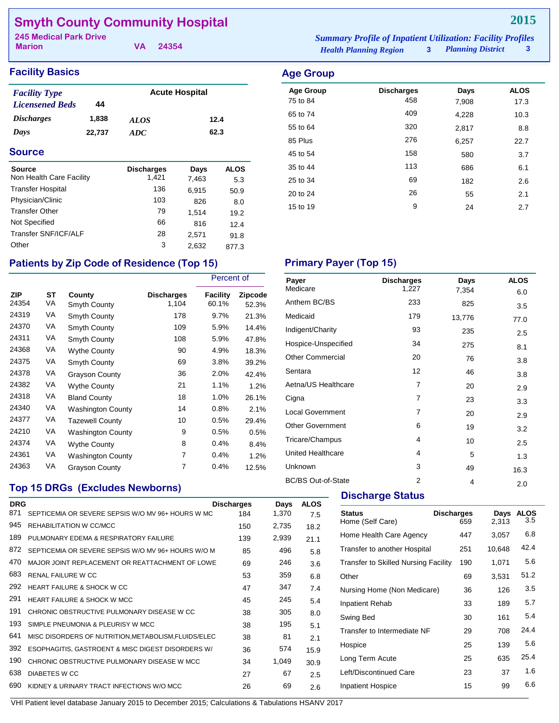## **Smyth County Community Hospital**

**Marion**

**VA 24354**

| mmary Profile of Inpatient Utilization: Facilit |                        |  |
|-------------------------------------------------|------------------------|--|
| <b>Tealth Planning Region</b>                   | <b>Planning Distri</b> |  |

### **Facility Basics Age Group**

| <b>Facility Type</b>   |        | <b>Acute Hospital</b> |      |
|------------------------|--------|-----------------------|------|
| <b>Licensened Beds</b> | 44     |                       |      |
| <b>Discharges</b>      | 1,838  | <i>ALOS</i>           | 12.4 |
| Days                   | 22,737 | ADC.                  | 62.3 |

#### **Source**

| <b>Source</b>            | <b>Discharges</b> | Days  | <b>ALOS</b> |
|--------------------------|-------------------|-------|-------------|
| Non Health Care Facility | 1,421             | 7,463 | 5.3         |
| <b>Transfer Hospital</b> | 136               | 6,915 | 50.9        |
| Physician/Clinic         | 103               | 826   | 8.0         |
| <b>Transfer Other</b>    | 79                | 1.514 | 19.2        |
| Not Specified            | 66                | 816   | 12.4        |
| Transfer SNF/ICF/ALF     | 28                | 2.571 | 91.8        |
| Other                    | 3                 | 2.632 | 877.3       |

#### *Health Planning Region* **3**  $\int_{0}^{\infty}$  **3 245 Medical Park Drive** *Summary Profile of Inpatient Utilization: Facility Profiles*

| ີ                |                   |       |             |
|------------------|-------------------|-------|-------------|
| <b>Age Group</b> | <b>Discharges</b> | Days  | <b>ALOS</b> |
| 75 to 84         | 458               | 7,908 | 17.3        |
| 65 to 74         | 409               | 4,228 | 10.3        |
| 55 to 64         | 320               | 2,817 | 8.8         |
| 85 Plus          | 276               | 6,257 | 22.7        |
| 45 to 54         | 158               | 580   | 3.7         |
| 35 to 44         | 113               | 686   | 6.1         |
| 25 to 34         | 69                | 182   | 2.6         |
| 20 to 24         | 26                | 55    | 2.1         |
| 15 to 19         | 9                 | 24    | 2.7         |
|                  |                   |       |             |

## Patients by Zip Code of Residence (Top 15) **Primary Payer (Top 15)**

|                     |          |                          |                            | Percent of               |                         |
|---------------------|----------|--------------------------|----------------------------|--------------------------|-------------------------|
| <b>ZIP</b><br>24354 | SТ<br>VA | County<br>Smyth County   | <b>Discharges</b><br>1,104 | <b>Facility</b><br>60.1% | <b>Zipcode</b><br>52.3% |
| 24319               | VA       | Smyth County             | 178                        | 9.7%                     | 21.3%                   |
| 24370               | VA       | Smyth County             | 109                        | 5.9%                     | 14.4%                   |
| 24311               | VA       | Smyth County             | 108                        | 5.9%                     | 47.8%                   |
| 24368               | VA       | <b>Wythe County</b>      | 90                         | 4.9%                     | 18.3%                   |
| 24375               | VA       | Smyth County             | 69                         | 3.8%                     | 39.2%                   |
| 24378               | VA       | <b>Grayson County</b>    | 36                         | 2.0%                     | 42.4%                   |
| 24382               | VA       | <b>Wythe County</b>      | 21                         | 1.1%                     | $1.2\%$                 |
| 24318               | VA       | <b>Bland County</b>      | 18                         | 1.0%                     | 26.1%                   |
| 24340               | VA       | <b>Washington County</b> | 14                         | 0.8%                     | 2.1%                    |
| 24377               | VA       | <b>Tazewell County</b>   | 10                         | 0.5%                     | 29.4%                   |
| 24210               | VA       | <b>Washington County</b> | 9                          | 0.5%                     | 0.5%                    |
| 24374               | VA       | <b>Wythe County</b>      | 8                          | 0.4%                     | $8.4\%$                 |
| 24361               | VA       | <b>Washington County</b> | 7                          | 0.4%                     | 1.2%                    |
| 24363               | VA       | <b>Grayson County</b>    | 7                          | 0.4%                     | 12.5%                   |

### **Top 15 DRGs (Excludes Newborns)**

| <b>DRG</b><br>871 | SEPTICEMIA OR SEVERE SEPSIS W/O MV 96+ HOURS W MC    | <b>Discharges</b> | Days  | <b>ALOS</b> |
|-------------------|------------------------------------------------------|-------------------|-------|-------------|
|                   |                                                      | 184               | 1,370 | 7.5         |
| 945               | REHABILITATION W CC/MCC                              | 150               | 2,735 | 18.2        |
| 189               | PULMONARY EDEMA & RESPIRATORY FAILURE                | 139               | 2,939 | 21.1        |
| 872               | SEPTICEMIA OR SEVERE SEPSIS W/O MV 96+ HOURS W/O M   | 85                | 496   | 5.8         |
| 470               | MAJOR JOINT REPLACEMENT OR REATTACHMENT OF LOWE      | 69                | 246   | 3.6         |
| 683               | <b>RENAL FAILURE W CC</b>                            | 53                | 359   | 6.8         |
| 292               | HEART FAILURE & SHOCK W CC                           | 47                | 347   | 7.4         |
| 291               | <b>HEART FAILURE &amp; SHOCK W MCC</b>               | 45                | 245   | 5.4         |
| 191               | CHRONIC OBSTRUCTIVE PULMONARY DISEASE W CC           | 38                | 305   | 8.0         |
| 193               | SIMPLE PNEUMONIA & PLEURISY W MCC                    | 38                | 195   | 5.1         |
| 641               | MISC DISORDERS OF NUTRITION, METABOLISM, FLUIDS/ELEC | 38                | 81    | 2.1         |
| 392               | ESOPHAGITIS, GASTROENT & MISC DIGEST DISORDERS W/    | 36                | 574   | 15.9        |
| 190               | CHRONIC OBSTRUCTIVE PULMONARY DISEASE W MCC          | 34                | 1,049 | 30.9        |
| 638               | DIABETES W CC                                        | 27                | 67    | 2.5         |
| 690               | KIDNEY & URINARY TRACT INFECTIONS W/O MCC            | 26                | 69    | 2.6         |

| Payer                     | <b>Discharges</b> | Days   | <b>ALOS</b> |
|---------------------------|-------------------|--------|-------------|
| Medicare                  | 1,227             | 7,354  | 6.0         |
| Anthem BC/BS              | 233               | 825    | 3.5         |
| Medicaid                  | 179               | 13,776 | 77.0        |
| Indigent/Charity          | 93                | 235    | 2.5         |
| Hospice-Unspecified       | 34                | 275    | 8.1         |
| <b>Other Commercial</b>   | 20                | 76     | 3.8         |
| Sentara                   | 12                | 46     | 3.8         |
| Aetna/US Healthcare       | $\overline{7}$    | 20     | 2.9         |
| Cigna                     | 7                 | 23     | 3.3         |
| <b>Local Government</b>   | 7                 | 20     | 2.9         |
| <b>Other Government</b>   | 6                 | 19     | 3.2         |
| Tricare/Champus           | 4                 | 10     | 2.5         |
| <b>United Healthcare</b>  | 4                 | 5      | 1.3         |
| Unknown                   | 3                 | 49     | 16.3        |
| <b>BC/BS Out-of-State</b> | $\overline{2}$    | 4      | 2.0         |

### **Discharge Status**

| <b>Status</b><br>Home (Self Care)           | <b>Discharges</b><br>659 | Days<br>2,313 | <b>ALOS</b><br>3.5 |
|---------------------------------------------|--------------------------|---------------|--------------------|
| Home Health Care Agency                     | 447                      | 3,057         | 6.8                |
| Transfer to another Hospital                | 251                      | 10,648        | 42.4               |
| <b>Transfer to Skilled Nursing Facility</b> | 190                      | 1,071         | 5.6                |
| Other                                       | 69                       | 3,531         | 51.2               |
| Nursing Home (Non Medicare)                 | 36                       | 126           | 3.5                |
| Inpatient Rehab                             | 33                       | 189           | 5.7                |
| Swing Bed                                   | 30                       | 161           | 5.4                |
| Transfer to Intermediate NF                 | 29                       | 708           | 24.4               |
| Hospice                                     | 25                       | 139           | 5.6                |
| Long Term Acute                             | 25                       | 635           | 25.4               |
| Left/Discontinued Care                      | 23                       | 37            | 1.6                |
| <b>Inpatient Hospice</b>                    | 15                       | 99            | 6.6                |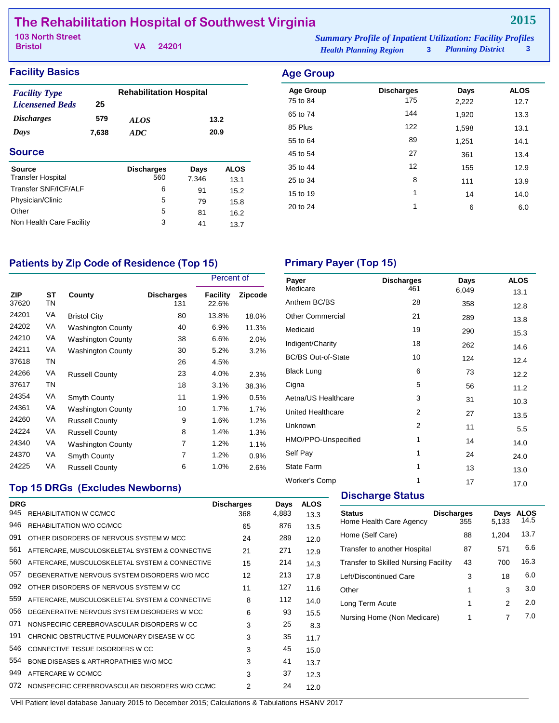## **The Rehabilitation Hospital of Southwest Virginia**

**Bristol**

**VA 24201**

**2015**

#### **Facility Basics Age Group Age Group** *Discharges Days ALOS ADC Licensened Beds* **25 579 7,638 13.2 20.9 Source** *Facility Type* **Rehabilitation Hospital** Age Group **Discharges** Days ALOS 75 to 84 175 2,222 12.7 65 to 74 144 1,920 13.3 85 Plus 122 1,598 13.1 55 to 64 **89** 1,251 14.1 45 to 54 27 361 361 3.4 35 to 44 2 2 35 to 44 2 35 to 44 2 35 to 44 2 35 to 44 2 35 2 35 2 36  $\frac{12}{3}$ 25 to 34 and 25 to 34 and 25 to 34 and 25 to 34 and 25 bit  $\frac{8}{111}$  and 25 to 34 15 to 19 1 14 14.0 20 to 24 1 6 6.0 **Source Discharges Days ALOS**<br>Transfer Hospital **Discharges** Days ALOS Transfer Hospital 560 7,346 13.1 Transfer SNF/ICF/ALF 6 91 15.2 Physician/Clinic 6 79 15.8<br>Other 5 81 16.2 Other 5 81 16.2 Non Health Care Facility **3** 41 13.7

### Patients by Zip Code of Residence (Top 15) Primary Payer (Top 15)

|                     |                 |                          |                          | Percent of        |         |
|---------------------|-----------------|--------------------------|--------------------------|-------------------|---------|
| <b>ZIP</b><br>37620 | <b>ST</b><br>ΤN | County                   | <b>Discharges</b><br>131 | Facility<br>22.6% | Zipcode |
| 24201               | VA              | <b>Bristol City</b>      | 80                       | 13.8%             | 18.0%   |
| 24202               | VA              | <b>Washington County</b> | 40                       | 6.9%              | 11.3%   |
| 24210               | VA              | <b>Washington County</b> | 38                       | 6.6%              | 2.0%    |
| 24211               | VA              | <b>Washington County</b> | 30                       | 5.2%              | 3.2%    |
| 37618               | TN              |                          | 26                       | 4.5%              |         |
| 24266               | VA              | <b>Russell County</b>    | 23                       | 4.0%              | 2.3%    |
| 37617               | ΤN              |                          | 18                       | 3.1%              | 38.3%   |
| 24354               | VA              | Smyth County             | 11                       | 1.9%              | 0.5%    |
| 24361               | VA              | <b>Washington County</b> | 10                       | 1.7%              | 1.7%    |
| 24260               | VA              | <b>Russell County</b>    | 9                        | 1.6%              | 1.2%    |
| 24224               | VA              | <b>Russell County</b>    | 8                        | 1.4%              | $1.3\%$ |
| 24340               | VA              | <b>Washington County</b> | 7                        | 1.2%              | 1.1%    |
| 24370               | VA              | Smyth County             | 7                        | 1.2%              | 0.9%    |
| 24225               | VA              | <b>Russell County</b>    | 6                        | 1.0%              | 2.6%    |

| Payer<br>Medicare         | <b>Discharges</b><br>461 | Days<br>6,049 | <b>ALOS</b>  |
|---------------------------|--------------------------|---------------|--------------|
| Anthem BC/BS              | 28                       | 358           | 13.1<br>12.8 |
| <b>Other Commercial</b>   | 21                       | 289           | 13.8         |
| Medicaid                  | 19                       | 290           | 15.3         |
| Indigent/Charity          | 18                       | 262           | 14.6         |
| <b>BC/BS Out-of-State</b> | 10                       | 124           | 12.4         |
| <b>Black Lung</b>         | 6                        | 73            | 12.2         |
| Cigna                     | 5                        | 56            | 11.2         |
| Aetna/US Healthcare       | 3                        | 31            | 10.3         |
| United Healthcare         | 2                        | 27            | 13.5         |
| Unknown                   | $\overline{2}$           | 11            | 5.5          |
| HMO/PPO-Unspecified       | 1                        | 14            | 14.0         |
| Self Pay                  | 1                        | 24            | 24.0         |
| <b>State Farm</b>         | 1                        | 13            | 13.0         |
| <b>Worker's Comp</b>      | 1                        | 17            | 17.0         |

## **Top 15 DRGs (Excludes Newborns)**

| <b>DRG</b><br>945 | REHABILITATION W CC/MCC                         | <b>Discharges</b><br>368 | Days<br>4,883 | <b>ALOS</b><br>13.3 |  |
|-------------------|-------------------------------------------------|--------------------------|---------------|---------------------|--|
| 946               | REHABILITATION W/O CC/MCC                       | 65                       | 876           | 13.5                |  |
| 091               | OTHER DISORDERS OF NERVOUS SYSTEM W MCC.        | 24                       | 289           | 12.0                |  |
| 561               | AFTERCARE, MUSCULOSKELETAL SYSTEM & CONNECTIVE  | 21                       | 271           | 12.9                |  |
| 560               | AFTERCARE, MUSCULOSKELETAL SYSTEM & CONNECTIVE  | 15                       | 214           | 14.3                |  |
| 057               | DEGENERATIVE NERVOUS SYSTEM DISORDERS W/O MCC   | 12                       | 213           | 17.8                |  |
| 092               | OTHER DISORDERS OF NERVOUS SYSTEM W CC.         | 11                       | 127           | 11.6                |  |
| 559               | AFTERCARE, MUSCULOSKELETAL SYSTEM & CONNECTIVE  | 8                        | 112           | 14.0                |  |
| 056               | DEGENERATIVE NERVOUS SYSTEM DISORDERS W MCC     | 6                        | 93            | 15.5                |  |
| 071               | NONSPECIFIC CEREBROVASCULAR DISORDERS W CC      | 3                        | 25            | 8.3                 |  |
| 191               | CHRONIC OBSTRUCTIVE PULMONARY DISEASE W CC      | 3                        | 35            | 11.7                |  |
| 546               | CONNECTIVE TISSUE DISORDERS W CC                | 3                        | 45            | 15.0                |  |
| 554               | BONE DISEASES & ARTHROPATHIES W/O MCC           | 3                        | 41            | 13.7                |  |
| 949               | AFTERCARE W CC/MCC                              | 3                        | 37            | 12.3                |  |
| 072               | NONSPECIFIC CEREBROVASCULAR DISORDERS W/O CC/MC | 2                        | 24            | 12.0                |  |
|                   |                                                 |                          |               |                     |  |

#### **Discharge Status**

| <b>Status</b><br>Home Health Care Agency | <b>Discharges</b><br>355 | Days<br>5.133 | <b>ALOS</b><br>14.5 |
|------------------------------------------|--------------------------|---------------|---------------------|
| Home (Self Care)                         | 88                       | 1.204         | 13.7                |
| Transfer to another Hospital             | 87                       | 571           | 6.6                 |
| Transfer to Skilled Nursing Facility     | 43                       | 700           | 16.3                |
| Left/Discontinued Care                   | 3                        | 18            | 6.0                 |
| Other                                    | 1                        | 3             | 3.0                 |
| Long Term Acute                          | 1                        | 2             | 2.0                 |
| Nursing Home (Non Medicare)              | 1                        | 7             | 7.0                 |
|                                          |                          |               |                     |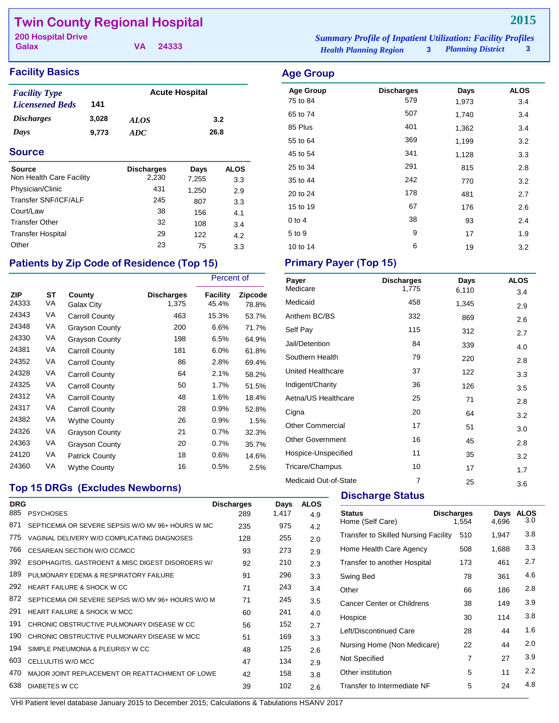## **Twin County Regional Hospital**

**Galax**

**VA 24333**

## **Facility Basics Age Group**

| <b>Facility Type</b>     |       | <b>Acute Hospital</b> |      |  |
|--------------------------|-------|-----------------------|------|--|
| <b>Licensened Beds</b>   | 141   |                       |      |  |
| <i><b>Discharges</b></i> | 3.028 | <i>ALOS</i>           | 3.2  |  |
| Days                     | 9.773 | ADC.                  | 26.8 |  |

#### **Source**

| <b>Source</b><br>Non Health Care Facility | <b>Discharges</b><br>2,230 | Days<br>7,255 | ALOS<br>3.3 |
|-------------------------------------------|----------------------------|---------------|-------------|
| Physician/Clinic                          | 431                        | 1,250         | 2.9         |
| Transfer SNF/ICF/ALF                      | 245                        | 807           | 3.3         |
| Court/Law                                 | 38                         | 156           | 4.1         |
| <b>Transfer Other</b>                     | 32                         | 108           | 3.4         |
| <b>Transfer Hospital</b>                  | 29                         | 122           | 4.2         |
| Other                                     | 23                         | 75            | 3.3         |

## Patients by Zip Code of Residence (Top 15) Primary Payer (Top 15)

|                     |          |                       | Percent of          |                   |                         |
|---------------------|----------|-----------------------|---------------------|-------------------|-------------------------|
| <b>ZIP</b><br>24333 | SТ<br>VA | County<br>Galax City  | Discharges<br>1,375 | Facility<br>45.4% | <b>Zipcode</b><br>78.8% |
| 24343               | VA       | <b>Carroll County</b> | 463                 | 15.3%             | 53.7%                   |
| 24348               | VA       | <b>Grayson County</b> | 200                 | 6.6%              | 71.7%                   |
| 24330               | VA       | <b>Grayson County</b> | 198                 | 6.5%              | 64.9%                   |
| 24381               | VA       | <b>Carroll County</b> | 181                 | 6.0%              | 61.8%                   |
| 24352               | VA       | <b>Carroll County</b> | 86                  | 2.8%              | 69.4%                   |
| 24328               | VA       | <b>Carroll County</b> | 64                  | 2.1%              | 58.2%                   |
| 24325               | VA       | Carroll County        | 50                  | 1.7%              | 51.5%                   |
| 24312               | VA       | Carroll County        | 48                  | 1.6%              | 18.4%                   |
| 24317               | VA       | Carroll County        | 28                  | 0.9%              | 52.8%                   |
| 24382               | VA       | <b>Wythe County</b>   | 26                  | 0.9%              | 1.5%                    |
| 24326               | VA       | <b>Grayson County</b> | 21                  | 0.7%              | 32.3%                   |
| 24363               | VA       | <b>Grayson County</b> | 20                  | 0.7%              | 35.7%                   |
| 24120               | VA       | <b>Patrick County</b> | 18                  | 0.6%              | 14.6%                   |
| 24360               | VA       | <b>Wythe County</b>   | 16                  | 0.5%              | 2.5%                    |

#### *Health Planning Region* **3** *Planning District* **3 200 Hospital Drive** *Summary Profile of Inpatient Utilization: Facility Profiles*

| <b>Planning District</b> |  |
|--------------------------|--|
|                          |  |

**2015**

| ັ                |                   |       |             |
|------------------|-------------------|-------|-------------|
| <b>Age Group</b> | <b>Discharges</b> | Days  | <b>ALOS</b> |
| 75 to 84         | 579               | 1,973 | 3.4         |
| 65 to 74         | 507               | 1,740 | 3.4         |
| 85 Plus          | 401               | 1,362 | 3.4         |
| 55 to 64         | 369               | 1,199 | 3.2         |
| 45 to 54         | 341               | 1,128 | 3.3         |
| 25 to 34         | 291               | 815   | 2.8         |
| 35 to 44         | 242               | 770   | 3.2         |
| 20 to 24         | 178               | 481   | 2.7         |
| 15 to 19         | 67                | 176   | 2.6         |
| 0 to 4           | 38                | 93    | 2.4         |
| 5 to 9           | 9                 | 17    | 1.9         |
| 10 to 14         | 6                 | 19    | 3.2         |

| Payer<br>Medicare       | <b>Discharges</b> | Days  | <b>ALOS</b> |
|-------------------------|-------------------|-------|-------------|
|                         | 1,775             | 6,110 | 3.4         |
| Medicaid                | 458               | 1,345 | 2.9         |
| Anthem BC/BS            | 332               | 869   | 2.6         |
| Self Pay                | 115               | 312   | 2.7         |
| Jail/Detention          | 84                | 339   | 4.0         |
| Southern Health         | 79                | 220   | 2.8         |
| United Healthcare       | 37                | 122   | 3.3         |
| Indigent/Charity        | 36                | 126   | 3.5         |
| Aetna/US Healthcare     | 25                | 71    | 2.8         |
| Cigna                   | 20                | 64    | 3.2         |
| <b>Other Commercial</b> | 17                | 51    | 3.0         |
| <b>Other Government</b> | 16                | 45    | 2.8         |
| Hospice-Unspecified     | 11                | 35    | 3.2         |
| Tricare/Champus         | 10                | 17    | 1.7         |
| Medicaid Out-of-State   | $\overline{7}$    | 25    | 3.6         |

## **Top 15 DRGs (Excludes Newborns)**

| <b>DRG</b> |                                                    | <b>Discharges</b> | Days  | <b>ALOS</b> |
|------------|----------------------------------------------------|-------------------|-------|-------------|
| 885        | <b>PSYCHOSES</b>                                   | 289               | 1,417 | 4.9         |
| 871        | SEPTICEMIA OR SEVERE SEPSIS W/O MV 96+ HOURS W MC  | 235               | 975   | 4.2         |
| 775        | VAGINAL DELIVERY W/O COMPLICATING DIAGNOSES        | 128               | 255   | 2.0         |
| 766        | CESAREAN SECTION W/O CC/MCC                        | 93                | 273   | 2.9         |
| 392        | ESOPHAGITIS, GASTROENT & MISC DIGEST DISORDERS W/  | 92                | 210   | 2.3         |
| 189        | PULMONARY FDEMA & RESPIRATORY FAILURE              | 91                | 296   | 3.3         |
| 292        | HEART FAILURE & SHOCK W CC                         | 71                | 243   | 3.4         |
| 872        | SEPTICEMIA OR SEVERE SEPSIS W/O MV 96+ HOURS W/O M | 71                | 245   | 3.5         |
| 291        | <b>HEART FAILURE &amp; SHOCK W MCC</b>             | 60                | 241   | 4.0         |
| 191        | CHRONIC OBSTRUCTIVE PULMONARY DISEASE W CC         | 56                | 152   | 2.7         |
| 190        | CHRONIC OBSTRUCTIVE PULMONARY DISEASE W MCC        | 51                | 169   | 3.3         |
| 194        | SIMPLE PNEUMONIA & PLEURISY W CC                   | 48                | 125   | 2.6         |
| 603        | CELLULITIS W/O MCC                                 | 47                | 134   | 2.9         |
| 470        | MAJOR JOINT REPLACEMENT OR REATTACHMENT OF LOWE    | 42                | 158   | 3.8         |
| 638        | DIABETES W CC                                      | 39                | 102   | 2.6         |
|            |                                                    |                   |       |             |

### **Discharge Status**

| <b>Status</b><br>Home (Self Care)           | <b>Discharges</b><br>1.554 | Days<br>4.696 | <b>ALOS</b><br>3.0 |
|---------------------------------------------|----------------------------|---------------|--------------------|
| <b>Transfer to Skilled Nursing Facility</b> | 510                        | 1,947         | 3.8                |
| Home Health Care Agency                     | 508                        | 1,688         | 3.3                |
| Transfer to another Hospital                | 173                        | 461           | 2.7                |
| Swing Bed                                   | 78                         | 361           | 4.6                |
| Other                                       | 66                         | 186           | 2.8                |
| <b>Cancer Center or Childrens</b>           | 38                         | 149           | 3.9                |
| Hospice                                     | 30                         | 114           | 3.8                |
| Left/Discontinued Care                      | 28                         | 44            | 1.6                |
| Nursing Home (Non Medicare)                 | 22                         | 44            | 2.0                |
| Not Specified                               | 7                          | 27            | 3.9                |
| Other institution                           | 5                          | 11            | 2.2                |
| Transfer to Intermediate NF                 | 5                          | 24            | 4.8                |
|                                             |                            |               |                    |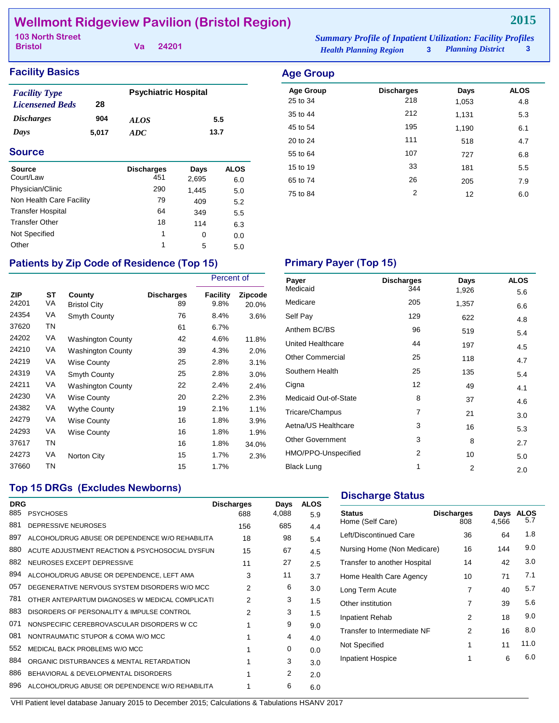## **Wellmont Ridgeview Pavilion (Bristol Region)**

| <b>103 North Street</b> |  | <b>Summary Profile of Inpatient Utilization: Facility Profiles</b> |                               |                            |              |
|-------------------------|--|--------------------------------------------------------------------|-------------------------------|----------------------------|--------------|
| <b>Bristol</b>          |  | Va 24201                                                           | <b>Health Planning Region</b> | <b>3</b> Planning District | $\mathbf{3}$ |

### **Facility Basics**

| <b>Facility Type</b>     |       | <b>Psychiatric Hospital</b> |      |
|--------------------------|-------|-----------------------------|------|
| <b>Licensened Beds</b>   | 28    |                             |      |
| <i><b>Discharges</b></i> | 904   | <i>ALOS</i>                 | 5.5  |
| Days                     | 5.017 | ADC.                        | 13.7 |

#### **Source**

| Source<br>Court/Law      | <b>Discharges</b><br>451 | Days<br>2,695 | <b>ALOS</b><br>6.0 |
|--------------------------|--------------------------|---------------|--------------------|
| Physician/Clinic         | 290                      |               |                    |
|                          |                          | 1,445         | 5.0                |
| Non Health Care Facility | 79                       | 409           | 5.2                |
| <b>Transfer Hospital</b> | 64                       | 349           | 5.5                |
| <b>Transfer Other</b>    | 18                       | 114           | 6.3                |
| Not Specified            | 1                        | 0             | 0.0                |
| Other                    | 1                        | 5             | 5.0                |

| <b>Discharges</b> | Days  | <b>ALOS</b> |
|-------------------|-------|-------------|
|                   | 1,053 | 4.8         |
| 212               | 1,131 | 5.3         |
| 195               | 1,190 | 6.1         |
| 111               | 518   | 4.7         |
| 107               | 727   | 6.8         |
| 33                | 181   | 5.5         |
| 26                | 205   | 7.9         |
| $\overline{2}$    | 12    | 6.0         |
|                   | 218   |             |

## Patients by Zip Code of Residence (Top 15) **Primary Payer (Top 15)**

|                     |           |                               |                         | Percent of       |                         |  |
|---------------------|-----------|-------------------------------|-------------------------|------------------|-------------------------|--|
| <b>ZIP</b><br>24201 | ST<br>VA  | County<br><b>Bristol City</b> | <b>Discharges</b><br>89 | Facility<br>9.8% | <b>Zipcode</b><br>20.0% |  |
| 24354               | VA        | Smyth County                  | 76                      | 8.4%             | 3.6%                    |  |
| 37620               | <b>TN</b> |                               | 61                      | 6.7%             |                         |  |
| 24202               | VA        | <b>Washington County</b>      | 42                      | 4.6%             | 11.8%                   |  |
| 24210               | VA        | <b>Washington County</b>      | 39                      | 4.3%             | 2.0%                    |  |
| 24219               | VA        | Wise County                   | 25                      | 2.8%             | 3.1%                    |  |
| 24319               | VA        | Smyth County                  | 25                      | 2.8%             | $3.0\%$                 |  |
| 24211               | VA        | <b>Washington County</b>      | 22                      | 2.4%             | 2.4%                    |  |
| 24230               | VA        | Wise County                   | 20                      | 2.2%             | 2.3%                    |  |
| 24382               | VA        | <b>Wythe County</b>           | 19                      | 2.1%             | 1.1%                    |  |
| 24279               | VA        | <b>Wise County</b>            | 16                      | 1.8%             | 3.9%                    |  |
| 24293               | VA        | <b>Wise County</b>            | 16                      | 1.8%             | 1.9%                    |  |
| 37617               | <b>TN</b> |                               | 16                      | 1.8%             | 34.0%                   |  |
| 24273               | VA        | Norton City                   | 15                      | 1.7%             | 2.3%                    |  |
| 37660               | TN        |                               | 15                      | 1.7%             |                         |  |

| Payer                   | <b>Discharges</b> | Days  | <b>ALOS</b> |
|-------------------------|-------------------|-------|-------------|
| Medicaid                | 344               | 1,926 | 5.6         |
| Medicare                | 205               | 1,357 | 6.6         |
| Self Pay                | 129               | 622   | 4.8         |
| Anthem BC/BS            | 96                | 519   | 5.4         |
| United Healthcare       | 44                | 197   | 4.5         |
| <b>Other Commercial</b> | 25                | 118   | 4.7         |
| Southern Health         | 25                | 135   | 5.4         |
| Cigna                   | 12                | 49    | 4.1         |
| Medicaid Out-of-State   | 8                 | 37    | 4.6         |
| Tricare/Champus         | 7                 | 21    | 3.0         |
| Aetna/US Healthcare     | 3                 | 16    | 5.3         |
| <b>Other Government</b> | 3                 | 8     | 2.7         |
| HMO/PPO-Unspecified     | 2                 | 10    | 5.0         |
| <b>Black Lung</b>       | 1                 | 2     | 2.0         |

## **Top 15 DRGs (Excludes Newborns)**

| <b>DRG</b> |                                                 | <b>Discharges</b> | Days  | <b>ALOS</b> |
|------------|-------------------------------------------------|-------------------|-------|-------------|
| 885        | <b>PSYCHOSES</b>                                | 688               | 4,088 | 5.9         |
| 881        | DEPRESSIVE NEUROSES                             | 156               | 685   | 4.4         |
| 897        | ALCOHOL/DRUG ABUSE OR DEPENDENCE W/O REHABILITA | 18                | 98    | 5.4         |
| 880        | ACUTE ADJUSTMENT REACTION & PSYCHOSOCIAL DYSFUN | 15                | 67    | 4.5         |
| 882        | NEUROSES EXCEPT DEPRESSIVE                      | 11                | 27    | 2.5         |
| 894        | ALCOHOL/DRUG ABUSE OR DEPENDENCE, LEFT AMA      | 3                 | 11    | 3.7         |
| 057        | DEGENERATIVE NERVOUS SYSTEM DISORDERS W/O MCC   | $\mathcal{P}$     | 6     | 3.0         |
| 781        | OTHER ANTEPARTUM DIAGNOSES W MEDICAL COMPLICATI | 2                 | 3     | 1.5         |
| 883        | DISORDERS OF PERSONALITY & IMPULSE CONTROL      | $\mathfrak{p}$    | 3     | 1.5         |
| 071        | NONSPECIFIC CEREBROVASCULAR DISORDERS W CC      | 1                 | 9     | 9.0         |
| 081        | NONTRAUMATIC STUPOR & COMA W/O MCC              | 1                 | 4     | 4.0         |
| 552        | MEDICAL BACK PROBLEMS W/O MCC                   | 1                 | 0     | 0.0         |
| 884        | ORGANIC DISTURBANCES & MENTAL RETARDATION       |                   | 3     | 3.0         |
| 886        | BEHAVIORAL & DEVELOPMENTAL DISORDERS            | 1                 | 2     | 2.0         |
| 896        | ALCOHOL/DRUG ABUSE OR DEPENDENCE W/O REHABILITA |                   | 6     | 6.0         |

#### **Discharge Status**

| <b>Status</b><br>Home (Self Care) | <b>Discharges</b><br>808 | Days<br>4.566 | <b>ALOS</b><br>5.7 |
|-----------------------------------|--------------------------|---------------|--------------------|
| Left/Discontinued Care            | 36                       | 64            | 1.8                |
| Nursing Home (Non Medicare)       | 16                       | 144           | 9.0                |
| Transfer to another Hospital      | 14                       | 42            | 3.0                |
| Home Health Care Agency           | 10                       | 71            | 7.1                |
| Long Term Acute                   | 7                        | 40            | 5.7                |
| Other institution                 | 7                        | 39            | 5.6                |
| Inpatient Rehab                   | 2                        | 18            | 9.0                |
| Transfer to Intermediate NF       | 2                        | 16            | 8.0                |
| Not Specified                     | 1                        | 11            | 11.0               |
| Inpatient Hospice                 | 1                        | 6             | 6.0                |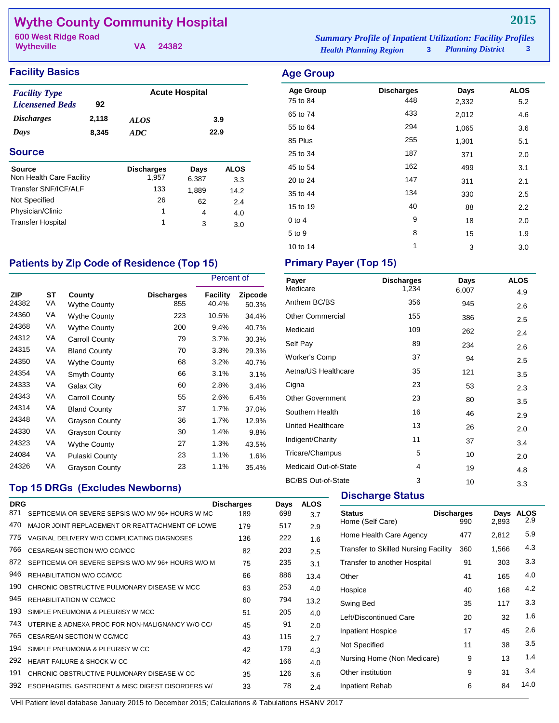## **Wythe County Community Hospital**

**Wytheville**

**VA 24382**

#### **Facility Basics Age Group**

| 8,345                | ADC  | 22.9                  |
|----------------------|------|-----------------------|
| 2,118                | ALOS | 3.9                   |
| 92                   |      |                       |
| <b>Facility Type</b> |      |                       |
|                      |      | <b>Acute Hospital</b> |

| source                   | <b>Discharges</b> | Days  | ALUS |
|--------------------------|-------------------|-------|------|
| Non Health Care Facility | 1.957             | 6,387 | 3.3  |
| Transfer SNF/ICF/ALF     | 133               | 1.889 | 14.2 |
| Not Specified            | 26                | 62    | 2.4  |
| Physician/Clinic         |                   | 4     | 4.0  |
| <b>Transfer Hospital</b> | 1                 | 3     | 3.0  |
|                          |                   |       |      |

#### *Planning District* **3 600 West Ridge Road** *Summary Profile of Inpatient Utilization: Facility Profiles*

## *Health Planning Region* **3**

| ngo oroap        |                   |       |                  |
|------------------|-------------------|-------|------------------|
| <b>Age Group</b> | <b>Discharges</b> | Days  | <b>ALOS</b>      |
| 75 to 84         | 448               | 2,332 | 5.2              |
| 65 to 74         | 433               | 2,012 | 4.6              |
| 55 to 64         | 294               | 1,065 | 3.6              |
| 85 Plus          | 255               | 1,301 | 5.1              |
| 25 to 34         | 187               | 371   | 2.0              |
| 45 to 54         | 162               | 499   | 3.1              |
| 20 to 24         | 147               | 311   | 2.1              |
| 35 to 44         | 134               | 330   | 2.5              |
| 15 to 19         | 40                | 88    | $2.2\phantom{0}$ |
| $0$ to 4         | 9                 | 18    | 2.0              |
| 5 to 9           | 8                 | 15    | 1.9              |
| 10 to 14         | 1                 | 3     | 3.0              |

## Patients by Zip Code of Residence (Top 15) **Primary Payer (Top 15)**

|              |          |                               |                          | Percent of        |                         |
|--------------|----------|-------------------------------|--------------------------|-------------------|-------------------------|
| ZIP<br>24382 | ST<br>VA | County<br><b>Wythe County</b> | <b>Discharges</b><br>855 | Facility<br>40.4% | <b>Zipcode</b><br>50.3% |
| 24360        | VA       | <b>Wythe County</b>           | 223                      | 10.5%             | 34.4%                   |
| 24368        | VA       | <b>Wythe County</b>           | 200                      | 9.4%              | 40.7%                   |
| 24312        | VA       | Carroll County                | 79                       | 3.7%              | 30.3%                   |
| 24315        | VA       | <b>Bland County</b>           | 70                       | 3.3%              | 29.3%                   |
| 24350        | VA       | <b>Wythe County</b>           | 68                       | 3.2%              | 40.7%                   |
| 24354        | VA       | Smyth County                  | 66                       | 3.1%              | 3.1%                    |
| 24333        | VA       | Galax City                    | 60                       | 2.8%              | 3.4%                    |
| 24343        | VA       | <b>Carroll County</b>         | 55                       | 2.6%              | 6.4%                    |
| 24314        | VA       | <b>Bland County</b>           | 37                       | 1.7%              | 37.0%                   |
| 24348        | VA       | <b>Grayson County</b>         | 36                       | 1.7%              | 12.9%                   |
| 24330        | VA       | <b>Grayson County</b>         | 30                       | 1.4%              | 9.8%                    |
| 24323        | VA       | <b>Wythe County</b>           | 27                       | 1.3%              | 43.5%                   |
| 24084        | VA       | Pulaski County                | 23                       | 1.1%              | 1.6%                    |
| 24326        | VA       | Grayson County                | 23                       | 1.1%              | 35.4%                   |

#### **Top 15 DRGs (Excludes Newborns)**

| <b>DRG</b> |                                                    | <b>Discharges</b> | Days | <b>ALOS</b> |  |
|------------|----------------------------------------------------|-------------------|------|-------------|--|
| 871        | SEPTICEMIA OR SEVERE SEPSIS W/O MV 96+ HOURS W MC  | 189               | 698  | 3.7         |  |
| 470        | MAJOR JOINT REPLACEMENT OR REATTACHMENT OF LOWE    | 179               | 517  | 2.9         |  |
| 775        | VAGINAL DELIVERY W/O COMPLICATING DIAGNOSES        | 136               | 222  | 1.6         |  |
| 766        | CESAREAN SECTION W/O CC/MCC                        | 82                | 203  | 2.5         |  |
| 872        | SEPTICEMIA OR SEVERE SEPSIS W/O MV 96+ HOURS W/O M | 75                | 235  | 3.1         |  |
| 946        | REHABILITATION W/O CC/MCC                          | 66                | 886  | 13.4        |  |
| 190        | CHRONIC OBSTRUCTIVE PULMONARY DISEASE W MCC        | 63                | 253  | 4.0         |  |
| 945        | REHABILITATION W CC/MCC                            | 60                | 794  | 13.2        |  |
| 193        | SIMPLE PNEUMONIA & PLEURISY W MCC                  | 51                | 205  | 4.0         |  |
| 743        | UTERINE & ADNEXA PROC FOR NON-MALIGNANCY W/O CC/   | 45                | 91   | 2.0         |  |
| 765        | CESAREAN SECTION W CC/MCC                          | 43                | 115  | 2.7         |  |
| 194        | SIMPLE PNEUMONIA & PLEURISY W CC                   | 42                | 179  | 4.3         |  |
| 292        | HEART FAILURE & SHOCK W CC                         | 42                | 166  | 4.0         |  |
| 191        | CHRONIC OBSTRUCTIVE PULMONARY DISEASE W CC         | 35                | 126  | 3.6         |  |
| 392        | ESOPHAGITIS, GASTROENT & MISC DIGEST DISORDERS W/  | 33                | 78   | 2.4         |  |
|            |                                                    |                   |      |             |  |

| Payer<br>Medicare         | <b>Discharges</b><br>1,234 | Days<br>6,007 | <b>ALOS</b> |
|---------------------------|----------------------------|---------------|-------------|
| Anthem BC/BS              | 356                        | 945           | 4.9         |
| <b>Other Commercial</b>   | 155                        |               | 2.6         |
|                           |                            | 386           | 2.5         |
| Medicaid                  | 109                        | 262           | 2.4         |
| Self Pay                  | 89                         | 234           | 2.6         |
| <b>Worker's Comp</b>      | 37                         | 94            | 2.5         |
| Aetna/US Healthcare       | 35                         | 121           | 3.5         |
| Cigna                     | 23                         | 53            | 2.3         |
| <b>Other Government</b>   | 23                         | 80            | 3.5         |
| Southern Health           | 16                         | 46            | 2.9         |
| United Healthcare         | 13                         | 26            | 2.0         |
| Indigent/Charity          | 11                         | 37            | 3.4         |
| Tricare/Champus           | 5                          | 10            | 2.0         |
| Medicaid Out-of-State     | 4                          | 19            | 4.8         |
| <b>BC/BS Out-of-State</b> | 3                          | 10            | 3.3         |

#### **Discharge Status**

| <b>Status</b><br>Home (Self Care)           | <b>Discharges</b><br>990 | Days<br>2,893 | <b>ALOS</b><br>2.9 |
|---------------------------------------------|--------------------------|---------------|--------------------|
| Home Health Care Agency                     | 477                      | 2,812         | 5.9                |
| <b>Transfer to Skilled Nursing Facility</b> | 360                      | 1,566         | 4.3                |
| Transfer to another Hospital                | 91                       | 303           | 3.3                |
| Other                                       | 41                       | 165           | 4.0                |
| Hospice                                     | 40                       | 168           | 4.2                |
| Swing Bed                                   | 35                       | 117           | 3.3                |
| Left/Discontinued Care                      | 20                       | 32            | 1.6                |
| <b>Inpatient Hospice</b>                    | 17                       | 45            | 2.6                |
| Not Specified                               | 11                       | 38            | 3.5                |
| Nursing Home (Non Medicare)                 | 9                        | 13            | 1.4                |
| Other institution                           | 9                        | 31            | 3.4                |
| Inpatient Rehab                             | 6                        | 84            | 14.0               |
|                                             |                          |               |                    |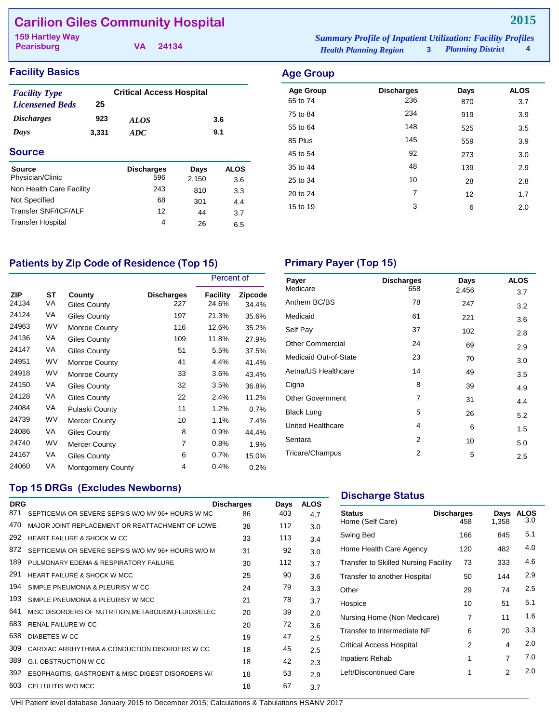## **Carilion Giles Community Hospital**

**Pearisburg**

**VA 24134**

#### *Health Planning Region* **3** *Planning District* **4 159 Hartley Way** *Summary Profile of Inpatient Utilization: Facility Profiles*

#### **Facility Basics Age Group**

| <b>Facility Type</b><br><b>Licensened Beds</b> | 25    | <b>Critical Access Hospital</b> |       |             |
|------------------------------------------------|-------|---------------------------------|-------|-------------|
|                                                |       |                                 |       |             |
| <i><b>Discharges</b></i>                       | 923   | <b>ALOS</b>                     |       | 3.6         |
| Days                                           | 3,331 | ADC                             | 9.1   |             |
| Source                                         |       |                                 |       |             |
| <b>Source</b>                                  |       | <b>Discharges</b>               | Days  | <b>ALOS</b> |
| Physician/Clinic                               |       | 596                             | 2,150 | 3.6         |
| Non Health Care Facility                       |       | 243                             | 810   | 3.3         |
| Not Specified                                  |       | 68                              | 301   | 4.4         |
| Transfer SNF/ICF/AI F                          |       | 12                              | 44    | 3.7         |
| <b>Transfer Hospital</b>                       |       | 4                               | 26    | 6.5         |

| ngo oroap        |                   |      |             |
|------------------|-------------------|------|-------------|
| <b>Age Group</b> | <b>Discharges</b> | Days | <b>ALOS</b> |
| 65 to 74         | 236               | 870  | 3.7         |
| 75 to 84         | 234               | 919  | 3.9         |
| 55 to 64         | 148               | 525  | 3.5         |
| 85 Plus          | 145               | 559  | 3.9         |
| 45 to 54         | 92                | 273  | 3.0         |
| 35 to 44         | 48                | 139  | 2.9         |
| 25 to 34         | 10                | 28   | 2.8         |
| 20 to 24         | $\overline{7}$    | 12   | 1.7         |
| 15 to 19         | 3                 | 6    | 2.0         |
|                  |                   |      |             |

## Patients by Zip Code of Residence (Top 15) Primary Payer (Top 15)

|                     |           |                          |                          | Percent of        |                         |
|---------------------|-----------|--------------------------|--------------------------|-------------------|-------------------------|
| <b>ZIP</b><br>24134 | SТ<br>VA  | County<br>Giles County   | <b>Discharges</b><br>227 | Facility<br>24.6% | <b>Zipcode</b><br>34.4% |
| 24124               | VA        | Giles County             | 197                      | 21.3%             | 35.6%                   |
| 24963               | <b>WV</b> | <b>Monroe County</b>     | 116                      | 12.6%             | 35.2%                   |
| 24136               | VA        | Giles County             | 109                      | 11.8%             | 27.9%                   |
| 24147               | VA        | Giles County             | 51                       | 5.5%              | 37.5%                   |
| 24951               | <b>WV</b> | <b>Monroe County</b>     | 41                       | 4.4%              | 41.4%                   |
| 24918               | <b>WV</b> | <b>Monroe County</b>     | 33                       | 3.6%              | 43.4%                   |
| 24150               | VA        | Giles County             | 32                       | 3.5%              | 36.8%                   |
| 24128               | VA        | Giles County             | 22                       | 2.4%              | 11.2%                   |
| 24084               | VA        | Pulaski County           | 11                       | 1.2%              | 0.7%                    |
| 24739               | <b>WV</b> | <b>Mercer County</b>     | 10                       | 1.1%              | 7.4%                    |
| 24086               | VA        | Giles County             | 8                        | 0.9%              | 44.4%                   |
| 24740               | <b>WV</b> | <b>Mercer County</b>     | 7                        | 0.8%              | 1.9%                    |
| 24167               | VA        | Giles County             | 6                        | 0.7%              | 15.0%                   |
| 24060               | VA        | <b>Montgomery County</b> | 4                        | 0.4%              | 0.2%                    |

| Payer                   | <b>Discharges</b> | Days  | <b>ALOS</b> |
|-------------------------|-------------------|-------|-------------|
| Medicare                | 658               | 2,456 | 3.7         |
| Anthem BC/BS            | 78                | 247   | 3.2         |
| Medicaid                | 61                | 221   | 3.6         |
| Self Pay                | 37                | 102   | 2.8         |
| <b>Other Commercial</b> | 24                | 69    | 2.9         |
| Medicaid Out-of-State   | 23                | 70    | 3.0         |
| Aetna/US Healthcare     | 14                | 49    | 3.5         |
| Cigna                   | 8                 | 39    | 4.9         |
| <b>Other Government</b> | 7                 | 31    | 4.4         |
| <b>Black Lung</b>       | 5                 | 26    | 5.2         |
| United Healthcare       | 4                 | 6     | 1.5         |
| Sentara                 | 2                 | 10    | 5.0         |
| Tricare/Champus         | 2                 | 5     | 2.5         |

#### **Top 15 DRGs (Excludes Newborns)**

| <b>DRG</b> |                                                      | <b>Discharges</b> | Days | <b>ALOS</b> |
|------------|------------------------------------------------------|-------------------|------|-------------|
| 871        | SEPTICEMIA OR SEVERE SEPSIS W/O MV 96+ HOURS W MC    | 86                | 403  | 4.7         |
| 470        | MAJOR JOINT REPLACEMENT OR REATTACHMENT OF LOWE      | 38                | 112  | 3.0         |
| 292        | HEART FAILURE & SHOCK W CC                           | 33                | 113  | 3.4         |
| 872        | SEPTICEMIA OR SEVERE SEPSIS W/O MV 96+ HOURS W/O M   | 31                | 92   | 3.0         |
| 189        | PULMONARY EDEMA & RESPIRATORY FAILURE                | 30                | 112  | 3.7         |
| 291        | <b>HEART FAILURE &amp; SHOCK W MCC</b>               | 25                | 90   | 3.6         |
| 194        | SIMPLE PNEUMONIA & PLEURISY W CC                     | 24                | 79   | 3.3         |
| 193        | SIMPLE PNEUMONIA & PLEURISY W MCC                    | 21                | 78   | 3.7         |
| 641        | MISC DISORDERS OF NUTRITION, METABOLISM, FLUIDS/ELEC | 20                | 39   | 2.0         |
| 683        | <b>RENAL FAILURE W CC</b>                            | 20                | 72   | 3.6         |
| 638        | <b>DIABETES W CC</b>                                 | 19                | 47   | 2.5         |
| 309        | CARDIAC ARRHYTHMIA & CONDUCTION DISORDERS W CC       | 18                | 45   | 2.5         |
| 389        | <b>G.I. OBSTRUCTION W CC</b>                         | 18                | 42   | 2.3         |
| 392        | ESOPHAGITIS, GASTROENT & MISC DIGEST DISORDERS W/    | 18                | 53   | 2.9         |
| 603        | CELLULITIS W/O MCC                                   | 18                | 67   | 3.7         |

#### **Discharge Status**

| <b>Status</b><br>Home (Self Care)    | <b>Discharges</b><br>458 | Days<br>1,358 | <b>ALOS</b><br>3.0 |
|--------------------------------------|--------------------------|---------------|--------------------|
| Swing Bed                            | 166                      | 845           | 5.1                |
| Home Health Care Agency              | 120                      | 482           | 4.0                |
| Transfer to Skilled Nursing Facility | 73                       | 333           | 4.6                |
| Transfer to another Hospital         | 50                       | 144           | 2.9                |
| Other                                | 29                       | 74            | $2.5\,$            |
| Hospice                              | 10                       | 51            | 5.1                |
| Nursing Home (Non Medicare)          | 7                        | 11            | 1.6                |
| Transfer to Intermediate NF          | 6                        | 20            | 3.3                |
| <b>Critical Access Hospital</b>      | 2                        | 4             | 2.0                |
| Inpatient Rehab                      | 1                        | 7             | 7.0                |
| Left/Discontinued Care               | 1                        | 2             | 2.0                |
|                                      |                          |               |                    |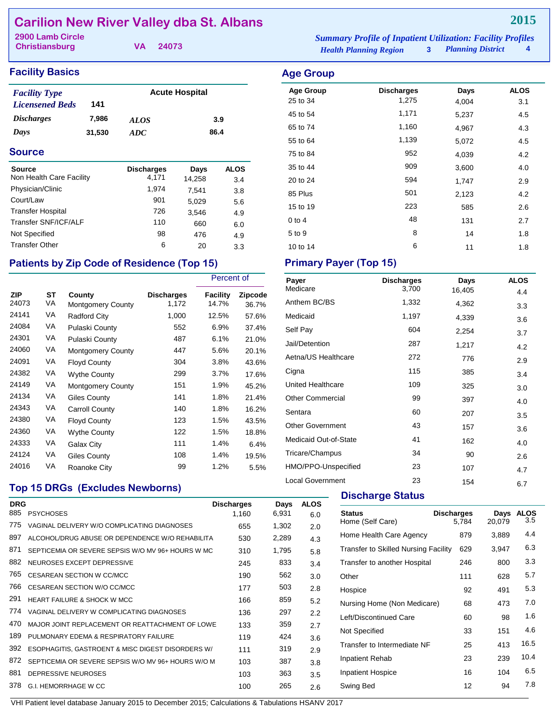## **Carilion New River Valley dba St. Albans**

**Christiansburg**

**VA 24073**

| <b>Facility Basics</b> |  |
|------------------------|--|
|------------------------|--|

| <b>Facility Type</b>   |        | <b>Acute Hospital</b> |      |  |
|------------------------|--------|-----------------------|------|--|
| <b>Licensened Beds</b> | 141    |                       |      |  |
| <i>Discharges</i>      | 7,986  | <i>ALOS</i>           | 3.9  |  |
| Days                   | 31,530 | ADC.                  | 86.4 |  |

#### **Source**

| Source                   | <b>Discharges</b> | Days   | ALOS |
|--------------------------|-------------------|--------|------|
| Non Health Care Facility | 4.171             | 14,258 | 3.4  |
| Physician/Clinic         | 1,974             | 7.541  | 3.8  |
| Court/Law                | 901               | 5,029  | 5.6  |
| <b>Transfer Hospital</b> | 726               | 3,546  | 4.9  |
| Transfer SNF/ICF/ALF     | 110               | 660    | 6.0  |
| Not Specified            | 98                | 476    | 4.9  |
| <b>Transfer Other</b>    | 6                 | 20     | 3.3  |

### Patients by Zip Code of Residence (Top 15) Primary Payer (Top 15)

|                     |                 |                                    |                            | Percent of        |                  |
|---------------------|-----------------|------------------------------------|----------------------------|-------------------|------------------|
| <b>ZIP</b><br>24073 | <b>ST</b><br>VA | County<br><b>Montgomery County</b> | <b>Discharges</b><br>1,172 | Facility<br>14.7% | Zipcode<br>36.7% |
| 24141               | VA              | <b>Radford City</b>                | 1,000                      | 12.5%             | 57.6%            |
| 24084               | VA              | Pulaski County                     | 552                        | 6.9%              | 37.4%            |
| 24301               | VA              | Pulaski County                     | 487                        | 6.1%              | 21.0%            |
| 24060               | VA              | <b>Montgomery County</b>           | 447                        | 5.6%              | 20.1%            |
| 24091               | VA              | <b>Floyd County</b>                | 304                        | 3.8%              | 43.6%            |
| 24382               | VA              | <b>Wythe County</b>                | 299                        | $3.7\%$           | 17.6%            |
| 24149               | VA              | <b>Montgomery County</b>           | 151                        | 1.9%              | 45.2%            |
| 24134               | VA              | <b>Giles County</b>                | 141                        | 1.8%              | 21.4%            |
| 24343               | VA              | Carroll County                     | 140                        | 1.8%              | 16.2%            |
| 24380               | VA              | <b>Floyd County</b>                | 123                        | 1.5%              | 43.5%            |
| 24360               | VA              | <b>Wythe County</b>                | 122                        | 1.5%              | 18.8%            |
| 24333               | VA              | Galax City                         | 111                        | 1.4%              | 6.4%             |
| 24124               | VA              | Giles County                       | 108                        | 1.4%              | 19.5%            |
| 24016               | VA              | Roanoke City                       | 99                         | 1.2%              | 5.5%             |

#### *Health Planning Region* **3** *Planning District* **4 2900 Lamb Circle** *Summary Profile of Inpatient Utilization: Facility Profiles*

|        |                   |                       |             | <b>Age Group</b>             |                            |               |                    |
|--------|-------------------|-----------------------|-------------|------------------------------|----------------------------|---------------|--------------------|
| 141    |                   | <b>Acute Hospital</b> |             | <b>Age Group</b><br>25 to 34 | <b>Discharges</b><br>1,275 | Days<br>4,004 | <b>ALOS</b><br>3.1 |
| 7,986  | <b>ALOS</b>       |                       | 3.9         | 45 to 54                     | 1,171                      | 5,237         | 4.5                |
| 31,530 | ADC               |                       | 86.4        | 65 to 74                     | 1,160                      | 4,967         | 4.3                |
|        |                   |                       |             | 55 to 64                     | 1,139                      | 5,072         | 4.5                |
|        |                   |                       |             | 75 to 84                     | 952                        | 4,039         | 4.2                |
|        | <b>Discharges</b> | Days                  | <b>ALOS</b> | 35 to 44                     | 909                        | 3,600         | 4.0                |
| cility | 4,171             | 14,258                | 3.4         | 20 to 24                     | 594                        | 1,747         | 2.9                |
|        | 1,974             | 7,541                 | 3.8         | 85 Plus                      | 501                        | 2,123         | 4.2                |
|        | 901               | 5,029                 | 5.6         |                              | 223                        |               |                    |
|        | 726               | 3,546                 | 4.9         | 15 to 19                     |                            | 585           | 2.6                |
| LF     | 110               | 660                   | 6.0         | $0$ to $4$                   | 48                         | 131           | 2.7                |
|        | 98                | 476                   | 4.9         | 5 to 9                       | 8                          | 14            | 1.8                |

10 to 14 **6** 11 1.8

| Payer                   | <b>Discharges</b> | Days   | <b>ALOS</b> |
|-------------------------|-------------------|--------|-------------|
| Medicare                | 3,700             | 16,405 | 4.4         |
| Anthem BC/BS            | 1,332             | 4,362  | 3.3         |
| Medicaid                | 1,197             | 4,339  | 3.6         |
| Self Pay                | 604               | 2,254  | 3.7         |
| Jail/Detention          | 287               | 1,217  | 4.2         |
| Aetna/US Healthcare     | 272               | 776    | 2.9         |
| Cigna                   | 115               | 385    | 3.4         |
| United Healthcare       | 109               | 325    | 3.0         |
| <b>Other Commercial</b> | 99                | 397    | 4.0         |
| Sentara                 | 60                | 207    | 3.5         |
| <b>Other Government</b> | 43                | 157    | 3.6         |
| Medicaid Out-of-State   | 41                | 162    | 4.0         |
| Tricare/Champus         | 34                | 90     | 2.6         |
| HMO/PPO-Unspecified     | 23                | 107    | 4.7         |
| <b>Local Government</b> | 23                | 154    | 6.7         |

## **Top 15 DRGs (Excludes Newborns)**

| <b>DRG</b> |                                                    | <b>Discharges</b> | Days  | <b>ALOS</b> |
|------------|----------------------------------------------------|-------------------|-------|-------------|
| 885        | <b>PSYCHOSES</b>                                   | 1.160             | 6,931 | 6.0         |
| 775        | VAGINAL DELIVERY W/O COMPLICATING DIAGNOSES        | 655               | 1,302 | 2.0         |
| 897        | ALCOHOL/DRUG ABUSE OR DEPENDENCE W/O REHABILITA    | 530               | 2,289 | 4.3         |
| 871        | SEPTICEMIA OR SEVERE SEPSIS W/O MV 96+ HOURS W MC  | 310               | 1,795 | 5.8         |
| 882        | NEUROSES EXCEPT DEPRESSIVE                         | 245               | 833   | 3.4         |
| 765        | <b>CESAREAN SECTION W CC/MCC</b>                   | 190               | 562   | 3.0         |
| 766        | CESAREAN SECTION W/O CC/MCC                        | 177               | 503   | 2.8         |
| 291        | <b>HEART FAILURE &amp; SHOCK W MCC</b>             | 166               | 859   | 5.2         |
| 774        | VAGINAL DELIVERY W COMPLICATING DIAGNOSES          | 136               | 297   | 2.2         |
| 470        | MAJOR JOINT REPLACEMENT OR REATTACHMENT OF LOWE    | 133               | 359   | 2.7         |
| 189        | PULMONARY EDEMA & RESPIRATORY FAILURE              | 119               | 424   | 3.6         |
| 392        | ESOPHAGITIS, GASTROENT & MISC DIGEST DISORDERS W/  | 111               | 319   | 2.9         |
| 872        | SEPTICEMIA OR SEVERE SEPSIS W/O MV 96+ HOURS W/O M | 103               | 387   | 3.8         |
| 881        | DEPRESSIVE NEUROSES                                | 103               | 363   | 3.5         |
| 378        | G.I. HEMORRHAGE W CC                               | 100               | 265   | 2.6         |

**Discharge Status** 

| <b>Status</b><br>Home (Self Care)           | <b>Discharges</b><br>5.784 | Days<br>20.079 | <b>ALOS</b><br>3.5 |
|---------------------------------------------|----------------------------|----------------|--------------------|
| Home Health Care Agency                     | 879                        | 3,889          | 4.4                |
| <b>Transfer to Skilled Nursing Facility</b> | 629                        | 3,947          | 6.3                |
| Transfer to another Hospital                | 246                        | 800            | 3.3                |
| Other                                       | 111                        | 628            | 5.7                |
| Hospice                                     | 92                         | 491            | 5.3                |
| Nursing Home (Non Medicare)                 | 68                         | 473            | 7.0                |
| Left/Discontinued Care                      | 60                         | 98             | 1.6                |
| Not Specified                               | 33                         | 151            | 4.6                |
| Transfer to Intermediate NF                 | 25                         | 413            | 16.5               |
| Inpatient Rehab                             | 23                         | 239            | 10.4               |
| <b>Inpatient Hospice</b>                    | 16                         | 104            | 6.5                |
| Swing Bed                                   | 12                         | 94             | 7.8                |
|                                             |                            |                |                    |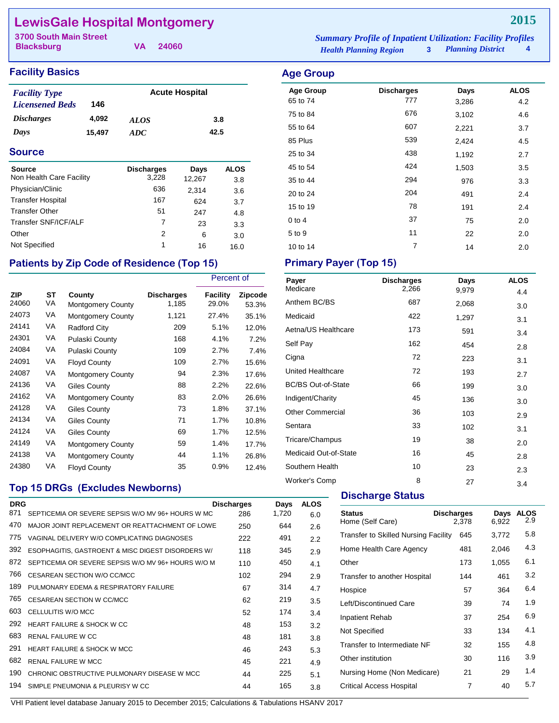## **LewisGale Hospital Montgomery**

**Blacksburg**

**VA 24060**

#### **Facility Basics Age Group Age Group**

| <b>Facility Type</b>     |        | <b>Acute Hospital</b> |      |
|--------------------------|--------|-----------------------|------|
| <b>Licensened Beds</b>   | 146    |                       |      |
| <i><b>Discharges</b></i> | 4.092  | <i>ALOS</i>           | 3.8  |
| Days                     | 15.497 | ADC.                  | 42.5 |

#### **Source**

| Source<br>Non Health Care Facility | <b>Discharges</b><br>3,228 | Days<br>12,267 | <b>ALOS</b><br>3.8 |
|------------------------------------|----------------------------|----------------|--------------------|
| Physician/Clinic                   | 636                        | 2,314          | 3.6                |
| <b>Transfer Hospital</b>           | 167                        | 624            | 3.7                |
| <b>Transfer Other</b>              | 51                         | 247            | 4.8                |
| Transfer SNF/ICF/ALF               | 7                          | 23             | 3.3                |
| Other                              | 2                          | 6              | 3.0                |
| Not Specified                      | 1                          | 16             | 16.0               |

### Patients by Zip Code of Residence (Top 15) Primary Payer (Top 15)

|                     |                 |                                    |                            | Percent of        |                  |
|---------------------|-----------------|------------------------------------|----------------------------|-------------------|------------------|
| <b>ZIP</b><br>24060 | <b>ST</b><br>VA | County<br><b>Montgomery County</b> | <b>Discharges</b><br>1,185 | Facility<br>29.0% | Zipcode<br>53.3% |
| 24073               | VA              | <b>Montgomery County</b>           | 1,121                      | 27.4%             | 35.1%            |
| 24141               | VA              | <b>Radford City</b>                | 209                        | 5.1%              | 12.0%            |
| 24301               | VA              | Pulaski County                     | 168                        | 4.1%              | 7.2%             |
| 24084               | VA              | Pulaski County                     | 109                        | 2.7%              | 7.4%             |
| 24091               | VA              | <b>Floyd County</b>                | 109                        | 2.7%              | 15.6%            |
| 24087               | VA              | <b>Montgomery County</b>           | 94                         | 2.3%              | 17.6%            |
| 24136               | VA              | Giles County                       | 88                         | 2.2%              | 22.6%            |
| 24162               | VA              | <b>Montgomery County</b>           | 83                         | 2.0%              | 26.6%            |
| 24128               | VA              | Giles County                       | 73                         | 1.8%              | 37.1%            |
| 24134               | VA              | <b>Giles County</b>                | 71                         | 1.7%              | 10.8%            |
| 24124               | VA              | <b>Giles County</b>                | 69                         | 1.7%              | 12.5%            |
| 24149               | VA              | <b>Montgomery County</b>           | 59                         | 1.4%              | 17.7%            |
| 24138               | VA              | <b>Montgomery County</b>           | 44                         | 1.1%              | 26.8%            |
| 24380               | VA              | <b>Floyd County</b>                | 35                         | 0.9%              | 12.4%            |

### **Top 15 DRGs (Excludes Newborns)**

| <b>DRG</b> |                                                    | <b>Discharges</b> | Days  | <b>ALOS</b> |  |
|------------|----------------------------------------------------|-------------------|-------|-------------|--|
| 871        | SEPTICEMIA OR SEVERE SEPSIS W/O MV 96+ HOURS W MC  | 286               | 1,720 | 6.0         |  |
| 470        | MAJOR JOINT REPLACEMENT OR REATTACHMENT OF LOWE    | 250               | 644   | 2.6         |  |
| 775        | VAGINAL DELIVERY W/O COMPLICATING DIAGNOSES        | 222               | 491   | 2.2         |  |
| 392        | ESOPHAGITIS, GASTROENT & MISC DIGEST DISORDERS W/  | 118               | 345   | 2.9         |  |
| 872        | SEPTICEMIA OR SEVERE SEPSIS W/O MV 96+ HOURS W/O M | 110               | 450   | 4.1         |  |
| 766        | CESAREAN SECTION W/O CC/MCC                        | 102               | 294   | 2.9         |  |
| 189        | PULMONARY EDEMA & RESPIRATORY FAILURE              | 67                | 314   | 4.7         |  |
| 765        | <b>CESAREAN SECTION W CC/MCC</b>                   | 62                | 219   | 3.5         |  |
| 603        | CELLULITIS W/O MCC                                 | 52                | 174   | 3.4         |  |
| 292        | HEART FAILURE & SHOCK W CC                         | 48                | 153   | 3.2         |  |
| 683        | <b>RENAL FAILURE W CC</b>                          | 48                | 181   | 3.8         |  |
| 291        | <b>HEART FAILURE &amp; SHOCK W MCC</b>             | 46                | 243   | 5.3         |  |
| 682        | <b>RENAL FAILURE W MCC</b>                         | 45                | 221   | 4.9         |  |
| 190        | CHRONIC OBSTRUCTIVE PULMONARY DISEASE W MCC        | 44                | 225   | 5.1         |  |
| 194        | SIMPLE PNEUMONIA & PLEURISY W CC                   | 44                | 165   | 3.8         |  |
|            |                                                    |                   |       |             |  |

*Health Planning Region* **3** *Planning District* **4 3700 South Main Street** *Summary Profile of Inpatient Utilization: Facility Profiles*

## Age Group **Discharges** Days ALOS 65 to 74 2 777 3,286 4.2 75 to 84 **676** 3,102 4.6 55 to 64 **607** 2,221 3.7 85 Plus 2,424 2,424 2,424 4.5 25 to 34 **1,192** 2.7 45 to 54 **424** 1,503 3.5 35 to 44 294 976 3.3 20 to 24 204 204 491 2.4 15 to 19 191 2.4

0 to 4 2.0 5 to 9 11 22 2.0 10 to 14 2.0

| Payer                     | <b>Discharges</b> | Days  | <b>ALOS</b> |
|---------------------------|-------------------|-------|-------------|
| Medicare                  | 2,266             | 9,979 | 4.4         |
| Anthem BC/BS              | 687               | 2,068 | 3.0         |
| Medicaid                  | 422               | 1,297 | 3.1         |
| Aetna/US Healthcare       | 173               | 591   | 3.4         |
| Self Pay                  | 162               | 454   | 2.8         |
| Cigna                     | 72                | 223   | 3.1         |
| <b>United Healthcare</b>  | 72                | 193   | 2.7         |
| <b>BC/BS Out-of-State</b> | 66                | 199   | 3.0         |
| Indigent/Charity          | 45                | 136   | 3.0         |
| <b>Other Commercial</b>   | 36                | 103   | 2.9         |
| Sentara                   | 33                | 102   | 3.1         |
| Tricare/Champus           | 19                | 38    | 2.0         |
| Medicaid Out-of-State     | 16                | 45    | 2.8         |
| Southern Health           | 10                | 23    | 2.3         |
| <b>Worker's Comp</b>      | 8                 | 27    | 3.4         |

#### **Discharge Status**

| <b>Status</b><br>Home (Self Care)           | <b>Discharges</b><br>2.378 | Days<br>6.922 | <b>ALOS</b><br>2.9 |
|---------------------------------------------|----------------------------|---------------|--------------------|
| <b>Transfer to Skilled Nursing Facility</b> | 645                        | 3,772         | 5.8                |
| Home Health Care Agency                     | 481                        | 2.046         | 4.3                |
| Other                                       | 173                        | 1.055         | 6.1                |
| Transfer to another Hospital                | 144                        | 461           | 3.2                |
| Hospice                                     | 57                         | 364           | 6.4                |
| Left/Discontinued Care                      | 39                         | 74            | 1.9                |
| <b>Inpatient Rehab</b>                      | 37                         | 254           | 6.9                |
| Not Specified                               | 33                         | 134           | 4.1                |
| Transfer to Intermediate NF                 | 32                         | 155           | 4.8                |
| Other institution                           | 30                         | 116           | 3.9                |
| Nursing Home (Non Medicare)                 | 21                         | 29            | 1.4                |
| <b>Critical Access Hospital</b>             | 7                          | 40            | 5.7                |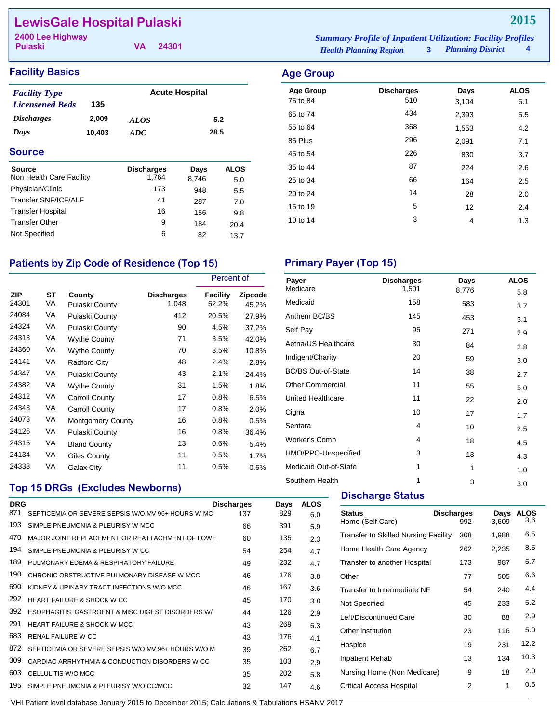## **LewisGale Hospital Pulaski**

**Pulaski 2400 Lee Highway** *Summary Profile of Inpatient Utilization: Facility Profiles*

**VA 24301**

| ummary Profile of Inpatient Utilization: Facility Profiles |                          |   |
|------------------------------------------------------------|--------------------------|---|
| <b>Health Planning Region</b>                              | <b>Planning District</b> | 4 |

Age Group **Discharges** Days ALOS 75 to 84 6.1 65 to 74 434 2,393 5.5 55 to 64 368 1,553 4.2 85 Plus 296 2,091 7.1 45 to 54 226 830 3.7 35 to 44 87 224 2.6 25 to 34 66 164 2.5 20 to 24 28 2.0 15 to 19 12 12 2.4 10 to 14 1.3

#### **Facility Basics Age Group Age Group**

| <b>Facility Type</b>   |        | <b>Acute Hospital</b> |      |  |
|------------------------|--------|-----------------------|------|--|
| <b>Licensened Beds</b> | 135    |                       |      |  |
| <i>Discharges</i>      | 2,009  | <i>ALOS</i>           | 5.2  |  |
| Days                   | 10,403 | ADC                   | 28.5 |  |
|                        |        |                       |      |  |

#### **Source**

| <b>Source</b><br>Non Health Care Facility | <b>Discharges</b><br>1.764 | Days  | <b>ALOS</b> |
|-------------------------------------------|----------------------------|-------|-------------|
|                                           |                            | 8,746 | 5.0         |
| Physician/Clinic                          | 173                        | 948   | 5.5         |
| Transfer SNF/ICF/ALF                      | 41                         | 287   | 7.0         |
| <b>Transfer Hospital</b>                  | 16                         | 156   | 9.8         |
| <b>Transfer Other</b>                     | 9                          | 184   | 20.4        |
| Not Specified                             | 6                          | 82    | 13.7        |

## Patients by Zip Code of Residence (Top 15) Primary Payer (Top 15)

|                     |                 |                          | Percent of                 |                   |                  |
|---------------------|-----------------|--------------------------|----------------------------|-------------------|------------------|
| <b>ZIP</b><br>24301 | <b>ST</b><br>VA | County<br>Pulaski County | <b>Discharges</b><br>1,048 | Facility<br>52.2% | Zipcode<br>45.2% |
| 24084               | VA              | Pulaski County           | 412                        | 20.5%             | 27.9%            |
| 24324               | VA              | Pulaski County           | 90                         | 4.5%              | 37.2%            |
| 24313               | VA              | <b>Wythe County</b>      | 71                         | 3.5%              | 42.0%            |
| 24360               | VA              | Wythe County             | 70                         | 3.5%              | 10.8%            |
| 24141               | VA              | Radford City             | 48                         | 2.4%              | 2.8%             |
| 24347               | VA              | Pulaski County           | 43                         | 2.1%              | 24.4%            |
| 24382               | VA              | <b>Wythe County</b>      | 31                         | 1.5%              | 1.8%             |
| 24312               | VA              | <b>Carroll County</b>    | 17                         | 0.8%              | 6.5%             |
| 24343               | VA              | <b>Carroll County</b>    | 17                         | 0.8%              | 2.0%             |
| 24073               | VA              | <b>Montgomery County</b> | 16                         | 0.8%              | 0.5%             |
| 24126               | VA              | Pulaski County           | 16                         | 0.8%              | 36.4%            |
| 24315               | VA              | <b>Bland County</b>      | 13                         | 0.6%              | 5.4%             |
| 24134               | VA              | Giles County             | 11                         | 0.5%              | 1.7%             |
| 24333               | VA              | Galax City               | 11                         | 0.5%              | 0.6%             |

### **Top 15 DRGs (Excludes Newborns)**

| <b>DRG</b> |                                                    | <b>Discharges</b> | Days | <b>ALOS</b> |
|------------|----------------------------------------------------|-------------------|------|-------------|
| 871        | SEPTICEMIA OR SEVERE SEPSIS W/O MV 96+ HOURS W MC  | 137               | 829  | 6.0         |
| 193        | SIMPLE PNEUMONIA & PLEURISY W MCC                  | 66                | 391  | 5.9         |
| 470        | MAJOR JOINT REPLACEMENT OR REATTACHMENT OF LOWE    | 60                | 135  | 2.3         |
| 194        | SIMPLE PNEUMONIA & PLEURISY W CC                   | 54                | 254  | 4.7         |
| 189        | PULMONARY EDEMA & RESPIRATORY FAILURE              | 49                | 232  | 4.7         |
| 190        | CHRONIC OBSTRUCTIVE PULMONARY DISEASE W MCC        | 46                | 176  | 3.8         |
| 690        | KIDNEY & URINARY TRACT INFECTIONS W/O MCC          | 46                | 167  | 3.6         |
| 292        | HEART FAILURE & SHOCK W CC                         | 45                | 170  | 3.8         |
| 392        | ESOPHAGITIS, GASTROENT & MISC DIGEST DISORDERS W/  | 44                | 126  | 2.9         |
| 291        | <b>HEART FAILURE &amp; SHOCK W MCC</b>             | 43                | 269  | 6.3         |
| 683        | RENAL FAILURE W CC                                 | 43                | 176  | 4.1         |
| 872        | SEPTICEMIA OR SEVERE SEPSIS W/O MV 96+ HOURS W/O M | 39                | 262  | 6.7         |
| 309        | CARDIAC ARRHYTHMIA & CONDUCTION DISORDERS W CC     | 35                | 103  | 2.9         |
| 603        | CELLULITIS W/O MCC                                 | 35                | 202  | 5.8         |
| 195        | SIMPLE PNEUMONIA & PLEURISY W/O CC/MCC             | 32                | 147  | 4.6         |
|            |                                                    |                   |      |             |

VHI Patient level database January 2015 to December 2015; Calculations & Tabulations HSANV 2017

| Payer                     | <b>Discharges</b> | Days  | <b>ALOS</b> |
|---------------------------|-------------------|-------|-------------|
| Medicare                  | 1,501             | 8,776 | 5.8         |
| Medicaid                  | 158               | 583   | 3.7         |
| Anthem BC/BS              | 145               | 453   | 3.1         |
| Self Pay                  | 95                | 271   | 2.9         |
| Aetna/US Healthcare       | 30                | 84    | 2.8         |
| Indigent/Charity          | 20                | 59    | 3.0         |
| <b>BC/BS Out-of-State</b> | 14                | 38    | 2.7         |
| <b>Other Commercial</b>   | 11                | 55    | 5.0         |
| United Healthcare         | 11                | 22    | 2.0         |
| Cigna                     | 10                | 17    | 1.7         |
| Sentara                   | 4                 | 10    | 2.5         |
| <b>Worker's Comp</b>      | 4                 | 18    | 4.5         |
| HMO/PPO-Unspecified       | 3                 | 13    | 4.3         |
| Medicaid Out-of-State     | 1                 | 1     | 1.0         |
|                           |                   |       |             |

Southern Health 1 3 3.0

#### **Discharge Status**

| <b>Status</b><br>Home (Self Care)           | <b>Discharges</b><br>992 | Days<br>3,609 | <b>ALOS</b><br>3.6 |
|---------------------------------------------|--------------------------|---------------|--------------------|
| <b>Transfer to Skilled Nursing Facility</b> | 308                      | 1,988         | 6.5                |
| Home Health Care Agency                     | 262                      | 2,235         | 8.5                |
| Transfer to another Hospital                | 173                      | 987           | 5.7                |
| Other                                       | 77                       | 505           | 6.6                |
| Transfer to Intermediate NF                 | 54                       | 240           | 4.4                |
| Not Specified                               | 45                       | 233           | 5.2                |
| Left/Discontinued Care                      | 30                       | 88            | 2.9                |
| Other institution                           | 23                       | 116           | 5.0                |
| Hospice                                     | 19                       | 231           | 12.2               |
| <b>Inpatient Rehab</b>                      | 13                       | 134           | 10.3               |
| Nursing Home (Non Medicare)                 | 9                        | 18            | 2.0                |
| <b>Critical Access Hospital</b>             | 2                        | 1             | 0.5                |

### **2015**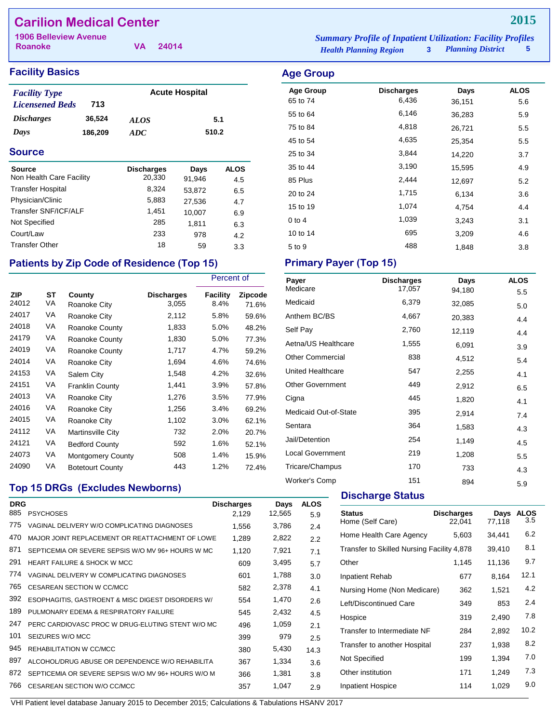## **Carilion Medical Center**

**Roanoke**

**VA 24014**

### **Facility Basics Age Group**

| <b>Facility Type</b>     |         |             | <b>Acute Hospital</b> |
|--------------------------|---------|-------------|-----------------------|
| <b>Licensened Beds</b>   | 713     |             |                       |
| <i><b>Discharges</b></i> | 36.524  | <b>ALOS</b> | 5.1                   |
| Days                     | 186.209 | ADC.        | 510.2                 |

#### **Source**

| Source                   | <b>Discharges</b> | Days   | <b>ALOS</b> |
|--------------------------|-------------------|--------|-------------|
| Non Health Care Facility | 20,330            | 91,946 | 4.5         |
| <b>Transfer Hospital</b> | 8,324             | 53,872 | 6.5         |
| Physician/Clinic         | 5,883             | 27,536 | 4.7         |
| Transfer SNF/ICF/ALF     | 1,451             | 10,007 | 6.9         |
| Not Specified            | 285               | 1.811  | 6.3         |
| Court/Law                | 233               | 978    | 4.2         |
| <b>Transfer Other</b>    | 18                | 59     | 3.3         |

## Patients by Zip Code of Residence (Top 15) Primary Payer (Top 15)

|                     |          |                          |                     | Percent of       |                  |
|---------------------|----------|--------------------------|---------------------|------------------|------------------|
| <b>ZIP</b><br>24012 | ST<br>VA | County<br>Roanoke City   | Discharges<br>3,055 | Facility<br>8.4% | Zipcode<br>71.6% |
| 24017               | VA       | Roanoke City             | 2,112               | 5.8%             | 59.6%            |
| 24018               | VA       | Roanoke County           | 1,833               | 5.0%             | 48.2%            |
| 24179               | VA       | Roanoke County           | 1,830               | 5.0%             | 77.3%            |
| 24019               | VA       | Roanoke County           | 1,717               | 4.7%             | 59.2%            |
| 24014               | VA       | Roanoke City             | 1,694               | 4.6%             | 74.6%            |
| 24153               | VA       | Salem City               | 1,548               | 4.2%             | 32.6%            |
| 24151               | VA       | <b>Franklin County</b>   | 1,441               | 3.9%             | 57.8%            |
| 24013               | VA       | Roanoke City             | 1,276               | 3.5%             | 77.9%            |
| 24016               | VA       | Roanoke City             | 1,256               | 3.4%             | 69.2%            |
| 24015               | VA       | Roanoke City             | 1,102               | 3.0%             | 62.1%            |
| 24112               | VA       | Martinsville City        | 732                 | 2.0%             | 20.7%            |
| 24121               | VA       | <b>Bedford County</b>    | 592                 | 1.6%             | 52.1%            |
| 24073               | VA       | <b>Montgomery County</b> | 508                 | 1.4%             | 15.9%            |
| 24090               | VA       | <b>Botetourt County</b>  | 443                 | 1.2%             | 72.4%            |

### **Top 15 DRGs (Excludes Newborns)**

| <b>DRG</b><br>885 | <b>PSYCHOSES</b>                                   | <b>Discharges</b><br>2,129 | Days<br>12,565 | <b>ALOS</b><br>5.9 |
|-------------------|----------------------------------------------------|----------------------------|----------------|--------------------|
| 775               | VAGINAL DELIVERY W/O COMPLICATING DIAGNOSES        | 1,556                      | 3,786          | 2.4                |
| 470               | MAJOR JOINT REPLACEMENT OR REATTACHMENT OF LOWE    | 1,289                      | 2,822          | 2.2                |
| 871               | SEPTICEMIA OR SEVERE SEPSIS W/O MV 96+ HOURS W MC  | 1,120                      | 7,921          | 7.1                |
| 291               | <b>HEART FAILURE &amp; SHOCK W MCC</b>             | 609                        | 3,495          | 5.7                |
| 774               | VAGINAL DELIVERY W COMPLICATING DIAGNOSES          | 601                        | 1,788          | 3.0                |
| 765               | CESAREAN SECTION W CC/MCC                          | 582                        | 2,378          | 4.1                |
| 392               | ESOPHAGITIS, GASTROENT & MISC DIGEST DISORDERS W/  | 554                        | 1,470          | 2.6                |
| 189               | PULMONARY EDEMA & RESPIRATORY FAILURE              | 545                        | 2,432          | 4.5                |
| 247               | PERC CARDIOVASC PROC W DRUG-ELUTING STENT W/O MC   | 496                        | 1,059          | 2.1                |
| 101               | SEIZURES W/O MCC                                   | 399                        | 979            | 2.5                |
| 945               | REHABILITATION W CC/MCC                            | 380                        | 5,430          | 14.3               |
| 897               | ALCOHOL/DRUG ABUSE OR DEPENDENCE W/O REHABILITA    | 367                        | 1,334          | 3.6                |
| 872               | SEPTICEMIA OR SEVERE SEPSIS W/O MV 96+ HOURS W/O M | 366                        | 1,381          | 3.8                |
| 766               | CESAREAN SECTION W/O CC/MCC                        | 357                        | 1,047          | 2.9                |
|                   |                                                    |                            |                |                    |

*Health Planning Region* **3** *Planning District* **5 1906 Belleview Avenue** *Summary Profile of Inpatient Utilization: Facility Profiles*

# **Age Group Discharges Days ALOS**

| Age Group  | Discharges | Days   | ALUJ |
|------------|------------|--------|------|
| 65 to 74   | 6,436      | 36,151 | 5.6  |
| 55 to 64   | 6,146      | 36,283 | 5.9  |
| 75 to 84   | 4,818      | 26,721 | 5.5  |
| 45 to 54   | 4,635      | 25,354 | 5.5  |
| 25 to 34   | 3,844      | 14,220 | 3.7  |
| 35 to 44   | 3,190      | 15,595 | 4.9  |
| 85 Plus    | 2,444      | 12,697 | 5.2  |
| 20 to 24   | 1,715      | 6,134  | 3.6  |
| 15 to 19   | 1,074      | 4,754  | 4.4  |
| $0$ to $4$ | 1,039      | 3,243  | 3.1  |
| 10 to 14   | 695        | 3,209  | 4.6  |
| 5 to 9     | 488        | 1,848  | 3.8  |

| Payer<br>Medicare       | <b>Discharges</b><br>17,057 | Days<br>94,180 | <b>ALOS</b> |
|-------------------------|-----------------------------|----------------|-------------|
| Medicaid                | 6,379                       | 32,085         | 5.5<br>5.0  |
| Anthem BC/BS            | 4,667                       | 20,383         | 4.4         |
| Self Pay                | 2,760                       | 12,119         | 4.4         |
| Aetna/US Healthcare     | 1,555                       | 6,091          | 3.9         |
| <b>Other Commercial</b> | 838                         | 4,512          | 5.4         |
| United Healthcare       | 547                         | 2,255          | 4.1         |
| <b>Other Government</b> | 449                         | 2,912          | 6.5         |
| Cigna                   | 445                         | 1,820          | 4.1         |
| Medicaid Out-of-State   | 395                         | 2,914          | 7.4         |
| Sentara                 | 364                         | 1,583          | 4.3         |
| Jail/Detention          | 254                         | 1,149          | 4.5         |
| <b>Local Government</b> | 219                         | 1,208          | 5.5         |
| Tricare/Champus         | 170                         | 733            | 4.3         |
| <b>Worker's Comp</b>    | 151                         | 894            | 5.9         |

#### **Discharge Status**

| <b>Status</b><br>Home (Self Care)          | <b>Discharges</b><br>22,041 | Days<br>77,118 | <b>ALOS</b><br>3.5 |
|--------------------------------------------|-----------------------------|----------------|--------------------|
| Home Health Care Agency                    | 5,603                       | 34,441         | 6.2                |
| Transfer to Skilled Nursing Facility 4,878 |                             | 39,410         | 8.1                |
| Other                                      | 1,145                       | 11,136         | 9.7                |
| Inpatient Rehab                            | 677                         | 8,164          | 12.1               |
| Nursing Home (Non Medicare)                | 362                         | 1,521          | 4.2                |
| Left/Discontinued Care                     | 349                         | 853            | 2.4                |
| Hospice                                    | 319                         | 2.490          | 7.8                |
| Transfer to Intermediate NF                | 284                         | 2.892          | 10.2               |
| Transfer to another Hospital               | 237                         | 1.938          | 8.2                |
| Not Specified                              | 199                         | 1,394          | 7.0                |
| Other institution                          | 171                         | 1,249          | 7.3                |
| <b>Inpatient Hospice</b>                   | 114                         | 1,029          | 9.0                |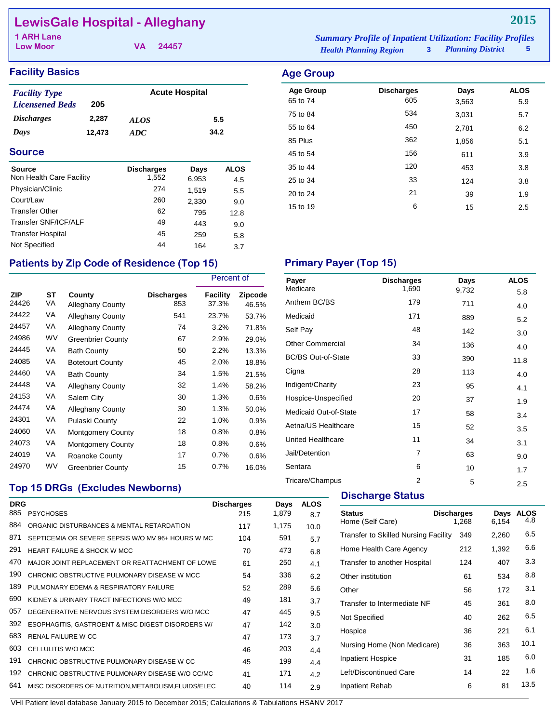## **LewisGale Hospital - Alleghany**

**Low Moor**

**VA 24457**

#### **Facility Basics Age Group Age Group**

| <b>Facility Type</b>   |        | <b>Acute Hospital</b> |      |  |  |
|------------------------|--------|-----------------------|------|--|--|
| <b>Licensened Beds</b> | 205    |                       |      |  |  |
| <i>Discharges</i>      | 2.287  | <b>ALOS</b>           | 5.5  |  |  |
| Days                   | 12.473 | ADC.                  | 34.2 |  |  |

#### **Source**

| <b>Source</b>            | <b>Discharges</b> | Days  | <b>ALOS</b> |
|--------------------------|-------------------|-------|-------------|
| Non Health Care Facility | 1,552             | 6,953 | 4.5         |
| Physician/Clinic         | 274               | 1,519 | 5.5         |
| Court/Law                | 260               | 2,330 | 9.0         |
| <b>Transfer Other</b>    | 62                | 795   | 12.8        |
| Transfer SNF/ICF/ALF     | 49                | 443   | 9.0         |
| <b>Transfer Hospital</b> | 45                | 259   | 5.8         |
| Not Specified            | 44                | 164   | 3.7         |

#### *Health Planning Region* **3** *Planning District* **5 1 ARH Lane** *Summary Profile of Inpatient Utilization: Facility Profiles*

## Age Group **Discharges** Days ALOS 65 to 74 605 3,563 5.9 75 to 84 534 3,031 5.7 55 to 64 450 2,781 6.2 85 Plus 362 1,856 5.1 45 to 54 **156** 611 3.9 35 to 44 20 453 3.8 25 to 34 33 124 3.8 20 to 24 21 39 20 39

15 to 19 **6** 15 2.5

## Patients by Zip Code of Residence (Top 15) Primary Payer (Top 15)

|                     |           |                                   |                          | Percent of               |                  |
|---------------------|-----------|-----------------------------------|--------------------------|--------------------------|------------------|
| <b>ZIP</b><br>24426 | ST<br>VA  | County<br><b>Alleghany County</b> | <b>Discharges</b><br>853 | <b>Facility</b><br>37.3% | Zipcode<br>46.5% |
| 24422               | VA        | <b>Alleghany County</b>           | 541                      | 23.7%                    | 53.7%            |
| 24457               | VA        | <b>Alleghany County</b>           | 74                       | 3.2%                     | 71.8%            |
| 24986               | <b>WV</b> | <b>Greenbrier County</b>          | 67                       | 2.9%                     | 29.0%            |
| 24445               | VA        | <b>Bath County</b>                | 50                       | 2.2%                     | 13.3%            |
| 24085               | VA        | <b>Botetourt County</b>           | 45                       | 2.0%                     | 18.8%            |
| 24460               | VA        | <b>Bath County</b>                | 34                       | 1.5%                     | 21.5%            |
| 24448               | VA        | <b>Alleghany County</b>           | 32                       | 1.4%                     | 58.2%            |
| 24153               | VA        | Salem City                        | 30                       | 1.3%                     | 0.6%             |
| 24474               | VA        | <b>Alleghany County</b>           | 30                       | 1.3%                     | 50.0%            |
| 24301               | VA        | Pulaski County                    | 22                       | 1.0%                     | 0.9%             |
| 24060               | VA        | <b>Montgomery County</b>          | 18                       | 0.8%                     | 0.8%             |
| 24073               | VA        | <b>Montgomery County</b>          | 18                       | 0.8%                     | 0.6%             |
| 24019               | VA        | Roanoke County                    | 17                       | 0.7%                     | 0.6%             |
| 24970               | <b>WV</b> | <b>Greenbrier County</b>          | 15                       | $0.7\%$                  | 16.0%            |

| Payer<br>Medicare         | <b>Discharges</b> | Days  | <b>ALOS</b> |
|---------------------------|-------------------|-------|-------------|
|                           | 1,690             | 9,732 | 5.8         |
| Anthem BC/BS              | 179               | 711   | 4.0         |
| Medicaid                  | 171               | 889   | 5.2         |
| Self Pay                  | 48                | 142   | 3.0         |
| <b>Other Commercial</b>   | 34                | 136   | 4.0         |
| <b>BC/BS Out-of-State</b> | 33                | 390   | 11.8        |
| Cigna                     | 28                | 113   | 4.0         |
| Indigent/Charity          | 23                | 95    | 4.1         |
| Hospice-Unspecified       | 20                | 37    | 1.9         |
| Medicaid Out-of-State     | 17                | 58    | 3.4         |
| Aetna/US Healthcare       | 15                | 52    | 3.5         |
| <b>United Healthcare</b>  | 11                | 34    | 3.1         |
| Jail/Detention            | 7                 | 63    | 9.0         |
| Sentara                   | 6                 | 10    | 1.7         |
| Tricare/Champus           | $\overline{2}$    | 5     | 2.5         |

## **Top 15 DRGs (Excludes Newborns)**

| <b>DRG</b><br>885 | <b>PSYCHOSES</b>                                   | <b>Discharges</b><br>215 | Days<br>1,879 | <b>ALOS</b><br>8.7 |
|-------------------|----------------------------------------------------|--------------------------|---------------|--------------------|
| 884               | ORGANIC DISTURBANCES & MENTAL RETARDATION          | 117                      | 1,175         | 10.0               |
| 871               | SEPTICEMIA OR SEVERE SEPSIS W/O MV 96+ HOURS W MC  | 104                      | 591           | 5.7                |
| 291               | <b>HEART FAILURE &amp; SHOCK W MCC</b>             | 70                       | 473           | 6.8                |
| 470               | MAJOR JOINT REPLACEMENT OR REATTACHMENT OF LOWE    | 61                       | 250           | 4.1                |
| 190               | CHRONIC OBSTRUCTIVE PULMONARY DISEASE W MCC        | 54                       | 336           | 6.2                |
| 189               | PULMONARY FDEMA & RESPIRATORY FAILURE              | 52                       | 289           | 5.6                |
| 690               | KIDNEY & URINARY TRACT INFECTIONS W/O MCC          | 49                       | 181           | 3.7                |
| 057               | DEGENERATIVE NERVOUS SYSTEM DISORDERS W/O MCC      | 47                       | 445           | 9.5                |
| 392               | ESOPHAGITIS, GASTROENT & MISC DIGEST DISORDERS W/  | 47                       | 142           | 3.0                |
| 683               | <b>RENAL FAILURE W CC</b>                          | 47                       | 173           | 3.7                |
| 603               | CELLULITIS W/O MCC                                 | 46                       | 203           | 4.4                |
| 191               | CHRONIC OBSTRUCTIVE PULMONARY DISEASE W CC         | 45                       | 199           | 4.4                |
| 192               | CHRONIC OBSTRUCTIVE PULMONARY DISEASE W/O CC/MC    | 41                       | 171           | 4.2                |
| 641               | MISC DISORDERS OF NUTRITION.METABOLISM.FLUIDS/ELEC | 40                       | 114           | 2.9                |
|                   |                                                    |                          |               |                    |

#### **Discharge Status**

| <b>Discharges</b><br>1.268 | Days<br>6,154                                                                                       | <b>ALOS</b><br>4.8 |
|----------------------------|-----------------------------------------------------------------------------------------------------|--------------------|
| 349                        | 2,260                                                                                               | 6.5                |
| 212                        | 1,392                                                                                               | 6.6                |
| 124                        | 407                                                                                                 | 3.3                |
| 61                         | 534                                                                                                 | 8.8                |
| 56                         | 172                                                                                                 | 3.1                |
| 45                         | 361                                                                                                 | 8.0                |
| 40                         | 262                                                                                                 | 6.5                |
| 36                         | 221                                                                                                 | 6.1                |
| 36                         | 363                                                                                                 | 10.1               |
| 31                         | 185                                                                                                 | 6.0                |
| 14                         | 22                                                                                                  | 1.6                |
| 6                          | 81                                                                                                  | 13.5               |
|                            | Transfer to Skilled Nursing Facility<br>Transfer to another Hospital<br>Nursing Home (Non Medicare) |                    |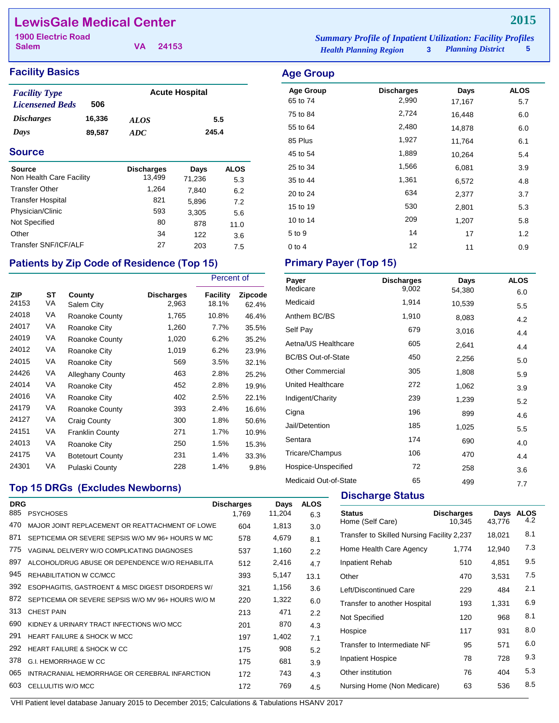## **LewisGale Medical Center**

**Salem**

**VA 24153**

### **Facility Basics Age Group**

| <b>Facility Type</b>     |        | <b>Acute Hospital</b> |       |  |  |
|--------------------------|--------|-----------------------|-------|--|--|
| <b>Licensened Beds</b>   | 506    |                       |       |  |  |
| <i><b>Discharges</b></i> | 16,336 | <i>ALOS</i>           | 5.5   |  |  |
| Days                     | 89.587 | ADC.                  | 245.4 |  |  |
|                          |        |                       |       |  |  |

#### **Source**

| Source<br>Non Health Care Facility | <b>Discharges</b><br>13.499 | Days<br>71,236 | <b>ALOS</b><br>5.3 |
|------------------------------------|-----------------------------|----------------|--------------------|
| <b>Transfer Other</b>              | 1.264                       | 7.840          | 6.2                |
| <b>Transfer Hospital</b>           | 821                         | 5,896          | 7.2                |
| Physician/Clinic                   | 593                         | 3,305          | 5.6                |
| Not Specified                      | 80                          | 878            | 11.0               |
| Other                              | 34                          | 122            | 3.6                |
| Transfer SNF/ICF/ALF               | 27                          | 203            | 7.5                |

## Patients by Zip Code of Residence (Top 15) Primary Payer (Top 15)

|                     |          |                         |                            | Percent of        |                         |
|---------------------|----------|-------------------------|----------------------------|-------------------|-------------------------|
| <b>ZIP</b><br>24153 | SТ<br>VA | County<br>Salem City    | <b>Discharges</b><br>2,963 | Facility<br>18.1% | <b>Zipcode</b><br>62.4% |
| 24018               | VA       | Roanoke County          | 1,765                      | 10.8%             | 46.4%                   |
| 24017               | VA       | Roanoke City            | 1,260                      | 7.7%              | 35.5%                   |
| 24019               | VA       | Roanoke County          | 1,020                      | 6.2%              | 35.2%                   |
| 24012               | VA       | Roanoke City            | 1,019                      | 6.2%              | 23.9%                   |
| 24015               | VA       | Roanoke City            | 569                        | 3.5%              | 32.1%                   |
| 24426               | VA       | <b>Alleghany County</b> | 463                        | 2.8%              | 25.2%                   |
| 24014               | VA       | Roanoke City            | 452                        | 2.8%              | 19.9%                   |
| 24016               | VA       | Roanoke City            | 402                        | 2.5%              | 22.1%                   |
| 24179               | VA       | Roanoke County          | 393                        | 2.4%              | 16.6%                   |
| 24127               | VA       | Craig County            | 300                        | 1.8%              | 50.6%                   |
| 24151               | VA       | <b>Franklin County</b>  | 271                        | 1.7%              | 10.9%                   |
| 24013               | VA       | Roanoke City            | 250                        | 1.5%              | 15.3%                   |
| 24175               | VA       | <b>Botetourt County</b> | 231                        | 1.4%              | 33.3%                   |
| 24301               | VA       | Pulaski County          | 228                        | 1.4%              | 9.8%                    |

*Health Planning Region* **3** *Planning District* **5 1900 Electric Road** *Summary Profile of Inpatient Utilization: Facility Profiles*

## Age Group **Discharges** Days ALOS 65 to 74 2,990 17,167 5.7 75 to 84 2,724 16,448 6.0 55 to 64 2,480 14,878 6.0 85 Plus 1,927 11,764 6.1 45 to 54 1,889 10,264 5.4 25 to 34 **1,566** 6,081 3.9 35 to 44 1,361 6,572 4.8 20 to 24 634 2,377 3.7 15 to 19 530 2,801 5.3 10 to 14 209 1,207 5.8 5 to 9 14 17 1.2 0 to 4  $12$  11  $0.9$

| Payer                     | <b>Discharges</b> | Days   | <b>ALOS</b> |
|---------------------------|-------------------|--------|-------------|
| Medicare                  | 9,002             | 54,380 | 6.0         |
| Medicaid                  | 1,914             | 10,539 | 5.5         |
| Anthem BC/BS              | 1,910             | 8,083  | 4.2         |
| Self Pay                  | 679               | 3,016  | 4.4         |
| Aetna/US Healthcare       | 605               | 2,641  | 4.4         |
| <b>BC/BS Out-of-State</b> | 450               | 2,256  | 5.0         |
| <b>Other Commercial</b>   | 305               | 1,808  | 5.9         |
| United Healthcare         | 272               | 1,062  | 3.9         |
| Indigent/Charity          | 239               | 1,239  | 5.2         |
| Cigna                     | 196               | 899    | 4.6         |
| Jail/Detention            | 185               | 1,025  | 5.5         |
| Sentara                   | 174               | 690    | 4.0         |
| Tricare/Champus           | 106               | 470    | 4.4         |
| Hospice-Unspecified       | 72                | 258    | 3.6         |
| Medicaid Out-of-State     | 65                | 499    | 7.7         |

### **Top 15 DRGs (Excludes Newborns)**

| <b>DRG</b> |                                                    | <b>Discharges</b> | Days   | <b>ALOS</b> |
|------------|----------------------------------------------------|-------------------|--------|-------------|
| 885        | <b>PSYCHOSES</b>                                   | 1.769             | 11,204 | 6.3         |
| 470        | MAJOR JOINT REPLACEMENT OR REATTACHMENT OF LOWE    | 604               | 1,813  | 3.0         |
| 871        | SEPTICEMIA OR SEVERE SEPSIS W/O MV 96+ HOURS W MC  | 578               | 4,679  | 8.1         |
| 775        | VAGINAL DELIVERY W/O COMPLICATING DIAGNOSES        | 537               | 1,160  | 2.2         |
| 897        | ALCOHOL/DRUG ABUSE OR DEPENDENCE W/O REHABILITA    | 512               | 2,416  | 4.7         |
| 945        | REHABILITATION W CC/MCC                            | 393               | 5,147  | 13.1        |
| 392        | ESOPHAGITIS, GASTROENT & MISC DIGEST DISORDERS W/  | 321               | 1,156  | 3.6         |
| 872        | SEPTICEMIA OR SEVERE SEPSIS W/O MV 96+ HOURS W/O M | 220               | 1,322  | 6.0         |
| 313        | <b>CHEST PAIN</b>                                  | 213               | 471    | 2.2         |
| 690        | KIDNEY & URINARY TRACT INFECTIONS W/O MCC          | 201               | 870    | 4.3         |
| 291        | <b>HEART FAILURE &amp; SHOCK W MCC</b>             | 197               | 1,402  | 7.1         |
| 292        | HEART FAILURE & SHOCK W CC                         | 175               | 908    | 5.2         |
| 378        | G.I. HEMORRHAGE W CC                               | 175               | 681    | 3.9         |
| 065        | INTRACRANIAL HEMORRHAGE OR CEREBRAL INFARCTION     | 172               | 743    | 4.3         |
| 603        | CELLULITIS W/O MCC                                 | 172               | 769    | 4.5         |

**Discharge Status** 

| <b>Status</b><br>Home (Self Care)          | <b>Discharges</b><br>10.345 | Days<br>43.776 | ALOS<br>4.2 |
|--------------------------------------------|-----------------------------|----------------|-------------|
| Transfer to Skilled Nursing Facility 2,237 |                             | 18,021         | 8.1         |
| Home Health Care Agency                    | 1,774                       | 12,940         | 7.3         |
| Inpatient Rehab                            | 510                         | 4,851          | 9.5         |
| Other                                      | 470                         | 3,531          | 7.5         |
| Left/Discontinued Care                     | 229                         | 484            | 2.1         |
| Transfer to another Hospital               | 193                         | 1,331          | 6.9         |
| Not Specified                              | 120                         | 968            | 8.1         |
| Hospice                                    | 117                         | 931            | 8.0         |
| Transfer to Intermediate NF                | 95                          | 571            | 6.0         |
| <b>Inpatient Hospice</b>                   | 78                          | 728            | 9.3         |
| Other institution                          | 76                          | 404            | 5.3         |
| Nursing Home (Non Medicare)                | 63                          | 536            | 8.5         |
|                                            |                             |                |             |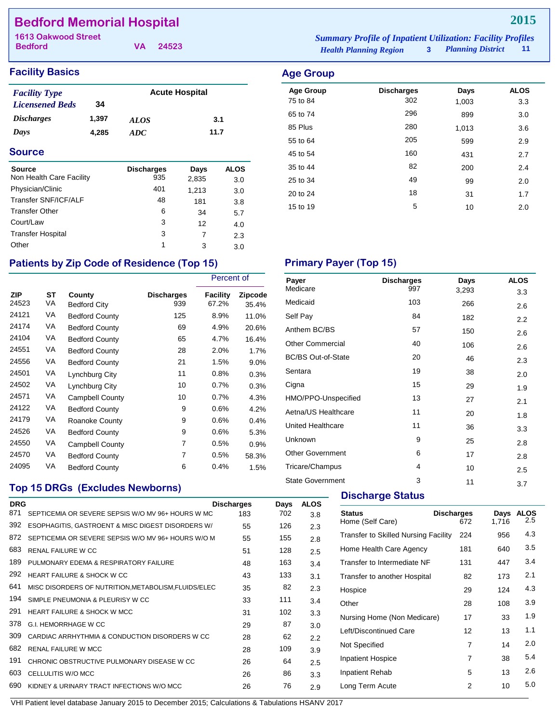## **Bedford Memorial Hospital**

**Bedford**

**VA 24523**

*Health Planning Region* **3** *Planning District* **11 1613 Oakwood Street** *Summary Profile of Inpatient Utilization: Facility Profiles*

> Age Group **Discharges** Days ALOS 75 to 84 302 1,003 3.3 65 to 74 296 899 3.0 85 Plus 280 1,013 3.6 55 to 64 205 599 2.9 45 to 54 **160** 431 2.7 35 to 44 82 200 2.4 25 to 34 49 99 2.0 20 to 24 18 31 1.7 15 to 19 10 10 2.0

#### **Facility Basics Age Group Age Group**

| <b>Facility Type</b>   |       | <b>Acute Hospital</b> |      |  |
|------------------------|-------|-----------------------|------|--|
| <b>Licensened Beds</b> | 34    |                       |      |  |
| <b>Discharges</b>      | 1.397 | <i>ALOS</i>           | 3.1  |  |
| Days                   | 4.285 | ADC.                  | 11.7 |  |

### **Source**

| <b>Source</b><br>Non Health Care Facility | <b>Discharges</b><br>935 | Days<br>2,835 | <b>ALOS</b><br>3.0 |
|-------------------------------------------|--------------------------|---------------|--------------------|
| Physician/Clinic                          | 401                      | 1,213         | 3.0                |
| Transfer SNF/ICF/ALF                      | 48                       | 181           | 3.8                |
| <b>Transfer Other</b>                     | 6                        | 34            | 5.7                |
| Court/Law                                 | 3                        | 12            | 4.0                |
| <b>Transfer Hospital</b>                  | 3                        | 7             | 2.3                |
| Other                                     | 1                        | 3             | 3.0                |

## Patients by Zip Code of Residence (Top 15) Primary Payer (Top 15)

|                     |          |                               | Percent of               |                   |                         |
|---------------------|----------|-------------------------------|--------------------------|-------------------|-------------------------|
| <b>ZIP</b><br>24523 | ST<br>VA | County<br><b>Bedford City</b> | <b>Discharges</b><br>939 | Facility<br>67.2% | <b>Zipcode</b><br>35.4% |
| 24121               | VA       | <b>Bedford County</b>         | 125                      | 8.9%              | 11.0%                   |
| 24174               | VA       | <b>Bedford County</b>         | 69                       | 4.9%              | 20.6%                   |
| 24104               | VA       | <b>Bedford County</b>         | 65                       | 4.7%              | 16.4%                   |
| 24551               | VA       | <b>Bedford County</b>         | 28                       | 2.0%              | 1.7%                    |
| 24556               | VA       | <b>Bedford County</b>         | 21                       | 1.5%              | 9.0%                    |
| 24501               | VA       | Lynchburg City                | 11                       | 0.8%              | 0.3%                    |
| 24502               | VA       | Lynchburg City                | 10                       | 0.7%              | 0.3%                    |
| 24571               | VA       | <b>Campbell County</b>        | 10                       | 0.7%              | 4.3%                    |
| 24122               | VA       | <b>Bedford County</b>         | 9                        | 0.6%              | 4.2%                    |
| 24179               | VA       | Roanoke County                | 9                        | 0.6%              | 0.4%                    |
| 24526               | VA       | <b>Bedford County</b>         | 9                        | 0.6%              | 5.3%                    |
| 24550               | VA       | <b>Campbell County</b>        | 7                        | 0.5%              | 0.9%                    |
| 24570               | VA       | <b>Bedford County</b>         | 7                        | 0.5%              | 58.3%                   |
| 24095               | VA       | <b>Bedford County</b>         | 6                        | 0.4%              | 1.5%                    |

## **Top 15 DRGs (Excludes Newborns)**

| <b>DRG</b> |                                                      | <b>Discharges</b> | Days | <b>ALOS</b> |
|------------|------------------------------------------------------|-------------------|------|-------------|
| 871        | SEPTICEMIA OR SEVERE SEPSIS W/O MV 96+ HOURS W MC    | 183               | 702  | 3.8         |
| 392        | ESOPHAGITIS, GASTROENT & MISC DIGEST DISORDERS W/    | 55                | 126  | 2.3         |
| 872        | SEPTICEMIA OR SEVERE SEPSIS W/O MV 96+ HOURS W/O M   | 55                | 155  | 2.8         |
| 683        | <b>RENAL FAILURE W CC</b>                            | 51                | 128  | 2.5         |
| 189        | PULMONARY EDEMA & RESPIRATORY FAILURE                | 48                | 163  | 3.4         |
| 292        | HEART FAILURE & SHOCK W CC                           | 43                | 133  | 3.1         |
| 641        | MISC DISORDERS OF NUTRITION, METABOLISM, FLUIDS/ELEC | 35                | 82   | 2.3         |
| 194        | SIMPLE PNEUMONIA & PLEURISY W CC                     | 33                | 111  | 3.4         |
| 291        | <b>HEART FAILURE &amp; SHOCK W MCC</b>               | 31                | 102  | 3.3         |
| 378        | G.I. HEMORRHAGE W CC                                 | 29                | 87   | 3.0         |
| 309        | CARDIAC ARRHYTHMIA & CONDUCTION DISORDERS W CC       | 28                | 62   | 2.2         |
| 682        | <b>RENAL FAILURE W MCC</b>                           | 28                | 109  | 3.9         |
| 191        | CHRONIC OBSTRUCTIVE PULMONARY DISEASE W CC           | 26                | 64   | 2.5         |
| 603        | CELLULITIS W/O MCC                                   | 26                | 86   | 3.3         |
| 690        | KIDNEY & URINARY TRACT INFECTIONS W/O MCC            | 26                | 76   | 2.9         |
|            |                                                      |                   |      |             |

| Payer                     | <b>Discharges</b> | Days  | <b>ALOS</b> |
|---------------------------|-------------------|-------|-------------|
| Medicare                  | 997               | 3,293 | 3.3         |
| Medicaid                  | 103               | 266   | 2.6         |
| Self Pay                  | 84                | 182   | 2.2         |
| Anthem BC/BS              | 57                | 150   | 2.6         |
| <b>Other Commercial</b>   | 40                | 106   | 2.6         |
| <b>BC/BS Out-of-State</b> | 20                | 46    | 2.3         |
| Sentara                   | 19                | 38    | 2.0         |
| Cigna                     | 15                | 29    | 1.9         |
| HMO/PPO-Unspecified       | 13                | 27    | 2.1         |
| Aetna/US Healthcare       | 11                | 20    | 1.8         |
| United Healthcare         | 11                | 36    | 3.3         |
| Unknown                   | 9                 | 25    | 2.8         |
| <b>Other Government</b>   | 6                 | 17    | 2.8         |
| Tricare/Champus           | 4                 | 10    | 2.5         |
| <b>State Government</b>   | 3                 | 11    | 3.7         |

#### **Discharge Status**

| <b>Status</b><br>Home (Self Care)           | <b>Discharges</b><br>672 | Days<br>1.716 | <b>ALOS</b><br>$2.5\,$ |
|---------------------------------------------|--------------------------|---------------|------------------------|
| <b>Transfer to Skilled Nursing Facility</b> | 224                      | 956           | 4.3                    |
| Home Health Care Agency                     | 181                      | 640           | 3.5                    |
| Transfer to Intermediate NF                 | 131                      | 447           | 3.4                    |
| Transfer to another Hospital                | 82                       | 173           | 2.1                    |
| Hospice                                     | 29                       | 124           | 4.3                    |
| Other                                       | 28                       | 108           | 3.9                    |
| Nursing Home (Non Medicare)                 | 17                       | 33            | 1.9                    |
| Left/Discontinued Care                      | 12                       | 13            | 1.1                    |
| Not Specified                               | 7                        | 14            | 2.0                    |
| <b>Inpatient Hospice</b>                    | 7                        | 38            | 5.4                    |
| Inpatient Rehab                             | 5                        | 13            | 2.6                    |
| Long Term Acute                             | 2                        | 10            | 5.0                    |
|                                             |                          |               |                        |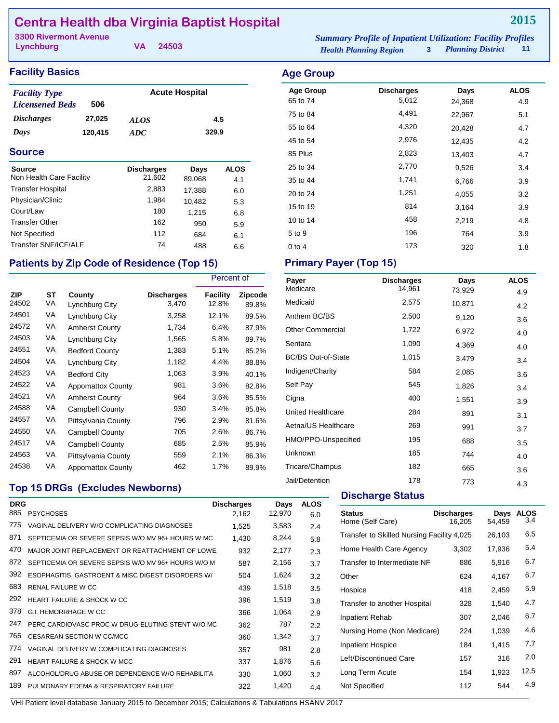## **Centra Health dba Virginia Baptist Hospital**

| <b>3300 Rivermont Avenue</b> |          | <b>Summary Profile of Inpatient Utilization: Facility Profiles</b> |                     |       |
|------------------------------|----------|--------------------------------------------------------------------|---------------------|-------|
| Lynchburg                    | VA 24503 | <b>Health Planning Region</b>                                      | 3 Planning District | $-11$ |

Age Group **Discharges** Days ALOS 65 to 74 5,012 24,368 4.9 75 to 84 **4,491** 22,967 5.1 55 to 64 4,320 20,428 4.7 45 to 54 2,976 12,435 4.2 85 Plus 2,823 13,403 4.7 25 to 34 2,770 9,526 3.4 35 to 44 1,741 6,766 3.9 20 to 24 **1,251** 4,055 3.2 15 to 19 814 3,164 3.9 10 to 14 **458** 2,219 4.8 5 to 9 196 764 3.9 0 to 4 173 320 320

#### **Facility Basics Age Group Age Group**

| <b>Facility Type</b>     |         | <b>Acute Hospital</b> |       |  |  |
|--------------------------|---------|-----------------------|-------|--|--|
| <b>Licensened Beds</b>   | 506     |                       |       |  |  |
| <i><b>Discharges</b></i> | 27.025  | ALOS                  | 4.5   |  |  |
| Days                     | 120,415 | ADC.                  | 329.9 |  |  |

#### **Source**

| Source                   | <b>Discharges</b> | Days   | <b>ALOS</b> |
|--------------------------|-------------------|--------|-------------|
| Non Health Care Facility | 21,602            | 89,068 | 4.1         |
| <b>Transfer Hospital</b> | 2,883             | 17,388 | 6.0         |
| Physician/Clinic         | 1.984             | 10.482 | 5.3         |
| Court/Law                | 180               | 1,215  | 6.8         |
| <b>Transfer Other</b>    | 162               | 950    | 5.9         |
| Not Specified            | 112               | 684    | 6.1         |
| Transfer SNF/ICF/ALF     | 74                | 488    | 6.6         |

### **Patients by Zip Code of Residence (Top 15)**

|                     |          |                          |                            | Percent of               |                  |
|---------------------|----------|--------------------------|----------------------------|--------------------------|------------------|
| <b>ZIP</b><br>24502 | ST<br>VA | County<br>Lynchburg City | <b>Discharges</b><br>3,470 | <b>Facility</b><br>12.8% | Zipcode<br>89.8% |
| 24501               | VA       | Lynchburg City           | 3,258                      | 12.1%                    | 89.5%            |
| 24572               | VA       | <b>Amherst County</b>    | 1,734                      | 6.4%                     | 87.9%            |
| 24503               | VA       | Lynchburg City           | 1,565                      | 5.8%                     | 89.7%            |
| 24551               | VA       | <b>Bedford County</b>    | 1,383                      | 5.1%                     | 85.2%            |
| 24504               | VA       | Lynchburg City           | 1,182                      | 4.4%                     | 88.8%            |
| 24523               | VA       | <b>Bedford City</b>      | 1,063                      | 3.9%                     | 40.1%            |
| 24522               | VA       | <b>Appomattox County</b> | 981                        | 3.6%                     | 82.8%            |
| 24521               | VA       | <b>Amherst County</b>    | 964                        | 3.6%                     | 85.5%            |
| 24588               | VA       | Campbell County          | 930                        | 3.4%                     | 85.8%            |
| 24557               | VA       | Pittsylvania County      | 796                        | 2.9%                     | 81.6%            |
| 24550               | VA       | <b>Campbell County</b>   | 705                        | 2.6%                     | 86.7%            |
| 24517               | VA       | <b>Campbell County</b>   | 685                        | 2.5%                     | 85.9%            |
| 24563               | VA       | Pittsylvania County      | 559                        | 2.1%                     | 86.3%            |
| 24538               | VA       | <b>Appomattox County</b> | 462                        | 1.7%                     | 89.9%            |

### **Top 15 DRGs (Excludes Newborns)**

| <b>DRG</b><br>885 | <b>PSYCHOSES</b>                                   | <b>Discharges</b><br>2,162 | Days<br>12,970 | <b>ALOS</b><br>6.0 |
|-------------------|----------------------------------------------------|----------------------------|----------------|--------------------|
| 775               | VAGINAL DELIVERY W/O COMPLICATING DIAGNOSES        | 1,525                      | 3,583          | 2.4                |
| 871               | SEPTICEMIA OR SEVERE SEPSIS W/O MV 96+ HOURS W MC  | 1,430                      | 8,244          | 5.8                |
| 470               | MAJOR JOINT REPLACEMENT OR REATTACHMENT OF LOWE    | 932                        | 2,177          | 2.3                |
| 872               | SEPTICEMIA OR SEVERE SEPSIS W/O MV 96+ HOURS W/O M | 587                        | 2,156          | 3.7                |
| 392               | ESOPHAGITIS, GASTROENT & MISC DIGEST DISORDERS W/  | 504                        | 1,624          | 3.2                |
| 683               | <b>RENAL FAILURE W CC</b>                          | 439                        | 1,518          | 3.5                |
| 292               | <b>HEART FAILURE &amp; SHOCK W CC</b>              | 396                        | 1,519          | 3.8                |
| 378               | <b>G.I. HEMORRHAGE W CC</b>                        | 366                        | 1,064          | 2.9                |
| 247               | PERC CARDIOVASC PROC W DRUG-ELUTING STENT W/O MC   | 362                        | 787            | 2.2                |
| 765               | CESAREAN SECTION W CC/MCC                          | 360                        | 1,342          | 3.7                |
| 774               | VAGINAL DELIVERY W COMPLICATING DIAGNOSES          | 357                        | 981            | 2.8                |
| 291               | <b>HEART FAILURE &amp; SHOCK W MCC</b>             | 337                        | 1,876          | 5.6                |
| 897               | ALCOHOL/DRUG ABUSE OR DEPENDENCE W/O REHABILITA    | 330                        | 1,060          | 3.2                |
| 189               | PULMONARY EDEMA & RESPIRATORY FAILURE              | 322                        | 1,420          | 4.4                |

| <b>Primary Payer (Top 15)</b> |  |  |
|-------------------------------|--|--|
|                               |  |  |

| Payer                     | <b>Discharges</b> | Days   | <b>ALOS</b> |
|---------------------------|-------------------|--------|-------------|
| Medicare                  | 14,961            | 73,929 | 4.9         |
| Medicaid                  | 2,575             | 10,871 | 4.2         |
| Anthem BC/BS              | 2,500             | 9,120  | 3.6         |
| <b>Other Commercial</b>   | 1,722             | 6,972  | 4.0         |
| Sentara                   | 1,090             | 4,369  | 4.0         |
| <b>BC/BS Out-of-State</b> | 1,015             | 3,479  | 3.4         |
| Indigent/Charity          | 584               | 2,085  | 3.6         |
| Self Pay                  | 545               | 1,826  | 3.4         |
| Cigna                     | 400               | 1,551  | 3.9         |
| United Healthcare         | 284               | 891    | 3.1         |
| Aetna/US Healthcare       | 269               | 991    | 3.7         |
| HMO/PPO-Unspecified       | 195               | 688    | 3.5         |
| Unknown                   | 185               | 744    | 4.0         |
| Tricare/Champus           | 182               | 665    | 3.6         |
| Jail/Detention            | 178               | 773    | 4.3         |

#### **Discharge Status**

| <b>Status</b><br>Home (Self Care)          | <b>Discharges</b><br>16,205 | Days<br>54,459 | <b>ALOS</b><br>3.4 |
|--------------------------------------------|-----------------------------|----------------|--------------------|
| Transfer to Skilled Nursing Facility 4,025 |                             | 26,103         | 6.5                |
| Home Health Care Agency                    | 3,302                       | 17,936         | 5.4                |
| Transfer to Intermediate NF                | 886                         | 5,916          | 6.7                |
| Other                                      | 624                         | 4,167          | 6.7                |
| Hospice                                    | 418                         | 2,459          | 5.9                |
| Transfer to another Hospital               | 328                         | 1,540          | 4.7                |
| Inpatient Rehab                            | 307                         | 2,046          | 6.7                |
| Nursing Home (Non Medicare)                | 224                         | 1,039          | 4.6                |
| <b>Inpatient Hospice</b>                   | 184                         | 1,415          | 7.7                |
| Left/Discontinued Care                     | 157                         | 316            | 2.0                |
| Long Term Acute                            | 154                         | 1,923          | 12.5               |
| Not Specified                              | 112                         | 544            | 4.9                |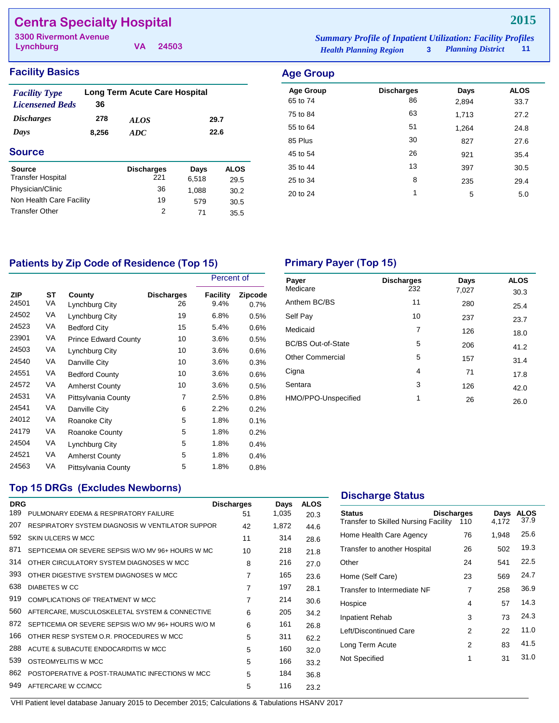## **Centra Specialty Hospital**

**Lynchburg 3300 Rivermont Avenue** *Summary Profile of Inpatient Utilization: Facility Profiles*

**VA 24503**

| ummary Profile of Inpatient Utilization: Facility Profiles |                          |     |
|------------------------------------------------------------|--------------------------|-----|
| <b>Health Planning Region</b>                              | <b>Planning District</b> | 11. |

### **Facility Basics Age Group**

| <b>Facility Type</b><br><b>Licensened Beds</b> | 36    | <b>Long Term Acute Care Hospital</b> |       |             |
|------------------------------------------------|-------|--------------------------------------|-------|-------------|
| <i><b>Discharges</b></i>                       | 278   | <i>ALOS</i>                          |       | 29.7        |
| Days                                           | 8,256 | ADC                                  |       | 22.6        |
| <b>Source</b>                                  |       |                                      |       |             |
| Source                                         |       | <b>Discharges</b>                    | Days  | <b>ALOS</b> |
| <b>Transfer Hospital</b>                       |       | 221                                  | 6,518 | 29.5        |
| Physician/Clinic                               |       | 36                                   | 1.088 | 30.2        |
| Non Health Care Facility                       |       | 19                                   | 579   | 30.5        |
| <b>Transfer Other</b>                          |       | 2                                    | 71    | 35.5        |

| nya Uruw         |                   |       |             |
|------------------|-------------------|-------|-------------|
| <b>Age Group</b> | <b>Discharges</b> | Days  | <b>ALOS</b> |
| 65 to 74         | 86                | 2,894 | 33.7        |
| 75 to 84         | 63                | 1,713 | 27.2        |
| 55 to 64         | 51                | 1,264 | 24.8        |
| 85 Plus          | 30                | 827   | 27.6        |
| 45 to 54         | 26                | 921   | 35.4        |
| 35 to 44         | 13                | 397   | 30.5        |
| 25 to 34         | 8                 | 235   | 29.4        |
| 20 to 24         | 1                 | 5     | 5.0         |
|                  |                   |       |             |

## Patients by Zip Code of Residence (Top 15) **Primary Payer (Top 15)**

|              |          |                             |                         | Percent of              |                 |
|--------------|----------|-----------------------------|-------------------------|-------------------------|-----------------|
| ZIP<br>24501 | ST<br>VA | County<br>Lynchburg City    | <b>Discharges</b><br>26 | <b>Facility</b><br>9.4% | Zipcode<br>0.7% |
| 24502        | VA       | Lynchburg City              | 19                      | 6.8%                    | 0.5%            |
| 24523        | VA       | <b>Bedford City</b>         | 15                      | 5.4%                    | 0.6%            |
| 23901        | VA       | <b>Prince Edward County</b> | 10                      | 3.6%                    | 0.5%            |
| 24503        | VA       | Lynchburg City              | 10                      | 3.6%                    | 0.6%            |
| 24540        | VA       | Danville City               | 10                      | 3.6%                    | 0.3%            |
| 24551        | VA       | <b>Bedford County</b>       | 10                      | 3.6%                    | 0.6%            |
| 24572        | VA       | <b>Amherst County</b>       | 10                      | 3.6%                    | 0.5%            |
| 24531        | VA       | Pittsylvania County         | 7                       | 2.5%                    | 0.8%            |
| 24541        | VA       | Danville City               | 6                       | 2.2%                    | 0.2%            |
| 24012        | VA       | Roanoke City                | 5                       | 1.8%                    | 0.1%            |
| 24179        | VA       | Roanoke County              | 5                       | 1.8%                    | 0.2%            |
| 24504        | VA       | Lynchburg City              | 5                       | 1.8%                    | 0.4%            |
| 24521        | VA       | <b>Amherst County</b>       | 5                       | 1.8%                    | 0.4%            |
| 24563        | VA       | Pittsylvania County         | 5                       | 1.8%                    | 0.8%            |

| Payer<br>Medicare         | <b>Discharges</b><br>232 | Days<br>7,027 | <b>ALOS</b><br>30.3 |
|---------------------------|--------------------------|---------------|---------------------|
| Anthem BC/BS              | 11                       | 280           | 25.4                |
| Self Pay                  | 10                       | 237           | 23.7                |
| Medicaid                  | 7                        | 126           | 18.0                |
| <b>BC/BS Out-of-State</b> | 5                        | 206           | 41.2                |
| <b>Other Commercial</b>   | 5                        | 157           | 31.4                |
| Cigna                     | 4                        | 71            | 17.8                |
| Sentara                   | 3                        | 126           | 42.0                |
| HMO/PPO-Unspecified       | 1                        | 26            | 26.0                |

### **Top 15 DRGs (Excludes Newborns)**

| <b>DRG</b> |                                                    | <b>Discharges</b> | Days  | <b>ALOS</b> |
|------------|----------------------------------------------------|-------------------|-------|-------------|
| 189        | PULMONARY EDEMA & RESPIRATORY FAILURE              | 51                | 1,035 | 20.3        |
| 207        | RESPIRATORY SYSTEM DIAGNOSIS W VENTILATOR SUPPOR   | 42                | 1,872 | 44.6        |
| 592        | SKIN ULCERS W MCC                                  | 11                | 314   | 28.6        |
| 871        | SEPTICEMIA OR SEVERE SEPSIS W/O MV 96+ HOURS W MC  | 10                | 218   | 21.8        |
| 314        | OTHER CIRCULATORY SYSTEM DIAGNOSES W MCC           | 8                 | 216   | 27.0        |
| 393        | OTHER DIGESTIVE SYSTEM DIAGNOSES W MCC             | $\overline{7}$    | 165   | 23.6        |
| 638        | DIABETES W CC                                      | $\overline{7}$    | 197   | 28.1        |
| 919        | COMPLICATIONS OF TREATMENT W MCC                   | 7                 | 214   | 30.6        |
| 560        | AFTERCARE, MUSCULOSKELETAL SYSTEM & CONNECTIVE     | 6                 | 205   | 34.2        |
| 872        | SEPTICEMIA OR SEVERE SEPSIS W/O MV 96+ HOURS W/O M | 6                 | 161   | 26.8        |
| 166        | OTHER RESP SYSTEM O.R. PROCEDURES W MCC            | 5                 | 311   | 62.2        |
| 288        | ACUTE & SUBACUTE ENDOCARDITIS W MCC                | 5                 | 160   | 32.0        |
| 539        | OSTEOMYELITIS W MCC                                | 5                 | 166   | 33.2        |
| 862        | POSTOPERATIVE & POST-TRAUMATIC INFECTIONS W MCC    | 5                 | 184   | 36.8        |
| 949        | AFTERCARE W CC/MCC                                 | 5                 | 116   | 23.2        |

### **Discharge Status**

| <b>Status</b><br>Transfer to Skilled Nursing Facility | <b>Discharges</b><br>110 | Days<br>4,172 | <b>ALOS</b><br>37.9 |
|-------------------------------------------------------|--------------------------|---------------|---------------------|
| Home Health Care Agency                               | 76                       | 1,948         | 25.6                |
| Transfer to another Hospital                          | 26                       | 502           | 19.3                |
| Other                                                 | 24                       | 541           | 22.5                |
| Home (Self Care)                                      | 23                       | 569           | 24.7                |
| Transfer to Intermediate NF                           | 7                        | 258           | 36.9                |
| Hospice                                               | 4                        | 57            | 14.3                |
| Inpatient Rehab                                       | 3                        | 73            | 24.3                |
| Left/Discontinued Care                                | 2                        | 22            | 11.0                |
| Long Term Acute                                       | 2                        | 83            | 41.5                |
| Not Specified                                         | 1                        | 31            | 31.0                |
|                                                       |                          |               |                     |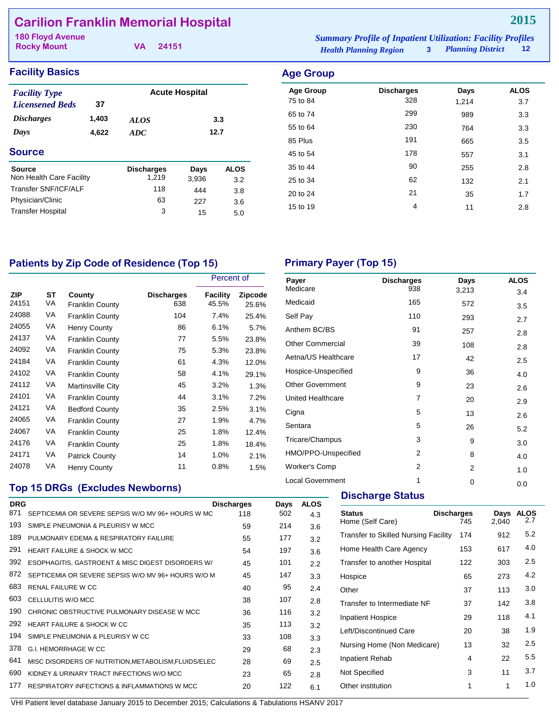## **Carilion Franklin Memorial Hospital**

**Rocky Mount**

**VA 24151**

*Health Planning Region* **3** *Planning District* **12 180 Floyd Avenue** *Summary Profile of Inpatient Utilization: Facility Profiles*

### **Facility Basics Age Group Age Group**

| <b>Facility Type</b>     |       | <b>Acute Hospital</b> |       |             |  |
|--------------------------|-------|-----------------------|-------|-------------|--|
| <b>Licensened Beds</b>   | 37    |                       |       |             |  |
| <i><b>Discharges</b></i> | 1,403 | <i>ALOS</i>           |       | 3.3         |  |
| Days                     | 4,622 | 12.7<br>ADC           |       |             |  |
| <b>Source</b>            |       |                       |       |             |  |
| Source                   |       | <b>Discharges</b>     | Days  | <b>ALOS</b> |  |
| Non Health Care Facility |       | 1.219                 | 3,936 | 3.2         |  |
| Transfer SNF/ICF/ALF     |       | 118                   | 444   | 3.8         |  |
| Physician/Clinic         |       | 63                    | 227   | 3.6         |  |
| <b>Transfer Hospital</b> |       | 3                     | 15    | 5.0         |  |
|                          |       |                       |       |             |  |

| Age Group        |                   |       |             |
|------------------|-------------------|-------|-------------|
| <b>Age Group</b> | <b>Discharges</b> | Days  | <b>ALOS</b> |
| 75 to 84         | 328               | 1,214 | 3.7         |
| 65 to 74         | 299               | 989   | 3.3         |
| 55 to 64         | 230               | 764   | 3.3         |
| 85 Plus          | 191               | 665   | 3.5         |
| 45 to 54         | 178               | 557   | 3.1         |
| 35 to 44         | 90                | 255   | 2.8         |
| 25 to 34         | 62                | 132   | 2.1         |
| 20 to 24         | 21                | 35    | 1.7         |
| 15 to 19         | 4                 | 11    | 2.8         |
|                  |                   |       |             |

## Patients by Zip Code of Residence (Top 15) Primary Payer (Top 15)

|                     |          |                                  |                          | Percent of               |                         |  |
|---------------------|----------|----------------------------------|--------------------------|--------------------------|-------------------------|--|
| <b>ZIP</b><br>24151 | ST<br>VA | County<br><b>Franklin County</b> | <b>Discharges</b><br>638 | <b>Facility</b><br>45.5% | <b>Zipcode</b><br>25.6% |  |
| 24088               | VA       | <b>Franklin County</b>           | 104                      | 7.4%                     | 25.4%                   |  |
| 24055               | VA       | <b>Henry County</b>              | 86                       | 6.1%                     | 5.7%                    |  |
| 24137               | VA       | <b>Franklin County</b>           | 77                       | 5.5%                     | 23.8%                   |  |
| 24092               | VA       | <b>Franklin County</b>           | 75                       | 5.3%                     | 23.8%                   |  |
| 24184               | VA       | <b>Franklin County</b>           | 61                       | 4.3%                     | 12.0%                   |  |
| 24102               | VA       | <b>Franklin County</b>           | 58                       | 4.1%                     | 29.1%                   |  |
| 24112               | VA       | Martinsville City                | 45                       | 3.2%                     | 1.3%                    |  |
| 24101               | VA       | <b>Franklin County</b>           | 44                       | 3.1%                     | 7.2%                    |  |
| 24121               | VA       | <b>Bedford County</b>            | 35                       | 2.5%                     | 3.1%                    |  |
| 24065               | VA       | <b>Franklin County</b>           | 27                       | 1.9%                     | 4.7%                    |  |
| 24067               | VA       | <b>Franklin County</b>           | 25                       | 1.8%                     | 12.4%                   |  |
| 24176               | VA       | <b>Franklin County</b>           | 25                       | 1.8%                     | 18.4%                   |  |
| 24171               | VA       | <b>Patrick County</b>            | 14                       | 1.0%                     | 2.1%                    |  |
| 24078               | VA       | <b>Henry County</b>              | 11                       | 0.8%                     | 1.5%                    |  |

| Payer<br>Medicare        | <b>Discharges</b><br>938 | Days<br>3,213 | <b>ALOS</b><br>3.4 |
|--------------------------|--------------------------|---------------|--------------------|
| Medicaid                 | 165                      | 572           | 3.5                |
| Self Pay                 | 110                      | 293           | 2.7                |
| Anthem BC/BS             | 91                       | 257           | 2.8                |
| <b>Other Commercial</b>  | 39                       | 108           | 2.8                |
| Aetna/US Healthcare      | 17                       | 42            | 2.5                |
| Hospice-Unspecified      | 9                        | 36            | 4.0                |
| <b>Other Government</b>  | 9                        | 23            | 2.6                |
| <b>United Healthcare</b> | $\overline{7}$           | 20            | 2.9                |
| Cigna                    | 5                        | 13            | 2.6                |
| Sentara                  | 5                        | 26            | 5.2                |
| Tricare/Champus          | 3                        | 9             | 3.0                |
| HMO/PPO-Unspecified      | 2                        | 8             | 4.0                |
| <b>Worker's Comp</b>     | 2                        | 2             | 1.0                |
| <b>Local Government</b>  | 1                        | 0             | 0.0                |

## **Top 15 DRGs (Excludes Newborns)**

| <b>DRG</b> |                                                         | <b>Discharges</b> | Days | <b>ALOS</b> |
|------------|---------------------------------------------------------|-------------------|------|-------------|
| 871        | SEPTICEMIA OR SEVERE SEPSIS W/O MV 96+ HOURS W MC       | 118               | 502  | 4.3         |
| 193        | SIMPLE PNEUMONIA & PLEURISY W MCC                       | 59                | 214  | 3.6         |
| 189        | PULMONARY EDEMA & RESPIRATORY FAILURE                   | 55                | 177  | 3.2         |
| 291        | <b>HEART FAILURE &amp; SHOCK W MCC</b>                  | 54                | 197  | 3.6         |
| 392        | ESOPHAGITIS, GASTROENT & MISC DIGEST DISORDERS W/       | 45                | 101  | 2.2         |
| 872        | SEPTICEMIA OR SEVERE SEPSIS W/O MV 96+ HOURS W/O M      | 45                | 147  | 3.3         |
| 683        | <b>RENAL FAILURE W CC</b>                               | 40                | 95   | 2.4         |
| 603        | CELLULITIS W/O MCC                                      | 38                | 107  | 2.8         |
| 190        | CHRONIC OBSTRUCTIVE PULMONARY DISEASE W MCC             | 36                | 116  | 3.2         |
| 292        | HEART FAILURE & SHOCK W CC                              | 35                | 113  | 3.2         |
| 194        | SIMPLE PNEUMONIA & PLEURISY W CC                        | 33                | 108  | 3.3         |
| 378        | G.I. HEMORRHAGE W CC                                    | 29                | 68   | 2.3         |
| 641        | MISC DISORDERS OF NUTRITION, METABOLISM, FLUIDS/ELEC    | 28                | 69   | 2.5         |
| 690        | KIDNEY & URINARY TRACT INFECTIONS W/O MCC               | 23                | 65   | 2.8         |
| 177        | <b>RESPIRATORY INFECTIONS &amp; INFLAMMATIONS W MCC</b> | 20                | 122  | 6.1         |
|            |                                                         |                   |      |             |

#### **Discharge Status**

| <b>Status</b><br>Home (Self Care)           | <b>Discharges</b><br>745 | Days<br>2.040 | <b>ALOS</b><br>2.7 |
|---------------------------------------------|--------------------------|---------------|--------------------|
| <b>Transfer to Skilled Nursing Facility</b> | 174                      | 912           | 5.2                |
| Home Health Care Agency                     | 153                      | 617           | 4.0                |
| Transfer to another Hospital                | 122                      | 303           | 2.5                |
| Hospice                                     | 65                       | 273           | 4.2                |
| Other                                       | 37                       | 113           | 3.0                |
| Transfer to Intermediate NF                 | 37                       | 142           | 3.8                |
| <b>Inpatient Hospice</b>                    | 29                       | 118           | 4.1                |
| Left/Discontinued Care                      | 20                       | 38            | 1.9                |
| Nursing Home (Non Medicare)                 | 13                       | 32            | $2.5\,$            |
| Inpatient Rehab                             | 4                        | 22            | 5.5                |
| Not Specified                               | 3                        | 11            | 3.7                |
| Other institution                           | 1                        | 1             | 1.0                |
|                                             |                          |               |                    |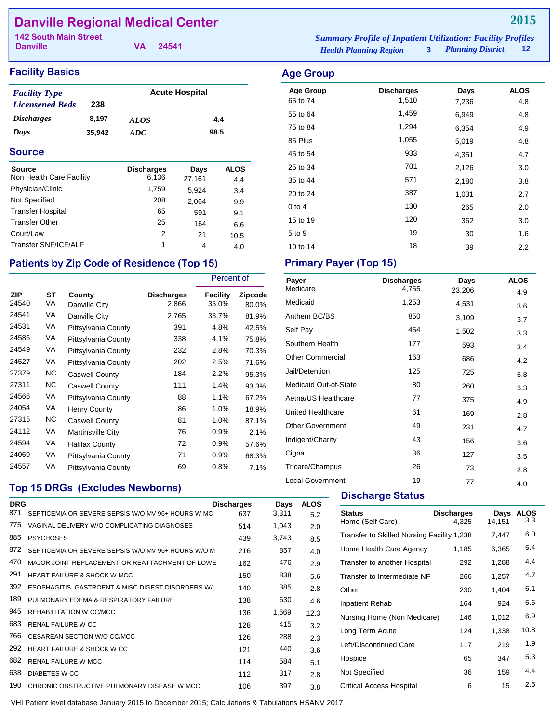## **Danville Regional Medical Center**

**Danville**

**VA 24541**

#### **Facility Basics Age Group Age Group**

| <b>Facility Type</b>     |        | <b>Acute Hospital</b> |      |  |
|--------------------------|--------|-----------------------|------|--|
| <b>Licensened Beds</b>   | 238    |                       |      |  |
| <i><b>Discharges</b></i> | 8.197  | <b>ALOS</b>           | 4.4  |  |
| Days                     | 35.942 | ADC.                  | 98.5 |  |

#### **Source**

| Source                   | <b>Discharges</b><br>6.136 | Days   | <b>ALOS</b> |
|--------------------------|----------------------------|--------|-------------|
| Non Health Care Facility |                            | 27,161 | 4.4         |
| Physician/Clinic         | 1,759                      | 5,924  | 3.4         |
| Not Specified            | 208                        | 2,064  | 9.9         |
| <b>Transfer Hospital</b> | 65                         | 591    | 9.1         |
| <b>Transfer Other</b>    | 25                         | 164    | 6.6         |
| Court/Law                | 2                          | 21     | 10.5        |
| Transfer SNF/ICF/ALF     | 1                          | 4      | 4.0         |

## Patients by Zip Code of Residence (Top 15) Primary Payer (Top 15)

|                     |          |                         |                            | Percent of        |                  |
|---------------------|----------|-------------------------|----------------------------|-------------------|------------------|
| <b>ZIP</b><br>24540 | ST<br>VA | County<br>Danville City | <b>Discharges</b><br>2,866 | Facility<br>35.0% | Zipcode<br>80.0% |
| 24541               | VA       | Danville City           | 2,765                      | 33.7%             | 81.9%            |
| 24531               | VA       | Pittsylvania County     | 391                        | 4.8%              | 42.5%            |
| 24586               | VA       | Pittsylvania County     | 338                        | 4.1%              | 75.8%            |
| 24549               | VA       | Pittsylvania County     | 232                        | 2.8%              | 70.3%            |
| 24527               | VA       | Pittsylvania County     | 202                        | 2.5%              | 71.6%            |
| 27379               | ΝC       | <b>Caswell County</b>   | 184                        | 2.2%              | 95.3%            |
| 27311               | NC.      | <b>Caswell County</b>   | 111                        | 1.4%              | 93.3%            |
| 24566               | VA       | Pittsylvania County     | 88                         | 1.1%              | 67.2%            |
| 24054               | VA       | <b>Henry County</b>     | 86                         | 1.0%              | 18.9%            |
| 27315               | ΝC       | <b>Caswell County</b>   | 81                         | 1.0%              | 87.1%            |
| 24112               | VA       | Martinsville City       | 76                         | 0.9%              | 2.1%             |
| 24594               | VA       | Halifax County          | 72                         | 0.9%              | 57.6%            |
| 24069               | VA       | Pittsylvania County     | 71                         | 0.9%              | 68.3%            |
| 24557               | VA       | Pittsylvania County     | 69                         | 0.8%              | 7.1%             |

## **Top 15 DRGs (Excludes Newborns)**

|     | <b>DRG</b>                                         | <b>Discharges</b> | Days  | <b>ALOS</b> |
|-----|----------------------------------------------------|-------------------|-------|-------------|
| 871 | SEPTICEMIA OR SEVERE SEPSIS W/O MV 96+ HOURS W MC  | 637               | 3,311 | 5.2         |
| 775 | VAGINAL DELIVERY W/O COMPLICATING DIAGNOSES        | 514               | 1,043 | 2.0         |
| 885 | <b>PSYCHOSES</b>                                   | 439               | 3,743 | 8.5         |
| 872 | SEPTICEMIA OR SEVERE SEPSIS W/O MV 96+ HOURS W/O M | 216               | 857   | 4.0         |
| 470 | MAJOR JOINT REPLACEMENT OR REATTACHMENT OF LOWE    | 162               | 476   | 2.9         |
| 291 | <b>HEART FAILURE &amp; SHOCK W MCC</b>             | 150               | 838   | 5.6         |
| 392 | ESOPHAGITIS, GASTROENT & MISC DIGEST DISORDERS W/  | 140               | 385   | 2.8         |
| 189 | PULMONARY FDEMA & RESPIRATORY FAILURE              | 138               | 630   | 4.6         |
| 945 | REHABILITATION W CC/MCC                            | 136               | 1,669 | 12.3        |
| 683 | <b>RENAL FAILURE W CC</b>                          | 128               | 415   | 3.2         |
| 766 | CESAREAN SECTION W/O CC/MCC                        | 126               | 288   | 2.3         |
| 292 | HEART FAILURE & SHOCK W CC                         | 121               | 440   | 3.6         |
| 682 | <b>RENAL FAILURE W MCC</b>                         | 114               | 584   | 5.1         |
| 638 | <b>DIABETES W CC</b>                               | 112               | 317   | 2.8         |
| 190 | CHRONIC OBSTRUCTIVE PULMONARY DISEASE W MCC        | 106               | 397   | 3.8         |
|     |                                                    |                   |       |             |

*Health Planning Region* **3** *Planning District* **12 142 South Main Street** *Summary Profile of Inpatient Utilization: Facility Profiles*

## Age Group **Discharges** Days ALOS 65 to 74 1,510 7,236 4.8 55 to 64 1,459 6,949 4.8 75 to 84 1,294 6,354 4.9 85 Plus 1,055 5,019 4.8 45 to 54 and 54 and 54 and 54 and 54 and 54 and 54 and 54 and 54 and 54 and 54 and 54 and 54 and 54 and 54 and 55 and 56 and 56 and 56 and 56 and 56 and 56 and 56 and 56 and 56 and 56 and 56 and 56 and 56 and 56 and 56 and 25 to 34 2,126 2,126 3.0 35 to 44 571 2,180 3.8 20 to 24 2.7 387 1,031 2.7 0 to 4 130 265 2.0 15 to 19 120 362 3.0 5 to 9 19 30 1.6

10 to 14 2.2

| Payer                   | <b>Discharges</b> | Days   | <b>ALOS</b> |
|-------------------------|-------------------|--------|-------------|
| Medicare                | 4,755             | 23,206 | 4.9         |
| Medicaid                | 1,253             | 4,531  | 3.6         |
| Anthem BC/BS            | 850               | 3,109  | 3.7         |
| Self Pay                | 454               | 1,502  | 3.3         |
| Southern Health         | 177               | 593    | 3.4         |
| <b>Other Commercial</b> | 163               | 686    | 4.2         |
| Jail/Detention          | 125               | 725    | 5.8         |
| Medicaid Out-of-State   | 80                | 260    | 3.3         |
| Aetna/US Healthcare     | 77                | 375    | 4.9         |
| United Healthcare       | 61                | 169    | 2.8         |
| <b>Other Government</b> | 49                | 231    | 4.7         |
| Indigent/Charity        | 43                | 156    | 3.6         |
| Cigna                   | 36                | 127    | 3.5         |
| Tricare/Champus         | 26                | 73     | 2.8         |
| <b>Local Government</b> | 19                | 77     | 4.0         |

#### **Discharge Status**

| <b>Status</b><br>Home (Self Care)          | <b>Discharges</b><br>4.325 | Days<br>14,151 | <b>ALOS</b><br>3.3 |
|--------------------------------------------|----------------------------|----------------|--------------------|
| Transfer to Skilled Nursing Facility 1,238 |                            | 7,447          | 6.0                |
| Home Health Care Agency                    | 1,185                      | 6,365          | 5.4                |
| Transfer to another Hospital               | 292                        | 1,288          | 4.4                |
| Transfer to Intermediate NF                | 266                        | 1,257          | 4.7                |
| Other                                      | 230                        | 1,404          | 6.1                |
| Inpatient Rehab                            | 164                        | 924            | 5.6                |
| Nursing Home (Non Medicare)                | 146                        | 1.012          | 6.9                |
| Long Term Acute                            | 124                        | 1,338          | 10.8               |
| Left/Discontinued Care                     | 117                        | 219            | 1.9                |
| Hospice                                    | 65                         | 347            | 5.3                |
| Not Specified                              | 36                         | 159            | 4.4                |
| Critical Access Hospital                   | 6                          | 15             | $2.5\,$            |
|                                            |                            |                |                    |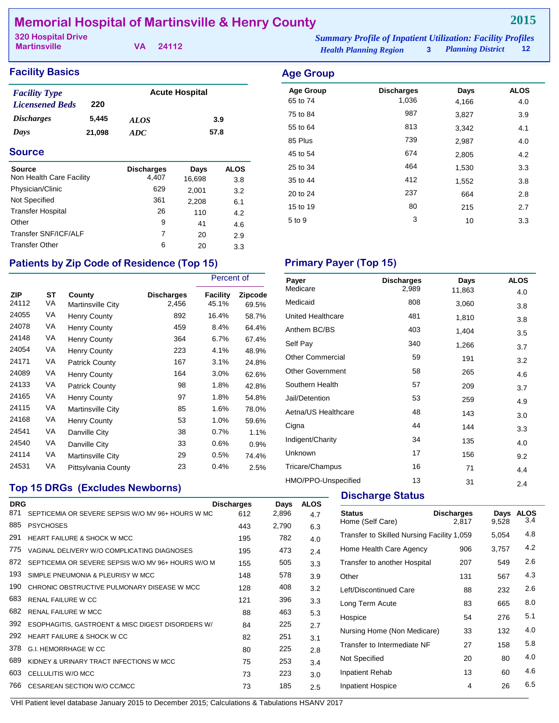## **Memorial Hospital of Martinsville & Henry County**

**Martinsville**

**VA 24112**

#### **Facility Basics Age Group Age Group**

| <b>Facility Type</b>     |        | <b>Acute Hospital</b> |      |  |  |
|--------------------------|--------|-----------------------|------|--|--|
| <b>Licensened Beds</b>   | 220    |                       |      |  |  |
| <i><b>Discharges</b></i> | 5.445  | <i>ALOS</i>           | 3.9  |  |  |
| Days                     | 21,098 | ADC.                  | 57.8 |  |  |

#### **Source**

| <b>Source</b>            | <b>Discharges</b> | Days   | <b>ALOS</b> |
|--------------------------|-------------------|--------|-------------|
| Non Health Care Facility | 4.407             | 16,698 | 3.8         |
| Physician/Clinic         | 629               | 2,001  | 3.2         |
| Not Specified            | 361               | 2,208  | 6.1         |
| <b>Transfer Hospital</b> | 26                | 110    | 4.2         |
| Other                    | 9                 | 41     | 4.6         |
| Transfer SNF/ICF/ALF     | 7                 | 20     | 2.9         |
| <b>Transfer Other</b>    | 6                 | 20     | 3.3         |

### Patients by Zip Code of Residence (Top 15) Primary Payer (Top 15)

**Top 15 DRGs (Excludes Newborns)**

|                     |                 |                                    |                            | Percent of        |                  |
|---------------------|-----------------|------------------------------------|----------------------------|-------------------|------------------|
| <b>ZIP</b><br>24112 | <b>ST</b><br>VA | County<br><b>Martinsville City</b> | <b>Discharges</b><br>2,456 | Facility<br>45.1% | Zipcode<br>69.5% |
| 24055               | VA              | <b>Henry County</b>                | 892                        | 16.4%             | 58.7%            |
| 24078               | VA              | <b>Henry County</b>                | 459                        | 8.4%              | 64.4%            |
| 24148               | VA              | Henry County                       | 364                        | 6.7%              | 67.4%            |
| 24054               | VA              | Henry County                       | 223                        | 4.1%              | 48.9%            |
| 24171               | VA              | <b>Patrick County</b>              | 167                        | 3.1%              | 24.8%            |
| 24089               | VA              | <b>Henry County</b>                | 164                        | 3.0%              | 62.6%            |
| 24133               | VA              | <b>Patrick County</b>              | 98                         | 1.8%              | 42.8%            |
| 24165               | VA              | Henry County                       | 97                         | 1.8%              | 54.8%            |
| 24115               | VA              | Martinsville City                  | 85                         | 1.6%              | 78.0%            |
| 24168               | VA              | <b>Henry County</b>                | 53                         | 1.0%              | 59.6%            |
| 24541               | VA              | Danville City                      | 38                         | 0.7%              | 1.1%             |
| 24540               | VA              | Danville City                      | 33                         | 0.6%              | 0.9%             |
| 24114               | VA              | Martinsville City                  | 29                         | 0.5%              | 74.4%            |
| 24531               | VA              | Pittsylvania County                | 23                         | 0.4%              | 2.5%             |

## Age Group **Discharges** Days ALOS 65 to 74 1,036 4,166 4.0 75 to 84 **987** 3,827 3.9 55 to 64 and 513 3,342 4.1 85 Plus 2,987 2,987 2,987 4.0 45 to 54 674 2,805 4.2 25 to 34 and 25 to 34 and 25 to 34 and 25 to 34 and 25 and 264 and 26.33 and 26.33 and 26.33 and 26. 35 to 44 2 412 1,552 3.8 20 to 24 237 664 2.8 15 to 19 20 80 215 2.7  $5 \text{ to } 9$   $3$   $10$   $3.3$

| Payer                   | <b>Discharges</b> | Days   | <b>ALOS</b> |
|-------------------------|-------------------|--------|-------------|
| Medicare                | 2,989             | 11,863 | 4.0         |
| Medicaid                | 808               | 3,060  | 3.8         |
| United Healthcare       | 481               | 1,810  | 3.8         |
| Anthem BC/BS            | 403               | 1,404  | 3.5         |
| Self Pay                | 340               | 1,266  | 3.7         |
| <b>Other Commercial</b> | 59                | 191    | 3.2         |
| <b>Other Government</b> | 58                | 265    | 4.6         |
| Southern Health         | 57                | 209    | 3.7         |
| Jail/Detention          | 53                | 259    | 4.9         |
| Aetna/US Healthcare     | 48                | 143    | 3.0         |
| Cigna                   | 44                | 144    | 3.3         |
| Indigent/Charity        | 34                | 135    | 4.0         |
| Unknown                 | 17                | 156    | 9.2         |
| Tricare/Champus         | 16                | 71     | 4.4         |
| HMO/PPO-Unspecified     | 13                | 31     | 2.4         |

#### **Discharge Status**

| <b>DRG</b> |                                                    | <b>Discharges</b> | Days  | <b>ALOS</b> |                                      |
|------------|----------------------------------------------------|-------------------|-------|-------------|--------------------------------------|
| 871        | SEPTICEMIA OR SEVERE SEPSIS W/O MV 96+ HOURS W MC  | 612               | 2,896 | 4.7         | <b>Status</b>                        |
| 885        | <b>PSYCHOSES</b>                                   | 443               | 2,790 | 6.3         | Home (Self Care)                     |
| 291        | <b>HEART FAILURE &amp; SHOCK W MCC</b>             | 195               | 782   | 4.0         | <b>Transfer to Skilled Nursing F</b> |
| 775        | VAGINAL DELIVERY W/O COMPLICATING DIAGNOSES        | 195               | 473   | 2.4         | Home Health Care Agency              |
| 872        | SEPTICEMIA OR SEVERE SEPSIS W/O MV 96+ HOURS W/O M | 155               | 505   | 3.3         | Transfer to another Hospital         |
| 193        | SIMPLE PNEUMONIA & PLEURISY W MCC                  | 148               | 578   | 3.9         | Other                                |
| 190        | CHRONIC OBSTRUCTIVE PULMONARY DISEASE W MCC        | 128               | 408   | 3.2         | Left/Discontinued Care               |
| 683        | <b>RENAL FAILURE W CC</b>                          | 121               | 396   | 3.3         | Long Term Acute                      |
| 682        | <b>RENAL FAILURE W MCC</b>                         | 88                | 463   | 5.3         | Hospice                              |
| 392        | ESOPHAGITIS, GASTROENT & MISC DIGEST DISORDERS W/  | 84                | 225   | 2.7         |                                      |
| 292        | <b>HEART FAILURE &amp; SHOCK W CC</b>              | 82                | 251   | 3.1         | Nursing Home (Non Medicar            |
| 378        | G.I. HEMORRHAGE W CC                               | 80                | 225   | 2.8         | Transfer to Intermediate NF          |
| 689        | KIDNEY & URINARY TRACT INFECTIONS W MCC            | 75                | 253   | 3.4         | Not Specified                        |
| 603        | CELLULITIS W/O MCC                                 | 73                | 223   | 3.0         | Inpatient Rehab                      |
| 766        | CESAREAN SECTION W/O CC/MCC                        | 73                | 185   | 2.5         | <b>Inpatient Hospice</b>             |
|            |                                                    |                   |       |             |                                      |

VHI Patient level database January 2015 to December 2015; Calculations & Tabulations HSANV 2017

**Discharges Days ALOS**<br>2.817 9.528 3.4 2,817 9,528 Facility 1,059  $5,054$  4.8 Home Health Care Agency  $906$  3,757 4.2 Transfer to another Hospital 207 549 2.6 Other 131 567 4.3 Left/Discontinued Care 88 232 2.6 Long Term Acute 63 665 8.0 Hospice 54 276 5.1 Nursing Home (Non Medicare) 33 132 4.0 Transfer to Intermediate NF 27 158 5.8 Not Specified 20 80 4.0 Inpatient Rehab 13 60 4.6 Inpatient Hospice 4 26 6.5

## **2015**